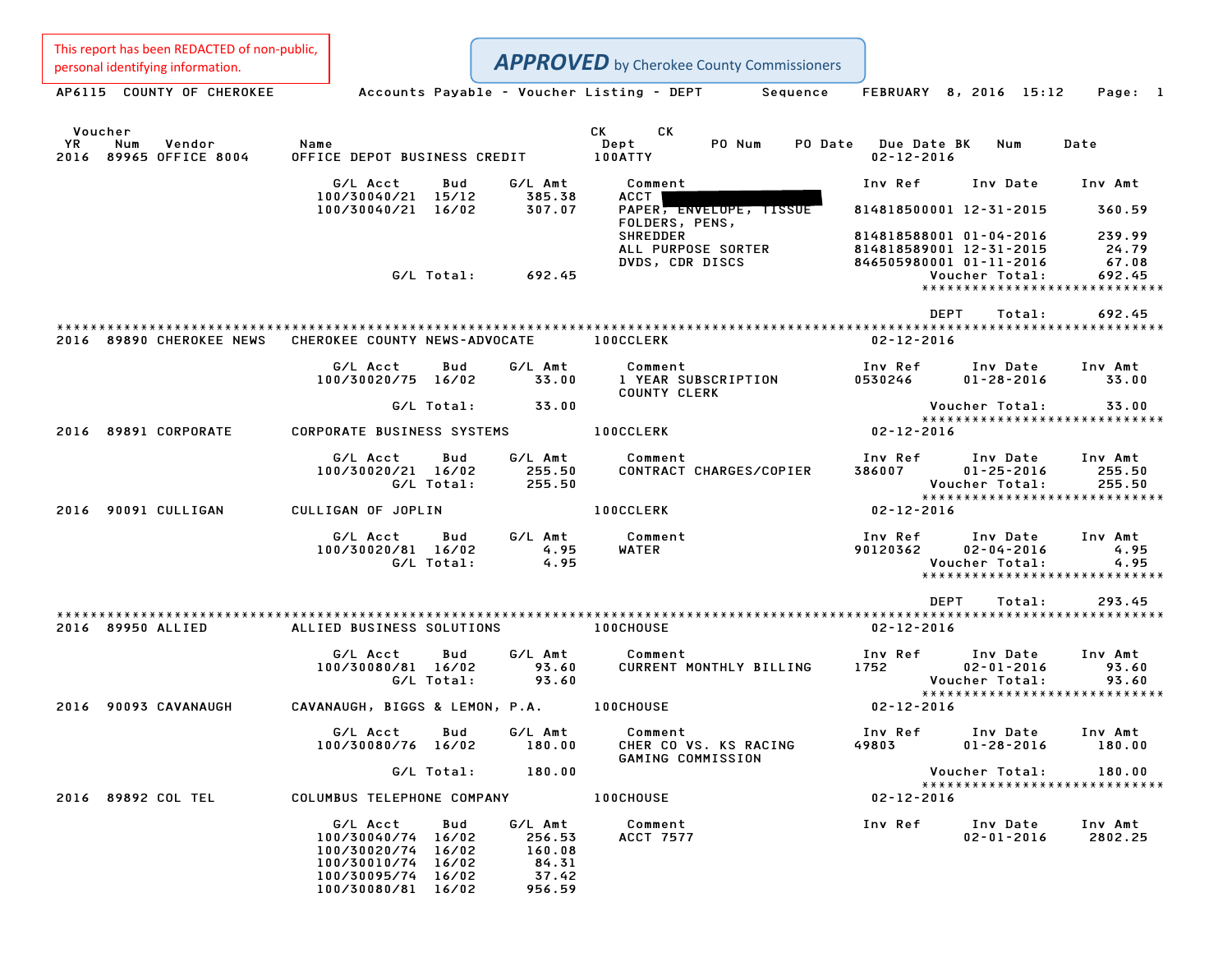**APPROVED** by Cherokee County Commissioners

Personal identifying information.<br>
Accounts Payable - Voucher Listing - DEPT Sequence FEBRUARY 8, 2016 15:12 Page: 1 Voucher CK CK YR Num Vendor Name Dept PO Num PO Date Due Date BK Num Date Voucher<br>2016 YR Num Vendor – Name Name – CK CK<br>2016 89965 OFFICE 8004 – OFFICE DEPOT BUSINESS CREDIT – 100ATTY – PO Num – PO Date Due Date G/L Acct Bud G/L Amt Comment Inv Ref Inv Date Inv Amt 100/30040/21 15/12 6/L Amt Comment<br>100/30040/21 15/12 385.38 ACCT 100/30040/21 16/02 307.07 PAPER, ENVELOPE, TISSUE <sup>814818500001</sup> 12-31-2015 360.59 PAPER, ENVELOPE, TISSUE<br>FOLDERS, PENS, PAPER<del>, ENVELOPE, TISSUE 8</del>14818500001 12–31–2015 360.59<br>FOLDERS, PENS, 814818588001 01–04–2016 239.99<br>SHREDDER 814818588001 01–04–2016 239.99 ALL PURPOSE SORTER <sup>814818589001</sup> 12-31-2015 24.79 DVDS, CDR DISCS <sup>846505980001</sup> 01-11-2016 67.08 G/L Total: 692.45 Voucher Total: 692.45 0001 01-11-2016 67.08<br>| Voucher Total: 692.45<br>\*\*\*\*\*\*\*\*\*\*\*\*\*\*\*\*\*\*\*\*\*\*\*\*\*\*\*\* DEPT Total: 692.45 \*\*\*\*\*\*\*\*\*\*\*\*\*\*\*\*\*\*\*\*\*\*\*\*\*\*\*\*\*\*\*\*\*\*\*\*\*\*\*\*\*\*\*\*\*\*\*\*\*\*\*\*\*\*\*\*\*\*\*\*\*\*\*\*\*\*\*\*\*\*\*\*\*\*\*\*\*\*\*\*\*\*\*\*\*\*\*\*\*\*\*\*\*\*\*\*\*\*\*\*\*\*\*\*\*\*\*\*\*\*\*\*\*\*\*\*\*\*\*\*\*\*\*\*\*\*\*\*\*\*\*\* <sup>2016</sup> <sup>89890</sup> CHEROKEE NEWS CHEROKEE COUNTY NEWS-ADVOCATE 100CCLERK 02-12-2016 G/L Acct Bud G/L Amt Comment Inv Ref Inv Date Inv Amt 100/30020/75 16/02 33.00 <sup>1</sup> YEAR SUBSCRIPTION <sup>0530246</sup> 01-28-2016 33.00 Comment<br>1 YEAR SUBSCRIPTION<br>COUNTY CLERK G/L Total: 33.00 Voucher Total: 33.00 Voucher Total: 33.00<br>\*\*\*\*\*\*\*\*\*\*\*\*\*\*\*\*\*\*\*\*\*\*\*\*\*\*\*\* <sup>2016</sup> <sup>89891</sup> CORPORATE CORPORATE BUSINESS SYSTEMS 100CCLERK 02-12-2016 G/L Acct Bud G/L Amt Comment Inv Ref Inv Date Inv Amt 100/10020/30020/21 16/02 1002020/21 100/30020/21 16/02 255.50 COmment<br>100/30020/21 16/02 255.50 CONTRACT CHARGES/COPIER 386007 01–25–2016 255.50 G/L Total: 255.50 Voucher Total: 255.50 \*\*\*\*\*\*\*\*\*\*\*\*\*\*\*\*\*\*\*\*\*\*\*\*\*\*\*\*\* <sup>2016</sup> <sup>90091</sup> CULLIGAN CULLIGAN OF JOPLIN 100CCLERK 02-12-2016 G/L Acct Bud G/L Amt Comment Inv Ref Inv Date Inv Amt 4.95 G/L Acct Bud G/L Amt Comment Inv Ref Inv Date Inv Amt<br>100/30020/81 16/02 4.95 WATER 90120362 02–04–2016 4.95 G/L Total: 4.95 Voucher Total: 4.95 \* 02-04-2016 4.95<br>Voucher Total: 4.95<br>\*\*\*\*\*\*\*\*\*\*\*\*\*\*\*\*\*\*\*\*\*\*\*\*\*\*\*\*\*\* \*\*\*\*\*\*\*\*\*\*\*\*\*\*\*\*\*\*\*\*\*\*\*\*<br>DEPT Total: 293.45 \*\*\*\*\*\*\*\*\*\*\*\*\*\*\*\*\*\*\*\*\*\*\*\*\*\*\*\*\*\*\*\*\*\*\*\*\*\*\*\*\*\*\*\*\*\*\*\*\*\*\*\*\*\*\*\*\*\*\*\*\*\*\*\*\*\*\*\*\*\*\*\*\*\*\*\*\*\*\*\*\*\*\*\*\*\*\*\*\*\*\*\*\*\*\*\*\*\*\*\*\*\*\*\*\*\*\*\*\*\*\*\*\*\*\*\*\*\*\*\*\*\*\*\*\*\*\*\*\*\*\*\* <sup>2016</sup> <sup>89950</sup> ALLIED ALLIED BUSINESS SOLUTIONS 100CHOUSE 02-12-2016 G/L Acct Bud G/L Amt Comment Inv Ref Inv Date Inv Amt 100/1 Acct 200 Bud G/LAmt Comment - Comment - Inv Ref Inv Date - Inv Amt<br>100/30080/81 16/02 - 93.60 - CURRENT MONTHLY BILLING - 1752 - 02-01-2016 - 93.60 G/L Total: 93.60 Voucher Total: 93.60 \*\*\*\*\*\*\*\*\*\*\*\*\*\*\*\*\*\*\*\*\*\*\*\*\*\*\*\*\* 2016 Vou<br>\*\*\*\*<br>2016 90093 CAVANAUGH CAVANAUGH, BIGGS & LEMON, P.A. 100CHOUSE 02-12-2016 G/L Acct Bud G/L Amt Comment Inv Ref Inv Date Inv Amt 100/30080/76 16/02 180.00 CHER CO VS. KS RACING <sup>49803</sup> 01-28-2016 180.00 Comment<br>CHER CO VS. KS RACING<br>GAMING COMMISSION G/L Total: 180.00 Voucher Total: 180.00 Voucher Total: 180.00<br>\*\*\*\*\*\*\*\*\*\*\*\*\*\*\*\*\*\*\*\*\*\*\*\*\*\*\*\* <sup>2016</sup> <sup>89892</sup> COL TEL COLUMBUS TELEPHONE COMPANY 100CHOUSE 02-12-2016 G/L Acct Bud G/L Amt Comment Inv Ref Inv Date Inv Amt 100/30040/74 16/02 256.53 ACCT <sup>7577</sup> 02-01-2016 2802.25 6/LAcct Bud G/LAmt<br>100/30040/74 16/02 256.53<br>100/30020/74 16/02 160.08 100/30010/74 16/02 84.31 100/30020/74 16/02 160.08<br>100/30010/74 16/02 84.31<br>100/30095/74 16/02 37.42

100/30080/81 16/02 956.59

This report has been REDACTED of non-public,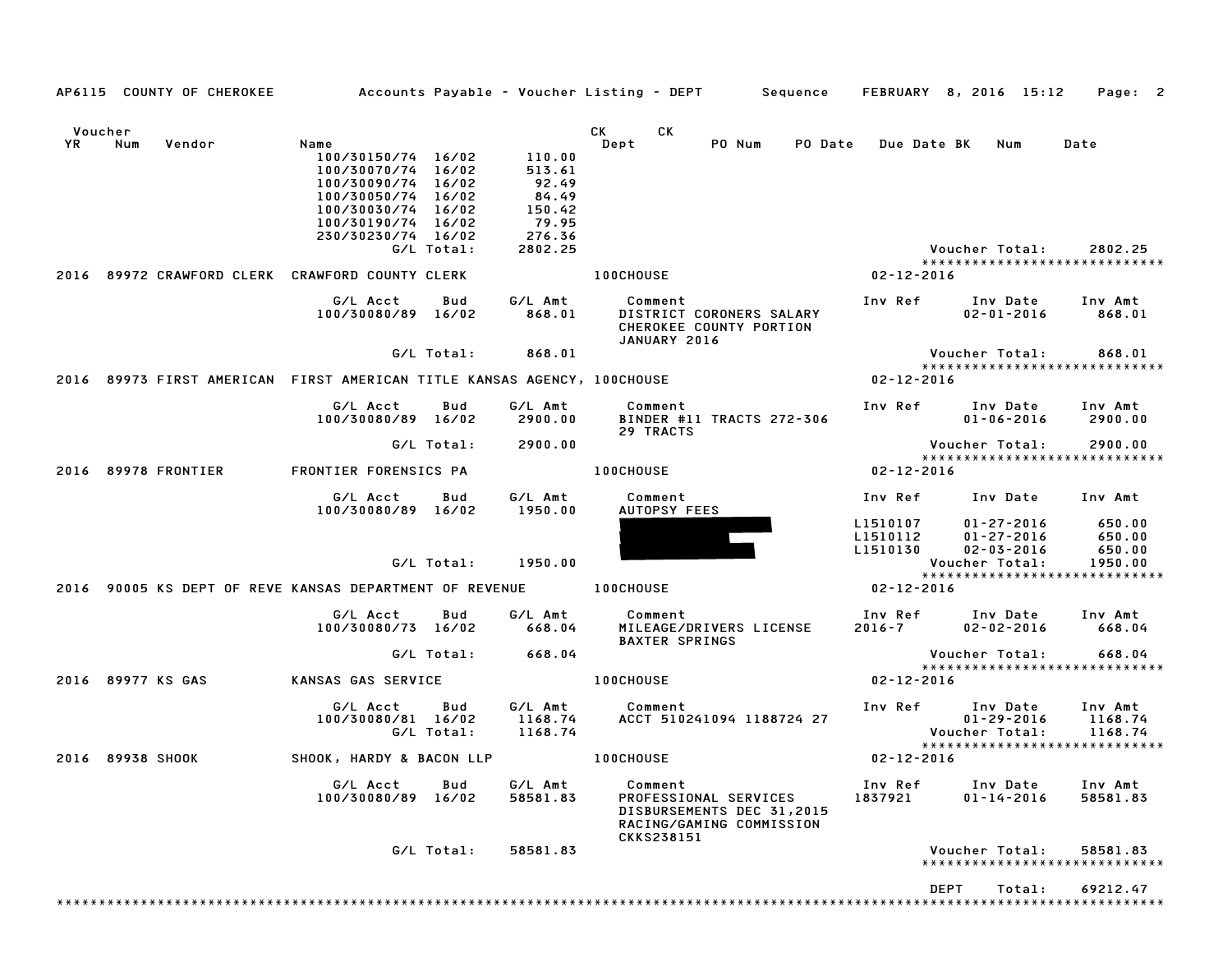|    | AP6115 COUNTY OF CHEROKEE |                                                                                                                                                                |                   |                                                                            | Accounts Payable – Voucher Listing – DEPT         Sequence                                              |                                  | FEBRUARY 8, 2016 15:12                                               | Page: 2                               |
|----|---------------------------|----------------------------------------------------------------------------------------------------------------------------------------------------------------|-------------------|----------------------------------------------------------------------------|---------------------------------------------------------------------------------------------------------|----------------------------------|----------------------------------------------------------------------|---------------------------------------|
|    | Voucher                   |                                                                                                                                                                |                   |                                                                            | СK<br>CK                                                                                                |                                  |                                                                      |                                       |
| YR | Num<br>Vendor             | Name<br>100/30150/74 16/02<br>100/30070/74 16/02<br>100/30090/74 16/02<br>100/30050/74 16/02<br>100/30030/74 16/02<br>100/30190/74 16/02<br>230/30230/74 16/02 | G/L Total:        | 110.00<br>513.61<br>92.49<br>84.49<br>150.42<br>79.95<br>276.36<br>2802.25 | PO Num<br>Dept<br>PO Date                                                                               | <b>Due Date BK</b>               | Num<br>Voucher Total:                                                | Date<br>2802.25                       |
|    |                           | 2016 89972 CRAWFORD CLERK CRAWFORD COUNTY CLERK                                                                                                                |                   |                                                                            | <b>100CHOUSE</b>                                                                                        | $02 - 12 - 2016$                 | *****************************                                        |                                       |
|    |                           | G/L Acct<br>100/30080/89 16/02                                                                                                                                 | Bud               | G/L Amt<br>868.01                                                          | Comment<br>DISTRICT CORONERS SALARY<br>CHEROKEE COUNTY PORTION<br>JANUARY 2016                          | Inv Ref                          | Inv Date<br>$02 - 01 - 2016$                                         | Inv Amt<br>868.01                     |
|    |                           |                                                                                                                                                                | G/L Total:        | 868.01                                                                     |                                                                                                         |                                  | Voucher Total:<br>*****************************                      | 868.01                                |
|    |                           | 2016 89973 FIRST AMERICAN FIRST AMERICAN TITLE KANSAS AGENCY, 100CHOUSE                                                                                        |                   |                                                                            |                                                                                                         | 02-12-2016                       |                                                                      |                                       |
|    |                           | G/L Acct<br>100/30080/89 16/02                                                                                                                                 | Bud               | G/L Amt<br>2900.00                                                         | Comment<br>BINDER #11 TRACTS 272-306<br>29 TRACTS                                                       | Inv Ref                          | Inv Date<br>$01 - 06 - 2016$                                         | Inv Amt<br>2900.00                    |
|    |                           |                                                                                                                                                                | G/L Total:        | 2900.00                                                                    |                                                                                                         |                                  | Voucher Total:<br>*****************************                      | 2900.00                               |
|    | 2016 89978 FRONTIER       | FRONTIER FORENSICS PA                                                                                                                                          |                   |                                                                            | <b>100CHOUSE</b>                                                                                        | 02-12-2016                       |                                                                      |                                       |
|    |                           | G/L Acct<br>100/30080/89 16/02                                                                                                                                 | Bud               | G/L Amt<br>1950.00                                                         | Comment<br>AUTOPSY FEES                                                                                 | Inv Ref                          | Inv Date                                                             | Inv Amt                               |
|    |                           |                                                                                                                                                                | G/L Total:        | 1950.00                                                                    |                                                                                                         | L1510107<br>L1510112<br>L1510130 | 01-27-2016<br>$01 - 27 - 2016$<br>$02 - 03 - 2016$<br>Voucher Total: | 650.00<br>650.00<br>650.00<br>1950.00 |
|    |                           | 2016 90005 KS DEPT OF REVE KANSAS DEPARTMENT OF REVENUE                                                                                                        |                   |                                                                            | <b>100CHOUSE</b>                                                                                        | $02 - 12 - 2016$                 | *****************************                                        |                                       |
|    |                           | G/L Acct<br>100/30080/73 16/02                                                                                                                                 | Bud               | G/L Amt<br>668.04                                                          | Comment<br>MILEAGE/DRIVERS LICENSE                                                                      | Inv Ref<br>$2016 - 7$            | Inv Date<br>$02 - 02 - 2016$                                         | Inv Amt<br>668.04                     |
|    |                           |                                                                                                                                                                | G/L Total:        | 668.04                                                                     | <b>BAXTER SPRINGS</b>                                                                                   |                                  | Voucher Total:                                                       | 668.04                                |
|    | 2016 89977 KS GAS         | KANSAS GAS SERVICE                                                                                                                                             |                   |                                                                            | <b>100CHOUSE</b>                                                                                        | 02-12-2016                       | *****************************                                        |                                       |
|    |                           | G/L Acct<br>100/30080/81 16/02                                                                                                                                 | Bud<br>G/L Total: | G/L Amt<br>1168.74<br>1168.74                                              | Comment<br>ACCT 510241094 1188724 27                                                                    | Inv Ref                          | Inv Date<br>01-29-2016<br>Voucher Total:                             | Inv Amt<br>1168.74<br>1168.74         |
|    | 2016 89938 SHOOK          | SHOOK, HARDY & BACON LLP                                                                                                                                       |                   |                                                                            | <b>100CHOUSE</b>                                                                                        | 02-12-2016                       | *****************************                                        |                                       |
|    |                           | G/L Acct<br>100/30080/89 16/02                                                                                                                                 | Bud               | G/L Amt<br>58581.83                                                        | Comment<br>PROFESSIONAL SERVICES<br>DISBURSEMENTS DEC 31,2015<br>RACING/GAMING COMMISSION<br>CKKS238151 | Inv Ref<br>1837921               | Inv Date<br>$01 - 14 - 2016$                                         | Inv Amt<br>58581.83                   |
|    |                           |                                                                                                                                                                | G/L Total:        | 58581.83                                                                   |                                                                                                         |                                  | Voucher Total:<br>*****************************                      | 58581.83                              |
|    |                           |                                                                                                                                                                |                   |                                                                            |                                                                                                         |                                  |                                                                      |                                       |
|    |                           |                                                                                                                                                                |                   |                                                                            |                                                                                                         |                                  | <b>DEPT</b><br>Total:                                                | 69212.47                              |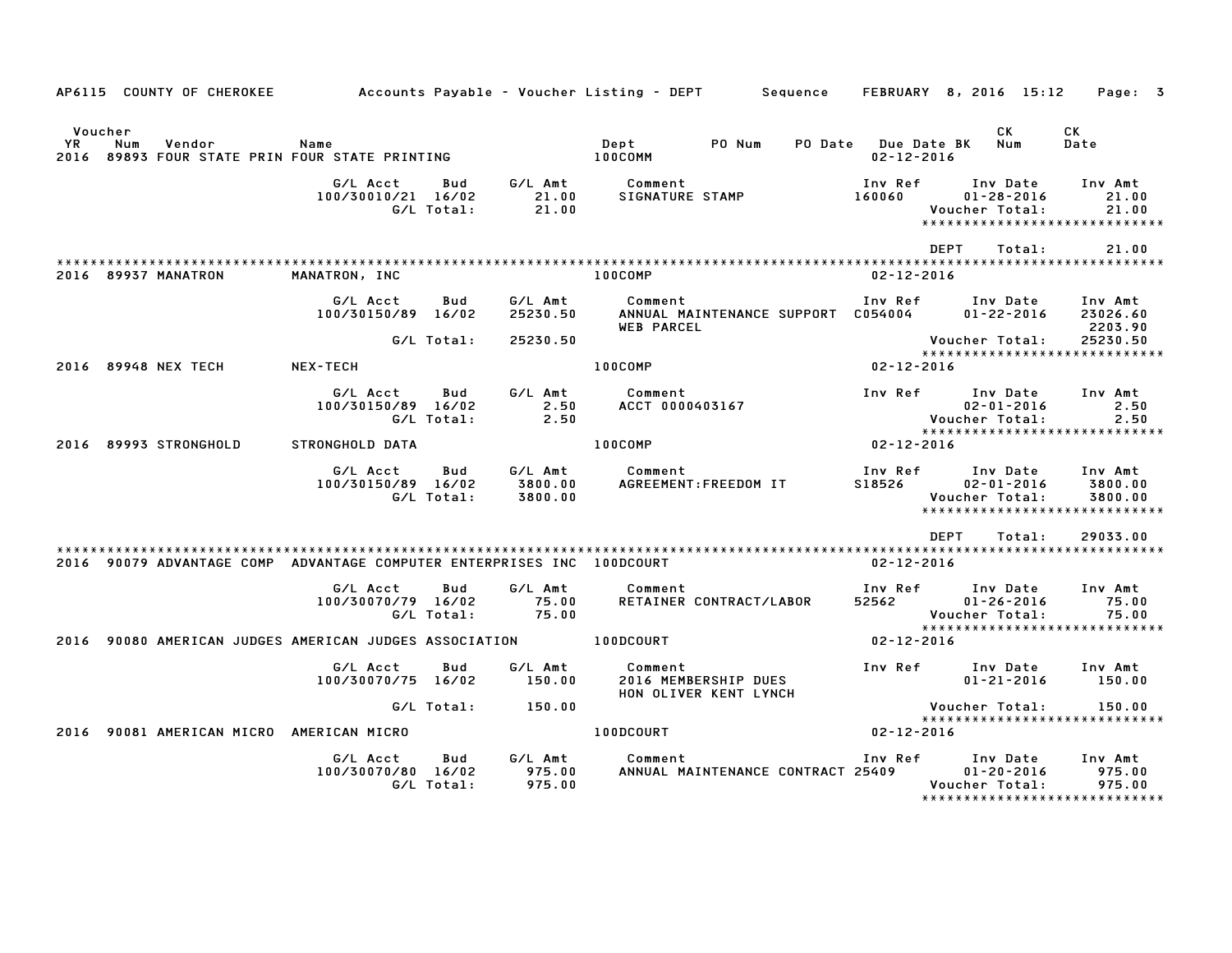|               |                                                                        |                                |                   |                           | Accounts Payable – Voucher Listing – DEPT         Sequence         |                                         |                                                                                  |                                |
|---------------|------------------------------------------------------------------------|--------------------------------|-------------------|---------------------------|--------------------------------------------------------------------|-----------------------------------------|----------------------------------------------------------------------------------|--------------------------------|
|               | AP6115 COUNTY OF CHEROKEE                                              |                                |                   |                           |                                                                    |                                         | FEBRUARY 8, 2016 15:12                                                           | Page: 3                        |
| Voucher<br>YR | Num<br>Vendor<br>2016 89893 FOUR STATE PRIN FOUR STATE PRINTING        | Name                           |                   |                           | PO Num<br>Dept<br>100COMM                                          | PO Date Due Date BK<br>$02 - 12 - 2016$ | CK<br>Num                                                                        | СK<br>Date                     |
|               |                                                                        | G/L Acct<br>100/30010/21 16/02 | Bud<br>G/L Total: | G/L Amt<br>21.00<br>21.00 | Comment<br>SIGNATURE STAMP                                         | Inv Ref<br>160060                       | Inv Date<br>$01 - 28 - 2016$<br>Voucher Total:<br>****************************** | Inv Amt<br>21.00<br>21.00      |
|               | 2016 89937 MANATRON                                                    | MANATRON, INC                  |                   |                           | 100COMP                                                            | $02 - 12 - 2016$                        | DEPT<br>Total:                                                                   | 21.00                          |
|               |                                                                        | G/L Acct<br>100/30150/89 16/02 | Bud               | G/L Amt<br>25230.50       | Comment<br>ANNUAL MAINTENANCE SUPPORT C054004<br><b>WEB PARCEL</b> | Inv Ref                                 | Inv Date<br>$01 - 22 - 2016$                                                     | Inv Amt<br>23026.60<br>2203.90 |
|               |                                                                        |                                | G/L Total:        | 25230.50                  |                                                                    |                                         | Voucher Total:<br>*****************************                                  | 25230.50                       |
|               | 2016 89948 NEX TECH                                                    | NEX-TECH                       |                   |                           | 100COMP                                                            | 02-12-2016                              |                                                                                  |                                |
|               |                                                                        | G/L Acct<br>100/30150/89 16/02 | Bud<br>G/L Total: | G/L Amt<br>2.50<br>2.50   | Comment<br>ACCT 0000403167                                         | Inv Ref                                 | Inv Date<br>$02 - 01 - 2016$<br>Voucher Total:                                   | Inv Amt<br>2.50<br>2.50        |
|               | 2016 89993 STRONGHOLD                                                  | STRONGHOLD DATA                |                   |                           | 100COMP                                                            | $02 - 12 - 2016$                        | *****************************                                                    |                                |
|               |                                                                        | G/L Acct<br>100/30150/89 16/02 | Bud<br>G/L Total: | 3800.00<br>3800.00        | G/L Amt Comment<br>AGREEMENT: FREEDOM IT                           | Inv Ref<br>S18526                       | Inv Date<br>$02 - 01 - 2016$<br>Voucher Total:<br>*****************************  | Inv Amt<br>3800.00<br>3800.00  |
|               | 2016 90079 ADVANTAGE COMP ADVANTAGE COMPUTER ENTERPRISES INC 100DCOURT |                                |                   |                           |                                                                    | 02-12-2016                              | <b>DEPT</b><br>Total:                                                            | 29033.00                       |
|               |                                                                        | G/L Acct<br>100/30070/79 16/02 | Bud<br>G/L Total: | G/L Amt<br>75.00<br>75.00 | Comment<br>RETAINER CONTRACT/LABOR                                 | Inv Ref<br>52562                        | Inv Date<br>$01 - 26 - 2016$<br>Voucher Total:                                   | Inv Amt<br>75.00<br>75.00      |
|               | 2016 90080 AMERICAN JUDGES AMERICAN JUDGES ASSOCIATION                 |                                |                   |                           | 100DCOURT                                                          | 02-12-2016                              | *****************************                                                    |                                |
|               |                                                                        | G/L Acct<br>100/30070/75 16/02 | Bud               | G/L Amt<br>150.00         | Comment<br>2016 MEMBERSHIP DUES<br>HON OLIVER KENT LYNCH           | Inv Ref                                 | Inv Date<br>$01 - 21 - 2016$                                                     | Inv Amt<br>150.00              |
|               |                                                                        |                                | G/L Total:        | 150.00                    |                                                                    |                                         | Voucher Total:                                                                   | 150.00                         |
|               |                                                                        |                                |                   |                           |                                                                    |                                         |                                                                                  |                                |
|               | 2016 90081 AMERICAN MICRO AMERICAN MICRO                               |                                |                   |                           | 100DCOURT                                                          | $02 - 12 - 2016$                        | *****************************                                                    |                                |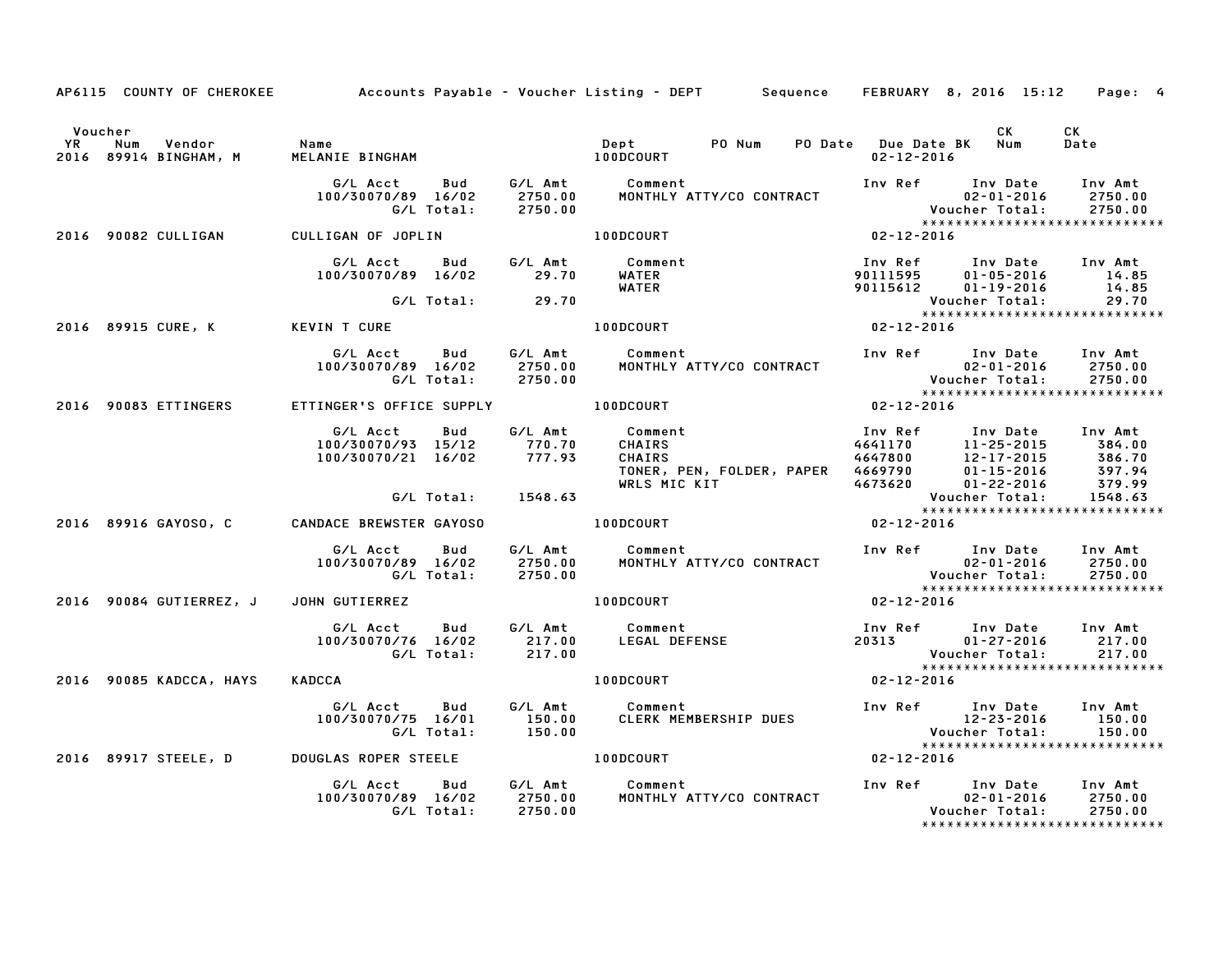|         | AP6115 COUNTY OF CHEROKEE Accounts Payable - Voucher Listing - DEPT Sequence FEBRUARY 8, 2016 15:12 |                                                                  |                   |                                       |                                                       |                                                     |                  |                                                                                                                                                                                                                                                        | Page: 4            |
|---------|-----------------------------------------------------------------------------------------------------|------------------------------------------------------------------|-------------------|---------------------------------------|-------------------------------------------------------|-----------------------------------------------------|------------------|--------------------------------------------------------------------------------------------------------------------------------------------------------------------------------------------------------------------------------------------------------|--------------------|
| Voucher | YR Num Vendor   Name<br>2016 89914 BINGHAM, M   MELAN]                                              |                                                                  |                   |                                       |                                                       | PO Num                                              | $02 - 12 - 2016$ | CK<br>PO Date Due Date BK Num                                                                                                                                                                                                                          | CK<br>Date         |
|         |                                                                                                     | G/L Acct<br>100/30070/89 16/02                                   | Bud<br>G/L Total: | 2750.00                               | G/L Amt           Comment<br>2750.00       MONTHLY AT |                                                     |                  | MONTHLY ATTY/CO CONTRACT<br>MONTHLY ATTY/CO CONTRACT<br>And All Andrew Control Control of the Control of the Control of the Control of the Manuscript of the Manuscrip<br>Control of the Control of the Control of the Control of the C                | Inv Amt            |
|         | 2016 90082 CULLIGAN                                                                                 | CULLIGAN OF JOPLIN                                               |                   |                                       | 100DCOURT                                             | $02 - 12 - 2016$                                    |                  |                                                                                                                                                                                                                                                        |                    |
|         |                                                                                                     | 100/30070/89 16/02                                               |                   | 29.70                                 | G/L Acct Bud G/L Amt Comment<br>WATER<br><b>WATER</b> |                                                     |                  | Inv Ref Inv Date Inv Amt<br>90111595 01-05-2016 14.85<br>90111595 01-05-2016 14.85                                                                                                                                                                     |                    |
|         |                                                                                                     |                                                                  |                   | G/L Total: 29.70                      |                                                       |                                                     |                  | Voucher Total:                                                                                                                                                                                                                                         | 29.70              |
|         | 2016 89915 CURE, K                                                                                  | <b>KEVIN T CURE</b>                                              |                   |                                       | 100DCOURT                                             |                                                     | $02 - 12 - 2016$ | <b>VOUCNer iotal.</b><br>*****************************                                                                                                                                                                                                 |                    |
|         |                                                                                                     |                                                                  |                   |                                       |                                                       |                                                     |                  | G/L Acct Bud G/L Amt Comment Inv Ref Inv Date Inv Amt<br>100/30070/89 16/02 2750.00 MONTHLY ATTY/CO CONTRACT 02-01-2016 2750.00<br>G/L Total: 2750.00 MONTHLY ATTY/CO CONTRACT Voucher Total: 2750.00<br>******************************                |                    |
|         | 2016 90083 ETTINGERS                                                                                | ETTINGER'S OFFICE SUPPLY 100DCOURT                               |                   |                                       |                                                       | $02 - 12 - 2016$                                    |                  |                                                                                                                                                                                                                                                        |                    |
|         |                                                                                                     | G/L Acct<br>100/30070/93 15/12<br>100/30070/21 16/02             | Bud               | G/L Amt<br>770.70<br>777.93<br>777.93 | Comment                                               |                                                     |                  | Inv Ref      Inv Date     Inv Amt<br>1110 July 2012<br>CHAIRS 4641170 11-25-2015 384.00<br>CHAIRS 4641700 12-17-2015 386.70<br>TONER, PEN, FOLDER, PAPER 4669790 01-15-2016 397.94<br>WRLS MIC KIT 4673620 01-22-2016 379.99<br>Voucher Total: 1548.63 |                    |
|         |                                                                                                     |                                                                  |                   | G/L Total: 1548.63                    |                                                       |                                                     |                  |                                                                                                                                                                                                                                                        |                    |
|         | 2016 89916 GAYOSO, C CANDACE BREWSTER GAYOSO 6 100DCOURT                                            |                                                                  |                   |                                       |                                                       |                                                     | $02 - 12 - 2016$ | Voucner iolai.<br>***************************                                                                                                                                                                                                          |                    |
|         |                                                                                                     | G/L Acct Bud<br>100/30070/89 16/02 2750.00<br>G/L Total: 2750.00 |                   |                                       | G/L Amt Comment                                       |                                                     |                  |                                                                                                                                                                                                                                                        |                    |
|         | 2016 90084 GUTIERREZ, J                                                                             | JOHN GUTIERREZ 100DCOURT                                         |                   |                                       |                                                       |                                                     | $02 - 12 - 2016$ |                                                                                                                                                                                                                                                        |                    |
|         |                                                                                                     | G/L Acct<br>100/30070/76 16/02 217.00<br>G/L Total: 217.00       |                   |                                       | Bud G/L Amt Comment                                   | Comment<br>LEGAL DEFENSE                            |                  | Inv Ref      Inv Date    Inv Amt<br>20313           01–27–2016        217.00<br>Voucher Total: 217.00<br>*******************************<br>02-12-2016                                                                                                 |                    |
|         | 2016 90085 KADCCA, HAYS                                                                             | KADCCA                                                           |                   |                                       | <b>100DCOURT</b>                                      |                                                     |                  |                                                                                                                                                                                                                                                        |                    |
|         |                                                                                                     | G/L Acct Bud<br>100/30070/75 16/01                               |                   | 150.00<br>G/L Total: 150.00           | G/L Amt Comment                                       |                                                     |                  | *****************************                                                                                                                                                                                                                          |                    |
|         | 2016 89917 STEELE, D DOUGLAS ROPER STEELE THE RODOCOURT                                             |                                                                  |                   |                                       |                                                       |                                                     | $02 - 12 - 2016$ |                                                                                                                                                                                                                                                        |                    |
|         |                                                                                                     | G/L Acct                                                         | Bud<br>G/L Total: | 2750.00                               | G/L Amt Comment                                       | 100/30070/89 16/02 2750.00 MONTHLY ATTY/CO CONTRACT |                  | Inv Ref Inv Date Inv Amt<br>02-01-2016<br>Voucher Total:<br>*****************************                                                                                                                                                              | 2750.00<br>2750.00 |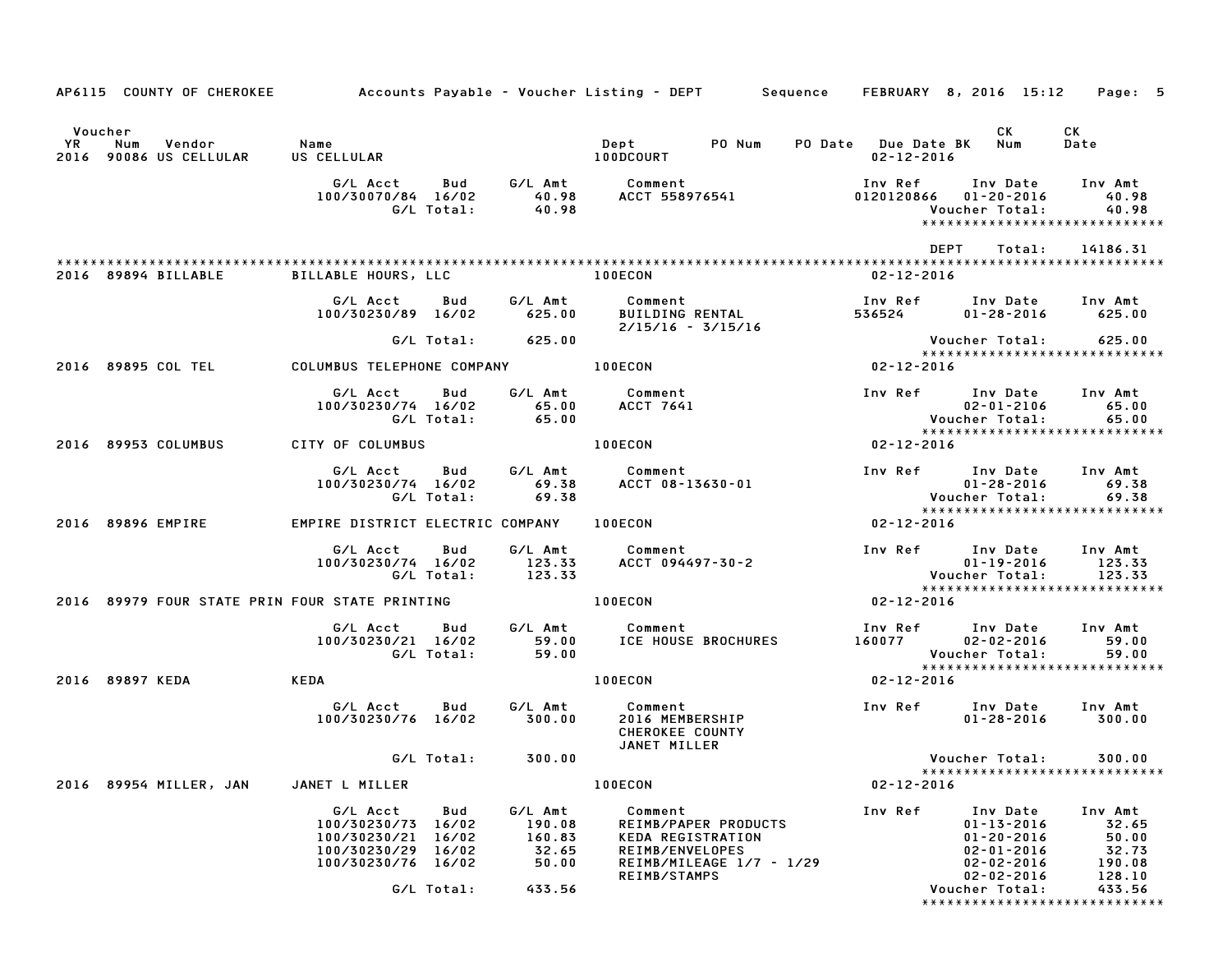|               | AP6115 COUNTY OF CHEROKEE                      |                                                                                                  |                          |                                               | Accounts Payable – Voucher Listing – DEPT – Sequence – FEBRUARY 8, 2016 15:12                                       |                         |                                                                                                              | Page: 5                                                |
|---------------|------------------------------------------------|--------------------------------------------------------------------------------------------------|--------------------------|-----------------------------------------------|---------------------------------------------------------------------------------------------------------------------|-------------------------|--------------------------------------------------------------------------------------------------------------|--------------------------------------------------------|
|               |                                                |                                                                                                  |                          |                                               |                                                                                                                     |                         |                                                                                                              |                                                        |
| Voucher<br>YR | Num<br>Vendor                                  | Name                                                                                             |                          |                                               | Dept PONum                                                                                                          | PO Date Due Date BK Num | CK                                                                                                           | CK<br>Date                                             |
|               | 2016 90086 US CELLULAR                         | US CELLULAR                                                                                      |                          |                                               | <b>100DCOURT</b>                                                                                                    | 02-12-2016              |                                                                                                              |                                                        |
|               |                                                | G/L Acct<br>100/30070/84 16/02                                                                   | Bud<br>G/L Total:        | G/L Amt<br>40.98<br>40.98                     | Comment<br>ACCT 558976541                                                                                           | 0120120866              | Inv Ref      Inv Date     Inv Amt<br>$01 - 20 - 2016$<br>Voucher Total:<br>******************************    | 40.98<br>40.98                                         |
|               |                                                |                                                                                                  |                          |                                               |                                                                                                                     |                         | DEPT<br>Total:                                                                                               | 14186.31                                               |
|               | 2016 89894 BILLABLE                            | <b>BILLABLE HOURS, LLC</b>                                                                       |                          |                                               | 100ECON                                                                                                             | 02-12-2016              |                                                                                                              |                                                        |
|               |                                                | G/L Acct<br>100/30230/89 16/02                                                                   | Bud                      | G/L Amt<br>625.00                             | Comment<br>BUILDING RENTAL<br>$2/15/16 - 3/15/16$                                                                   | Inv Ref<br>536524       | Inv Date Inv Amt<br>01-28-2016                                                                               | 625.00                                                 |
|               |                                                |                                                                                                  | G/L Total:               | 625.00                                        |                                                                                                                     |                         | Voucher Total:<br>*****************************                                                              | 625.00                                                 |
|               | 2016 89895 COL TEL                             | COLUMBUS TELEPHONE COMPANY                                                                       |                          |                                               | 100ECON                                                                                                             | $02 - 12 - 2016$        |                                                                                                              |                                                        |
|               |                                                | G/L Acct<br>100/30230/74 16/02                                                                   | Bud<br>G/L Total:        | G/L Amt<br>65.00<br>65.00                     | Comment<br>ACCT 7641                                                                                                |                         | Inv Ref Inv Date<br>$02 - 01 - 2106$<br>Voucher Total:<br>******************************                     | Inv Amt<br>65.00<br>65.00                              |
|               | 2016 89953 COLUMBUS                            | CITY OF COLUMBUS                                                                                 |                          |                                               | <b>100ECON</b>                                                                                                      | $02 - 12 - 2016$        |                                                                                                              |                                                        |
|               |                                                | G/L Acct<br>100/30230/74 16/02                                                                   | <b>Bud</b><br>G/L Total: | G/L Amt<br>69.38<br>69.38                     | Comment<br>ACCT 08-13630-01                                                                                         |                         | Inv Ref Inv Date Inv Amt<br>$01 - 28 - 2016$<br>Voucher Total:<br>*****************************              | 69.38<br>69.38                                         |
|               | 2016 89896 EMPIRE                              | EMPIRE DISTRICT ELECTRIC COMPANY                                                                 |                          |                                               | 100ECON                                                                                                             | 02-12-2016              |                                                                                                              |                                                        |
|               |                                                | G/L Acct<br>100/30230/74 16/02                                                                   | Bud<br>G/L Total:        | G/L Amt<br>123.33<br>123.33                   | Comment<br>ACCT 094497-30-2                                                                                         |                         | Inv Ref Inv Date<br>01-19-2016<br><b>Voucher Total:</b><br>*****************************                     | Inv Amt<br>123.33<br>123.33                            |
|               | 2016 89979 FOUR STATE PRIN FOUR STATE PRINTING |                                                                                                  |                          |                                               | <b>100ECON</b>                                                                                                      | $02 - 12 - 2016$        |                                                                                                              |                                                        |
|               |                                                | G/L Acct<br>100/30230/21 16/02                                                                   | Bud<br>G/L Total:        | G/L Amt<br>59.00<br>59.00                     | Comment<br>ICE HOUSE BROCHURES                                                                                      |                         | Inv Ref Inv Date<br>160077 02-02-2016<br>Voucher Total:                                                      | Inv Amt<br>59.00<br>59.00                              |
|               | 2016 89897 KEDA                                | KEDA                                                                                             |                          |                                               | 100ECON                                                                                                             | 02-12-2016              | *****************************                                                                                |                                                        |
|               |                                                | G/L Acct<br>100/30230/76 16/02                                                                   | Bud                      | G/L Amt<br>300.00                             | Comment<br>2016 MEMBERSHIP<br>CHEROKEE COUNTY<br>JANET MILLER                                                       | Inv Ref                 | Inv Date<br>$01 - 28 - 2016$                                                                                 | Inv Amt<br>300.00                                      |
|               |                                                |                                                                                                  | G/L Total:               | 300.00                                        |                                                                                                                     |                         | Voucher Total:<br>*****************************                                                              | 300.00                                                 |
|               | 2016 89954 MILLER, JAN                         | JANET L MILLER                                                                                   |                          |                                               | 100ECON                                                                                                             | $02 - 12 - 2016$        |                                                                                                              |                                                        |
|               |                                                | G/L Acct<br>100/30230/73 16/02<br>100/30230/21 16/02<br>100/30230/29 16/02<br>100/30230/76 16/02 | Bud                      | G/L Amt<br>190.08<br>160.83<br>32.65<br>50.00 | Comment<br>REIMB/PAPER PRODUCTS<br>KEDA REGISTRATION<br>REIMB/ENVELOPES<br>REIMB/MILEAGE 1/7 - 1/29<br>REIMB/STAMPS | Inv Ref                 | Inv Date<br>$01 - 13 - 2016$<br>$01 - 20 - 2016$<br>$02 - 01 - 2016$<br>$02 - 02 - 2016$<br>$02 - 02 - 2016$ | Inv Amt<br>32.65<br>50.00<br>32.73<br>190.08<br>128.10 |
|               |                                                |                                                                                                  | G/L Total:               | 433.56                                        |                                                                                                                     |                         | Voucher Total:<br>******************************                                                             | 433.56                                                 |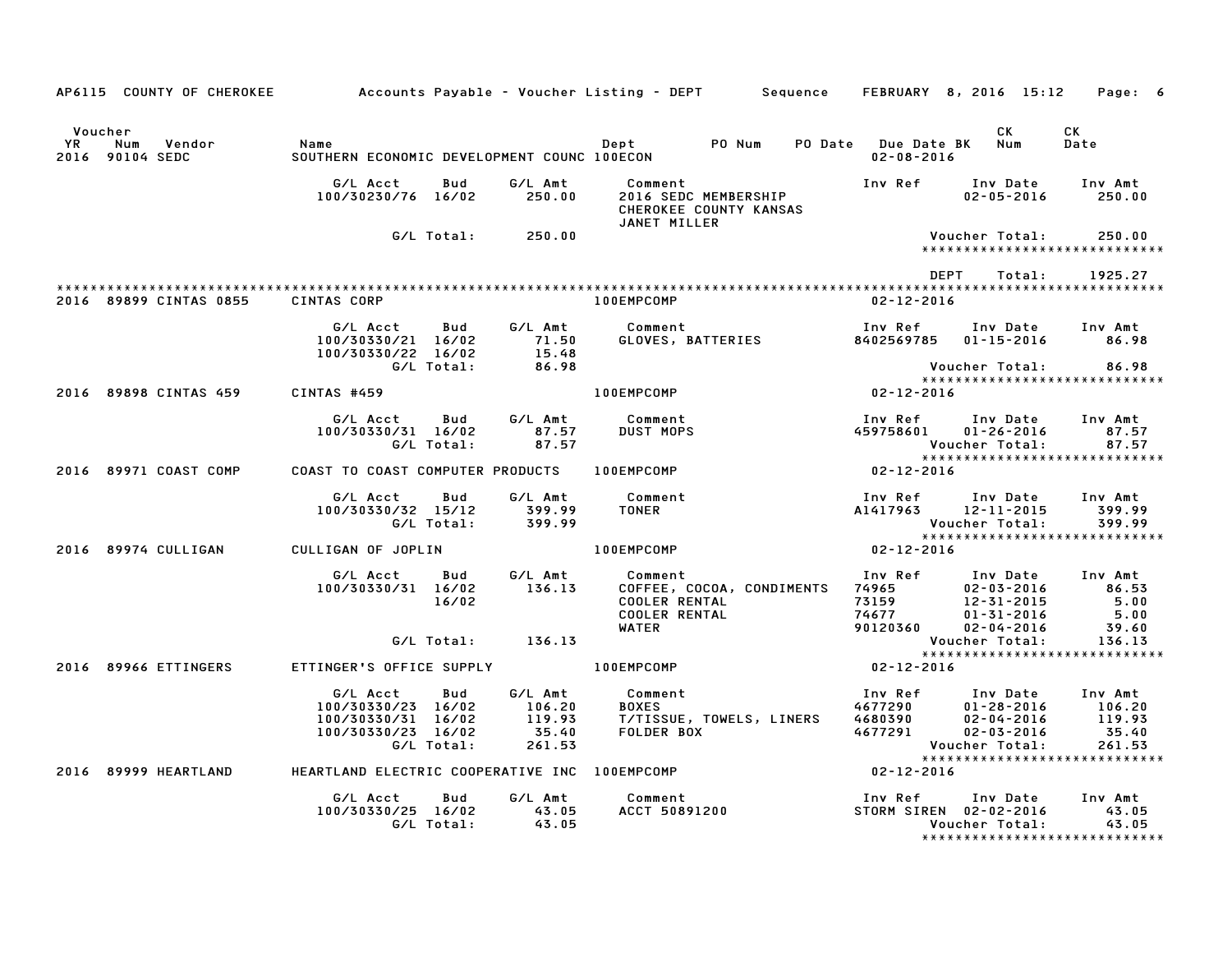| AP6115 COUNTY OF CHEROKEE                                |                                                                            |                          |                                                | Accounts Payable – Voucher Listing – DEPT         Sequence     FEBRUARY   8, 2016  15:12     Page:   6 |                                                |                                                                                                                                                                                                                                          |                                                                           |                                                               |
|----------------------------------------------------------|----------------------------------------------------------------------------|--------------------------|------------------------------------------------|--------------------------------------------------------------------------------------------------------|------------------------------------------------|------------------------------------------------------------------------------------------------------------------------------------------------------------------------------------------------------------------------------------------|---------------------------------------------------------------------------|---------------------------------------------------------------|
| Voucher<br><b>YR</b><br>Num<br>Vendor<br>2016 90104 SEDC | Name<br>SOUTHERN ECONOMIC DEVELOPMENT COUNC 100ECON                        |                          |                                                |                                                                                                        |                                                | Dept PO Num PO Date Due Date BK Num<br>$02 - 08 - 2016$                                                                                                                                                                                  | <b>CK</b>                                                                 | CK<br>Date                                                    |
|                                                          | G/L Acct<br>100/30230/76 16/02                                             | Bud                      | G/L Amt<br>250.00                              | Comment<br>JANET MILLER                                                                                | 2016 SEDC MEMBERSHIP<br>CHEROKEE COUNTY KANSAS |                                                                                                                                                                                                                                          | $02 - 05 - 2016$ 250.00                                                   |                                                               |
|                                                          |                                                                            |                          | G/L Total: 250.00                              |                                                                                                        |                                                |                                                                                                                                                                                                                                          | Voucher Total:                                                            | 250.00<br>*****************************                       |
|                                                          |                                                                            |                          |                                                |                                                                                                        |                                                | DEPT                                                                                                                                                                                                                                     | Total:                                                                    | 1925.27                                                       |
| 2016 89899 CINTAS 0855                                   | <b>CINTAS CORP</b>                                                         |                          |                                                | <b>100EMPCOMP</b>                                                                                      |                                                | $02 - 12 - 2016$                                                                                                                                                                                                                         |                                                                           |                                                               |
|                                                          | G/L Acct<br>100/30330/21 16/02<br>100/30330/22 16/02                       |                          | 71.50<br>15.48<br>86.98                        | Bud G/L Amt Comment                                                                                    |                                                | Inv Ref Inv Date Inv Amt<br>Comment                                Inv Ref     Inv Date    Inv Amt<br>GLOVES, BATTERIES                  8402569785    01–15–2016          86.98                                                         |                                                                           |                                                               |
|                                                          |                                                                            | G/L Total:               |                                                |                                                                                                        |                                                |                                                                                                                                                                                                                                          | Voucher Total: 86.98                                                      |                                                               |
|                                                          | 2016 89898 CINTAS 459 CINTAS #459                                          |                          |                                                | 100EMPCOMP                                                                                             |                                                | $02 - 12 - 2016$                                                                                                                                                                                                                         |                                                                           |                                                               |
|                                                          | G/L Acct<br>100/30330/31 16/02                                             | <b>Bud</b><br>G/L Total: | 87.57                                          | G/L Amt Comment<br>87.57 DUST MOPS                                                                     |                                                |                                                                                                                                                                                                                                          | Inv Ref      Inv Date     Inv Amt<br>459758601 01-26-2016                 | 87.57<br>Voucher Total: 87.57<br>**************************** |
|                                                          |                                                                            |                          |                                                |                                                                                                        |                                                | $x***$<br>02-12-2016                                                                                                                                                                                                                     |                                                                           |                                                               |
|                                                          | G/L Acct                                                                   |                          |                                                | Bud G/L Amt Comment<br>100/30330/32 15/12 399.99 TONER<br>G/L Total: 399.99                            |                                                | Voucher Total:                                                                                                                                                                                                                           | Inv Ref      Inv Date    Inv Amt<br>A1417963      12–11–2015       399.99 | 399.99<br>399.99                                              |
| 2016 89974 CULLIGAN                                      | CULLIGAN OF JOPLIN                                                         |                          |                                                | 100EMPCOMP NOTE                                                                                        |                                                | $02 - 12 - 2016$                                                                                                                                                                                                                         |                                                                           |                                                               |
|                                                          | G/L Acct<br>100/30330/31 16/02                                             | <b>Bud</b><br>16/02      |                                                | G/L Amt          Comment<br>136.13       COFFEE, C                                                     |                                                | 0000001 Comment<br>COFFEE, COCOA, CONDIMENTS 74965<br>COOLER RENTAL 73159 12-31-2015 5.00<br>COOLER RENTAL 74677 01-31-2016 5.00<br>WATER 90120360 02-04-2016 5.00<br>VATER 90120360 02-04-2016 39.60<br>VATER 90120360 02-04-2016 39.60 |                                                                           |                                                               |
|                                                          |                                                                            |                          | G/L Total: 136.13                              |                                                                                                        |                                                | Voucher Total:                                                                                                                                                                                                                           |                                                                           | 136.13                                                        |
| 2016 89966 ETTINGERS                                     |                                                                            |                          |                                                | ETTINGER'S OFFICE SUPPLY <b>100EMPCOMP</b>                                                             |                                                | $02 - 12 - 2016$                                                                                                                                                                                                                         |                                                                           |                                                               |
|                                                          | G/L Acct<br>100/30330/23 16/02<br>100/30330/31 16/02<br>100/30330/23 16/02 | Bud<br>G/L Total:        | G/L Amt<br>106.20<br>119.93<br>35.40<br>261.53 | Comment                                                                                                |                                                |                                                                                                                                                                                                                                          | $01 - 28 - 2016$ 106.20<br>Voucher Total:                                 | 119.93<br>35.40<br>261.53                                     |
| 2016 89999 HEARTLAND                                     |                                                                            |                          |                                                | HEARTLAND ELECTRIC COOPERATIVE INC 100EMPCOMP                                                          |                                                | $02 - 12 - 2016$                                                                                                                                                                                                                         |                                                                           |                                                               |
|                                                          | G/L Acct<br>100/30330/25 16/02 43.05                                       | Bud<br>G/L Total:        | G/L Amt<br>43.05                               | Comment                                                                                                | Comment<br>ACCT 50891200                       | Inv Ref      Inv Date     Inv Amt                                                                                                                                                                                                        | STORM SIREN 02-02-2016 43.05<br><b>Voucher Total:</b>                     | 43.05<br>*****************************                        |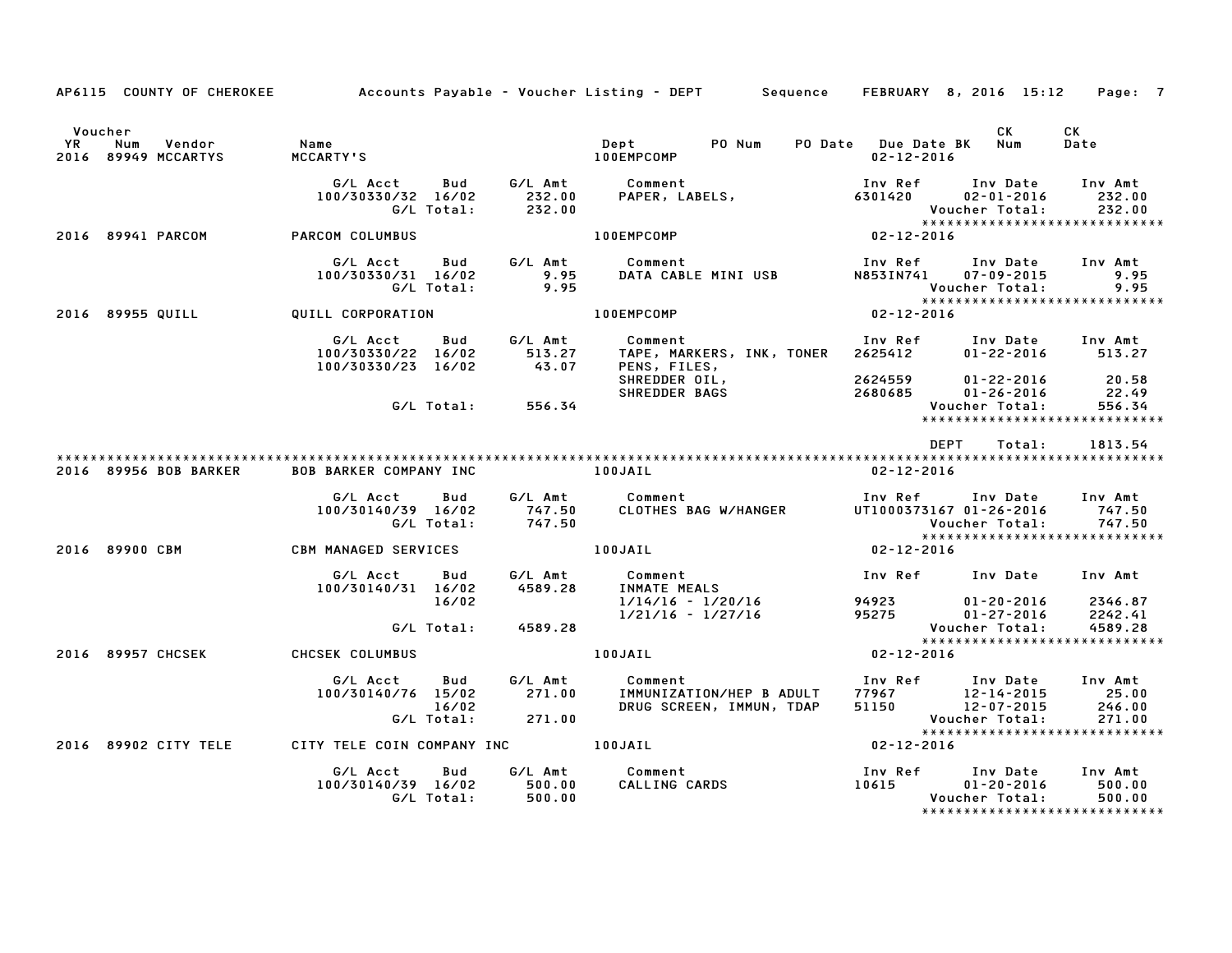|                      |                                      |                                                              |                    | AP6115 COUNTY OF CHEROKEE Accounts Payable - Voucher Listing - DEPT Sequence FEBRUARY 8, 2016 15:12 Page: 7                                                                                                                         |                                                                        |                                                              |            |
|----------------------|--------------------------------------|--------------------------------------------------------------|--------------------|-------------------------------------------------------------------------------------------------------------------------------------------------------------------------------------------------------------------------------------|------------------------------------------------------------------------|--------------------------------------------------------------|------------|
| Voucher<br><b>YR</b> | Vendor<br>Num<br>2016 89949 MCCARTYS | Name                                                         |                    |                                                                                                                                                                                                                                     | PO Date Due Date BK Num<br>02-12-2016                                  | CK                                                           | CK<br>Date |
|                      |                                      |                                                              | G/L Total: 232.00  | 6/L Acct     Bud     G/L Amt     Comment                             Inv Ref     Inv Date     Inv Amt<br>100/30330/32    16/02        232.00     PAPER, LABELS,                      6301420       02–01–2016      232.00           |                                                                        |                                                              | 232.00     |
|                      | 2016 89941 PARCOM                    | PARCOM COLUMBUS                                              |                    | <b>100EMPCOMP</b>                                                                                                                                                                                                                   | Voucher Total: 232.00<br>*******************************<br>02-12-2016 |                                                              |            |
|                      |                                      | 100/30330/31 16/02<br>G/L Total:                             | 9.95<br>9.95       | G/L Acct Bud G/L Amt Comment                                                                                                                                                                                                        |                                                                        | Voucher Total:<br>Voucher Total:                             | 9.95       |
|                      |                                      | 2016 89955 QUILL QUILL CORPORATION                           |                    | 100EMPCOMP                                                                                                                                                                                                                          | $02 - 12 - 2016$                                                       |                                                              |            |
|                      |                                      |                                                              |                    | G/L Acct     Bud     G/L Amt        Comment                          Inv Ref     Inv Date    Inv Amt<br>100/30330/22 16/02       513.27     TAPE, MARKERS, INK, TONER   2625412      01–22–2016       513.27<br>100/30330/23 16/02  |                                                                        | $01 - 22 - 2016$ 513.27                                      |            |
|                      |                                      |                                                              | G/L Total: 556.34  |                                                                                                                                                                                                                                     |                                                                        | Voucher Total:<br>*****************************              | 556.34     |
|                      |                                      |                                                              |                    |                                                                                                                                                                                                                                     | DEPT                                                                   | Total:                                                       | 1813.54    |
|                      | 2016 89956 BOB BARKER                | BOB BARKER COMPANY INC 100JAIL                               |                    |                                                                                                                                                                                                                                     | 02-12-2016                                                             |                                                              |            |
|                      |                                      |                                                              |                    |                                                                                                                                                                                                                                     |                                                                        |                                                              |            |
|                      |                                      |                                                              |                    | 2016 89900 CBM CBM MANAGED SERVICES 100JAIL                                                                                                                                                                                         |                                                                        | 02-12-2016<br>******************************<br>02-12-2016   |            |
|                      |                                      | 16/02                                                        |                    | 1/14/16 - 1/20/16<br>1/14/16 - 1/20/16                                                                                                                                                                                              | Inv Ref Inv Date Inv Amt                                               |                                                              |            |
|                      |                                      |                                                              | G/L Total: 4589.28 |                                                                                                                                                                                                                                     |                                                                        | Voucher Total:                                               | 4589.28    |
|                      | 2016 89957 CHCSEK                    | CHCSEK COLUMBUS                                              |                    | $02 - 12 - 2016$<br>100JAIL                                                                                                                                                                                                         |                                                                        | *****************************                                |            |
|                      |                                      | G/L Acct<br>Bud<br>100/30140/76 15/02<br>16/02<br>G/L Total: | 271.00             | G/L Amt        Comment                                  Inv Ref       Inv Date     Inv Amt<br>271.00     IMMUNIZATION/HEP B ADULT    77967         12-14-2015        25.00<br>DRUG SCREEN, IMMUN, TDAP     51150         12-07-2015 |                                                                        | e dr-2015<br>Voucher Total:<br>***************************** | 271.00     |
|                      | 2016 89902 CITY TELE                 | CITY TELE COIN COMPANY INC <b>100JAIL</b>                    |                    |                                                                                                                                                                                                                                     | $02 - 12 - 2016$                                                       |                                                              |            |
|                      |                                      |                                                              |                    |                                                                                                                                                                                                                                     |                                                                        |                                                              |            |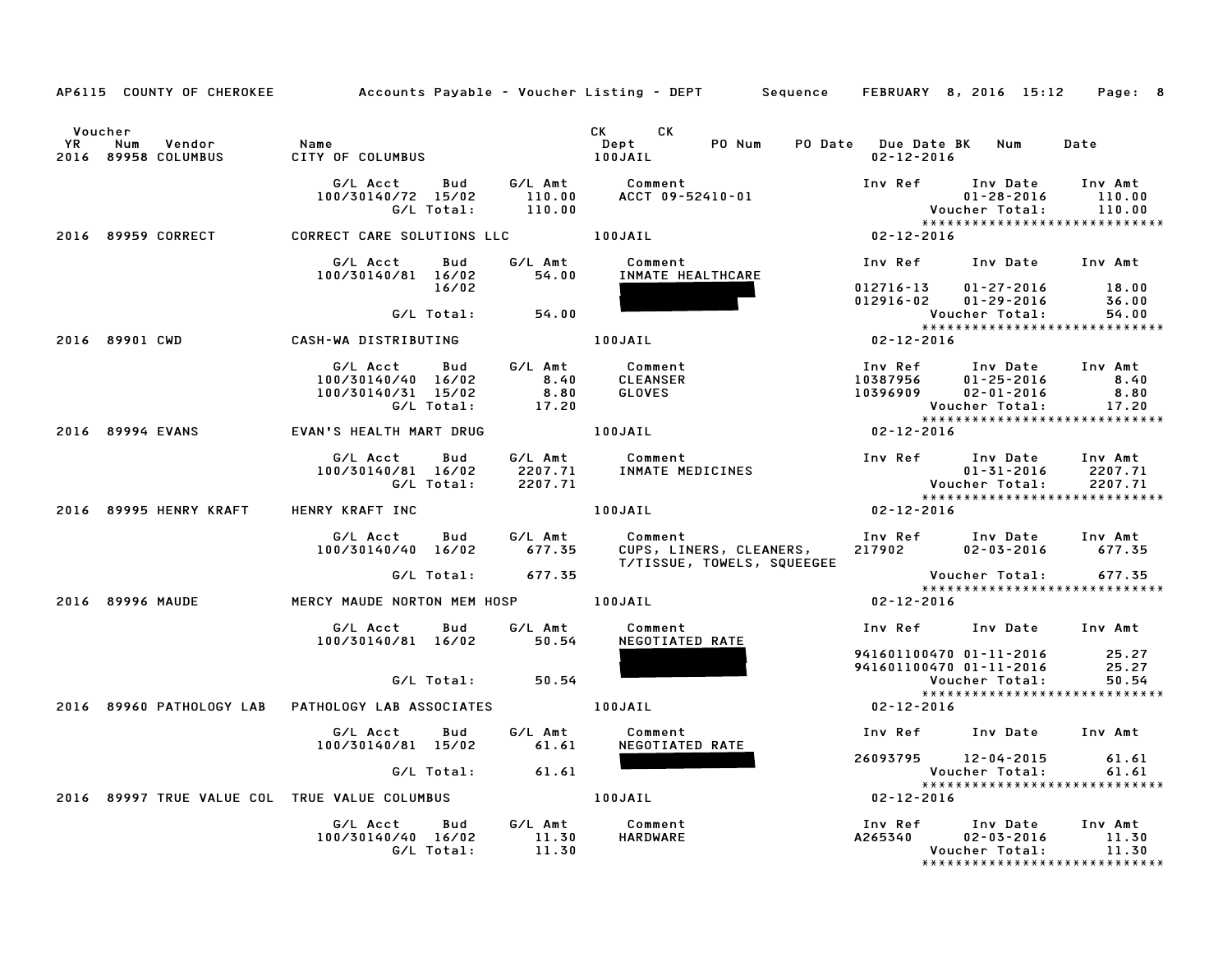|               |                                               |                                                                    |                                                          | AP6115 COUNTY OF CHEROKEE Accounts Payable – Voucher Listing – DEPT Sequence FEBRUARY 8, 2016 15:12 |                  |                                                                                                                   | Page: 8                     |
|---------------|-----------------------------------------------|--------------------------------------------------------------------|----------------------------------------------------------|-----------------------------------------------------------------------------------------------------|------------------|-------------------------------------------------------------------------------------------------------------------|-----------------------------|
| Voucher<br>YR | Num<br>Vendor<br>2016 89958 COLUMBUS          | Name<br>CITY OF COLUMBUS                                           |                                                          | CK CK<br>PO Num<br>Dept<br>100JAIL                                                                  | $02 - 12 - 2016$ | PO Date Due Date BK Num Date                                                                                      |                             |
|               |                                               | G/L Acct<br>100/30140/72 15/02<br>G/L Total:                       | 110.00                                                   | Bud G/LAmt Comment<br>15/02 110.00 ACCT 09-52410-0<br>ACCT 09-52410-01                              | Inv Ref Inv Date | $01 - 28 - 2016$<br>Voucher Total:<br>******************************                                              | Inv Amt<br>110.00<br>110.00 |
|               | 2016 89959 CORRECT                            | CORRECT CARE SOLUTIONS LLC <b>100JAIL</b>                          |                                                          |                                                                                                     | 02-12-2016       |                                                                                                                   |                             |
|               |                                               | G/L Acct<br>100/30140/81 16/02                                     | G/L Amt<br>54.00<br>Bud                                  | Comment<br>INMATE HEALTHCARE                                                                        |                  | Inv Ref Inv Date Inv Amt                                                                                          |                             |
|               |                                               | G/L Total:                                                         | 16/02<br>54.00                                           |                                                                                                     |                  | 012716-13 01-27-2016<br>$012916 - 02$ $01 - 29 - 2016$<br>Voucher Total:                                          | 18.00<br>36.00<br>54.00     |
|               | 2016 89901 CWD                                | CASH-WA DISTRIBUTING                                               |                                                          | 100JAIL                                                                                             | $02 - 12 - 2016$ | *****************************                                                                                     |                             |
|               |                                               | G/L Acct<br>100/30140/40 16/02<br>100/30140/31 15/02<br>G/L Total: | $G/L$ Amt<br>8.40<br><b>Bud</b><br>8.40<br>8.80<br>17.20 | Comment<br><b>CLEANSER</b><br>GLOVES                                                                |                  | 1nv Ref 1nv Date 1nv Amt<br>10387956 01–25–2016 8.40<br>10396909 02–01–2016 8.80<br>***************************** | 17.20                       |
|               | 2016 89994 EVANS                              | EVAN'S HEALTH MART DRUG                                            | <b>100JAIL</b>                                           |                                                                                                     | $02 - 12 - 2016$ |                                                                                                                   |                             |
|               |                                               | G/L Acct Bud<br>100/30140/81 16/02<br>G/L Total:                   | 2207.71                                                  | G/L Amt          Comment<br>INMATE  MEDICINES                                                       |                  | Inv Ref Inv Date Inv Amt<br>$01 - 31 - 2016$<br>Voucher Total: 2207.71<br>*****************************           | 2207.71                     |
|               | 2016 89995 HENRY KRAFT HENRY KRAFT INC        |                                                                    |                                                          | 100JAIL                                                                                             | $02 - 12 - 2016$ |                                                                                                                   |                             |
|               |                                               |                                                                    |                                                          | T/TISSUE, TOWELS, SQUEEGEE                                                                          |                  | Inv Ref       Inv Date     Inv Amt<br>217902          02-03-2016        677.35<br>$02 - 03 - 2016$ 677.35         |                             |
|               |                                               |                                                                    | G/L Total: 677.35                                        |                                                                                                     |                  | Voucher Total:<br>****************<br>*****************************                                               | 677.35                      |
|               | 2016 89996 MAUDE                              | MERCY MAUDE NORTON MEM HOSP 100JAIL                                |                                                          |                                                                                                     | $02 - 12 - 2016$ |                                                                                                                   |                             |
|               |                                               | G/L Acct Bud                                                       | G/L Amt<br>100/30140/81 16/02 50.54                      | Comment<br>NEGOTIATED RATE                                                                          |                  | Inv Ref Inv Date Inv Amt                                                                                          |                             |
|               |                                               |                                                                    | $G/L$ Total: 50.54                                       |                                                                                                     |                  | 941601100470 01-11-2016 25.27<br>941601100470 01-11-2016<br>Voucher Total:                                        | 25.27<br>50.54              |
|               |                                               |                                                                    |                                                          |                                                                                                     | $02 - 12 - 2016$ | *****************************                                                                                     |                             |
|               |                                               | 100/30140/81 15/02                                                 | G/L Acct Bud G/L Amt<br>61.61                            | Comment<br>NEGOTIATED RATE                                                                          |                  | Inv Ref Inv Date Inv Amt                                                                                          |                             |
|               |                                               | G/L Total:                                                         | 61.61                                                    |                                                                                                     |                  | 26093795 12-04-2015<br>Voucher Total:                                                                             | 61.61<br>61.61              |
|               | 2016 89997 TRUE VALUE COL TRUE VALUE COLUMBUS |                                                                    |                                                          | 100JAIL                                                                                             | $02 - 12 - 2016$ | ******************************                                                                                    |                             |
|               |                                               | G/L Acct<br>100/30140/40 16/02<br>G/L Total:                       | G/L Amt<br><b>Bud</b><br>11.30<br>11.30                  | Comment<br>HARDWARE                                                                                 |                  | Inv Ref Inv Date Inv Amt<br>A265340 02-03-2016 11.30<br>Voucher Total:<br>*****************************           | 11.30                       |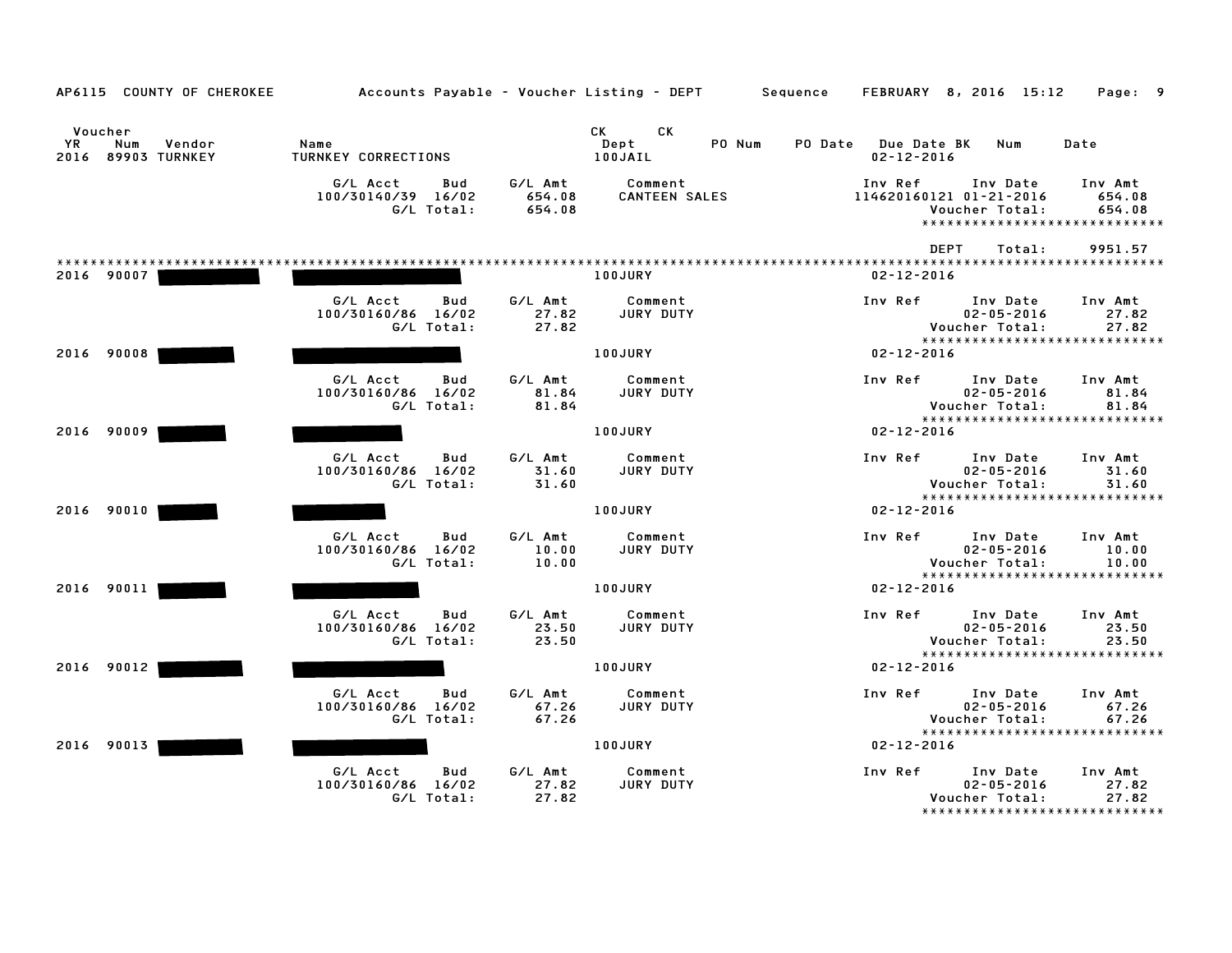| AP6115 COUNTY OF CHEROKEE                             |                                                        |                             | Accounts Payable – Voucher Listing – DEPT         Sequence |                                         | FEBRUARY 8, 2016 15:12<br>Page: 9                                                                              |
|-------------------------------------------------------|--------------------------------------------------------|-----------------------------|------------------------------------------------------------|-----------------------------------------|----------------------------------------------------------------------------------------------------------------|
| Voucher<br>YR.<br>Vendor<br>Num<br>2016 89903 TURNKEY | Name<br><b>TURNKEY CORRECTIONS</b>                     |                             | CK<br><b>CK</b><br>Dept<br>PO Num<br>100JAIL               | PO Date Due Date BK<br>$02 - 12 - 2016$ | Num<br>Date                                                                                                    |
|                                                       | G/L Acct<br>Bud<br>100/30140/39 16/02<br>G/L Total:    | G/L Amt<br>654.08<br>654.08 | Comment<br><b>CANTEEN SALES</b>                            | Inv Ref<br>114620160121 01-21-2016      | Inv Date<br>Inv Amt<br>654.08<br>Voucher Total:<br>654.08<br>*****************************                     |
| 2016 90007                                            |                                                        |                             | 100JURY                                                    | <b>DEPT</b><br>$02 - 12 - 2016$         | Total:<br>9951.57                                                                                              |
|                                                       | G/L Acct<br>Bud<br>100/30160/86 16/02<br>G/L Total:    | G/L Amt<br>27.82<br>27.82   | Comment<br><b>JURY DUTY</b>                                | Inv Ref                                 | Inv Date<br>Inv Amt<br>$02 - 05 - 2016$<br>27.82<br>Voucher Total:<br>27.82                                    |
| 2016 90008                                            |                                                        |                             | <b>100JURY</b>                                             | $02 - 12 - 2016$                        | ******************************                                                                                 |
|                                                       | G/L Acct<br>Bud<br>100/30160/86<br>16/02<br>G/L Total: | G/L Amt<br>81.84<br>81.84   | Comment<br>JURY DUTY                                       | Inv Ref                                 | Inv Date<br>Inv Amt<br>81.84<br>$02 - 05 - 2016$<br>Voucher Total:<br>81.84                                    |
| 2016 90009                                            |                                                        |                             | 100JURY                                                    | $02 - 12 - 2016$                        | *****************************                                                                                  |
|                                                       | G/L Acct<br>Bud<br>100/30160/86 16/02<br>G/L Total:    | G/L Amt<br>31.60<br>31.60   | Comment<br>JURY DUTY                                       | Inv Ref                                 | Inv Date<br>Inv Amt<br>$02 - 05 - 2016$<br>31.60<br>Voucher Total:<br>31.60                                    |
| 2016 90010                                            |                                                        |                             | <b>100JURY</b>                                             | $02 - 12 - 2016$                        | ******************************                                                                                 |
|                                                       | G/L Acct<br>Bud<br>100/30160/86 16/02<br>G/L Total:    | G/L Amt<br>10.00<br>10.00   | Comment<br>JURY DUTY                                       | Inv Ref                                 | Inv Amt<br>Inv Date<br>$02 - 05 - 2016$<br>10.00<br>Voucher Total:<br>10.00                                    |
| 2016 90011                                            |                                                        |                             | 100JURY                                                    | $02 - 12 - 2016$                        | ******************************                                                                                 |
|                                                       | G/L Acct<br>Bud<br>100/30160/86 16/02<br>G/L Total:    | G/L Amt<br>23.50<br>23.50   | Comment<br>JURY DUTY                                       | Inv Ref                                 | Inv Date<br>Inv Amt<br>$02 - 05 - 2016$<br>23.50<br>Voucher Total:<br>23.50                                    |
| 2016 90012                                            |                                                        |                             | 100JURY                                                    | $02 - 12 - 2016$                        | *****************************                                                                                  |
|                                                       | G/L Acct<br>Bud<br>100/30160/86 16/02<br>G/L Total:    | G/L Amt<br>67.26<br>67.26   | Comment<br>JURY DUTY                                       | Inv Ref                                 | Inv Date<br>Inv Amt<br>$02 - 05 - 2016$<br>67.26<br>Voucher Total:<br>67.26                                    |
| 90013<br>2016                                         |                                                        |                             | <b>100JURY</b>                                             | $02 - 12 - 2016$                        | ******************************                                                                                 |
|                                                       | G/L Acct<br>Bud<br>100/30160/86<br>16/02<br>G/L Total: | G/L Amt<br>27.82<br>27.82   | Comment<br>JURY DUTY                                       | Inv Ref                                 | Inv Date<br>Inv Amt<br>$02 - 05 - 2016$<br>27.82<br>Voucher Total:<br>27.82<br>******************************* |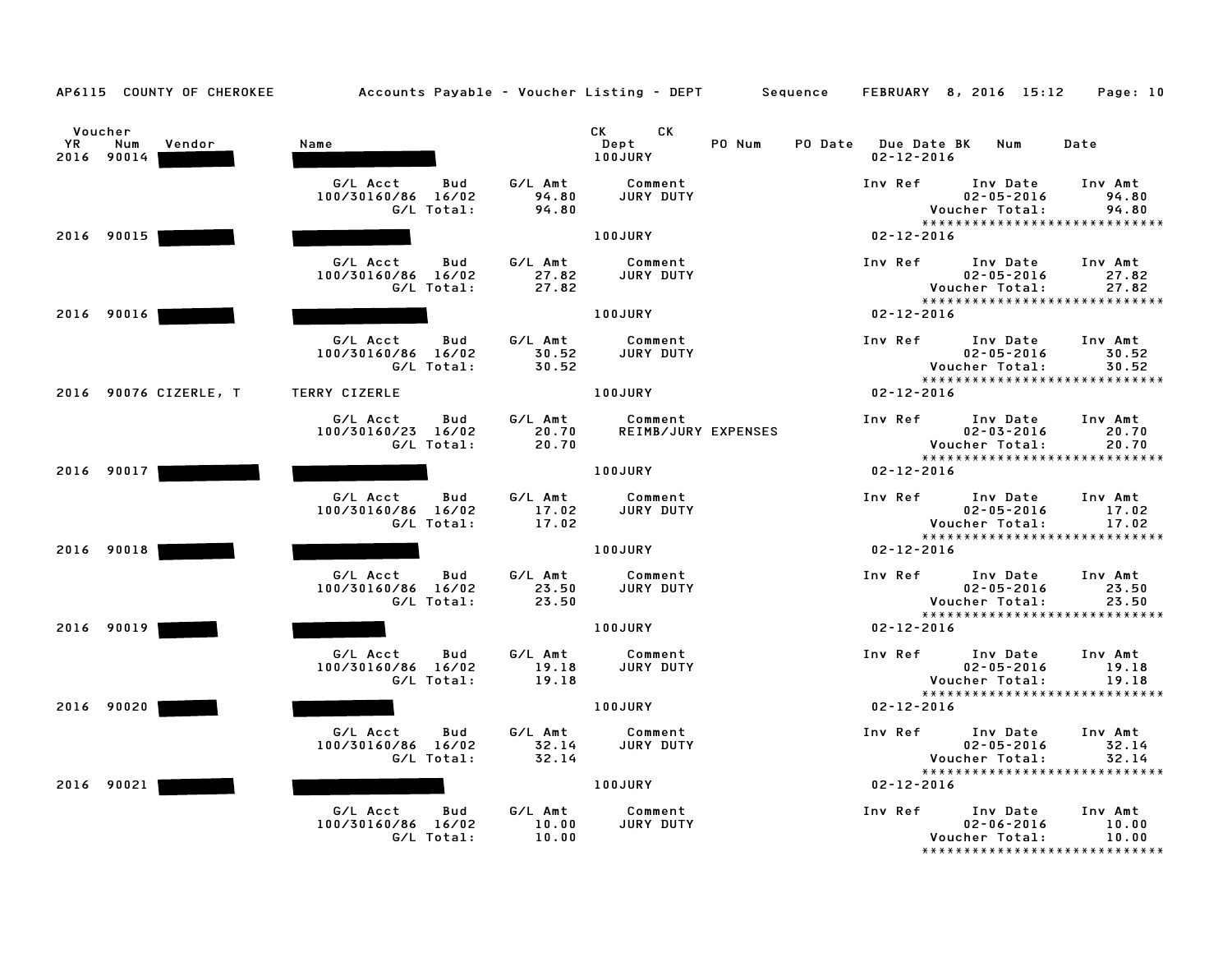| AP6115 COUNTY OF CHEROKEE                    | Accounts Payable – Voucher Listing – DEPT       Sequence   FEBRUARY  8, 2016  15:12     Page: 10 |                           |                                      |        |                  |                                                                                   |                           |
|----------------------------------------------|--------------------------------------------------------------------------------------------------|---------------------------|--------------------------------------|--------|------------------|-----------------------------------------------------------------------------------|---------------------------|
| Voucher<br>YR<br>Num<br>Vendor<br>2016 90014 | Name                                                                                             |                           | CK .<br>CK<br>Dept<br><b>100JURY</b> | PO Num | $02 - 12 - 2016$ | PO Date Due Date BK Num                                                           | Date                      |
|                                              | G/L Acct<br>Bud<br>100/30160/86 16/02<br>G/L Total:                                              | G/L Amt<br>94.80<br>94.80 | Comment<br>JURY DUTY                 |        | Inv Ref          | Inv Date<br>$02 - 05 - 2016$<br>Voucher Total:<br>*****************************   | Inv Amt<br>94.80<br>94.80 |
| 2016 90015                                   |                                                                                                  |                           | <b>100JURY</b>                       |        | $02 - 12 - 2016$ |                                                                                   |                           |
|                                              | G/L Acct<br>Bud<br>100/30160/86 16/02<br>G/L Total:                                              | G/L Amt<br>27.82<br>27.82 | Comment<br>JURY DUTY                 |        | Inv Ref          | Inv Date<br>$02 - 05 - 2016$<br>Voucher Total:<br>*****************************   | Inv Amt<br>27.82<br>27.82 |
| 2016 90016                                   |                                                                                                  |                           | 100JURY                              |        | $02 - 12 - 2016$ |                                                                                   |                           |
|                                              | G/L Acct<br>Bud<br>100/30160/86 16/02<br>G/L Total:                                              | G/L Amt<br>30.52<br>30.52 | Comment<br>JURY DUTY                 |        | Inv Ref          | Inv Date<br>$02 - 05 - 2016$<br>Voucher Total:<br>*****************************   | Inv Amt<br>30.52<br>30.52 |
| 2016 90076 CIZERLE, T                        | TERRY CIZERLE                                                                                    |                           | 100JURY                              |        | $02 - 12 - 2016$ |                                                                                   |                           |
|                                              | G/L Acct<br>Bud<br>100/30160/23 16/02<br>G/L Total:                                              | G/L Amt<br>20.70<br>20.70 | Comment<br>REIMB/JURY EXPENSES       |        | Inv Ref          | Inv Date<br>$02 - 03 - 2016$<br>Voucher Total:<br>*****************************   | Inv Amt<br>20.70<br>20.70 |
| 2016 90017                                   |                                                                                                  |                           | <b>100JURY</b>                       |        | $02 - 12 - 2016$ |                                                                                   |                           |
|                                              | G/L Acct<br>Bud<br>100/30160/86 16/02<br>G/L Total:                                              | G/L Amt<br>17.02<br>17.02 | Comment<br>JURY DUTY                 |        | Inv Ref          | Inv Date<br>$02 - 05 - 2016$<br>Voucher Total:<br>******************************  | Inv Amt<br>17.02<br>17.02 |
| 2016 90018                                   |                                                                                                  |                           | 100JURY                              |        | $02 - 12 - 2016$ |                                                                                   |                           |
|                                              | G/L Acct<br>Bud<br>100/30160/86 16/02<br>G/L Total:                                              | G/L Amt<br>23.50<br>23.50 | Comment<br>JURY DUTY                 |        | Inv Ref          | Inv Date<br>$02 - 05 - 2016$<br>Voucher Total:<br>*****************************   | Inv Amt<br>23.50<br>23.50 |
| 2016 90019                                   |                                                                                                  |                           | 100JURY                              |        | $02 - 12 - 2016$ |                                                                                   |                           |
|                                              | G/L Acct<br>Bud<br>100/30160/86 16/02<br>G/L Total:                                              | G/L Amt<br>19.18<br>19.18 | Comment<br>JURY DUTY                 |        | Inv Ref          | Inv Date<br>$02 - 05 - 2016$<br>Voucher Total:                                    | Inv Amt<br>19.18<br>19.18 |
| 2016 90020                                   |                                                                                                  |                           | 100JURY                              |        | $02 - 12 - 2016$ | ******************************                                                    |                           |
|                                              | G/L Acct<br>Bud<br>100/30160/86 16/02<br>G/L Total:                                              | G/L Amt<br>32.14<br>32.14 | Comment<br>JURY DUTY                 |        | Inv Ref          | Inv Date<br>$02 - 05 - 2016$<br>Voucher Total:<br>*****************************   | Inv Amt<br>32.14<br>32.14 |
| 2016 90021                                   |                                                                                                  |                           | 100JURY                              |        | $02 - 12 - 2016$ |                                                                                   |                           |
|                                              | G/L Acct<br>Bud<br>100/30160/86 16/02<br>G/L Total:                                              | G/L Amt<br>10.00<br>10.00 | Comment<br>JURY DUTY                 |        | Inv Ref          | Inv Date<br>$02 - 06 - 2016$<br>Voucher Total:<br>******************************* | Inv Amt<br>10.00<br>10.00 |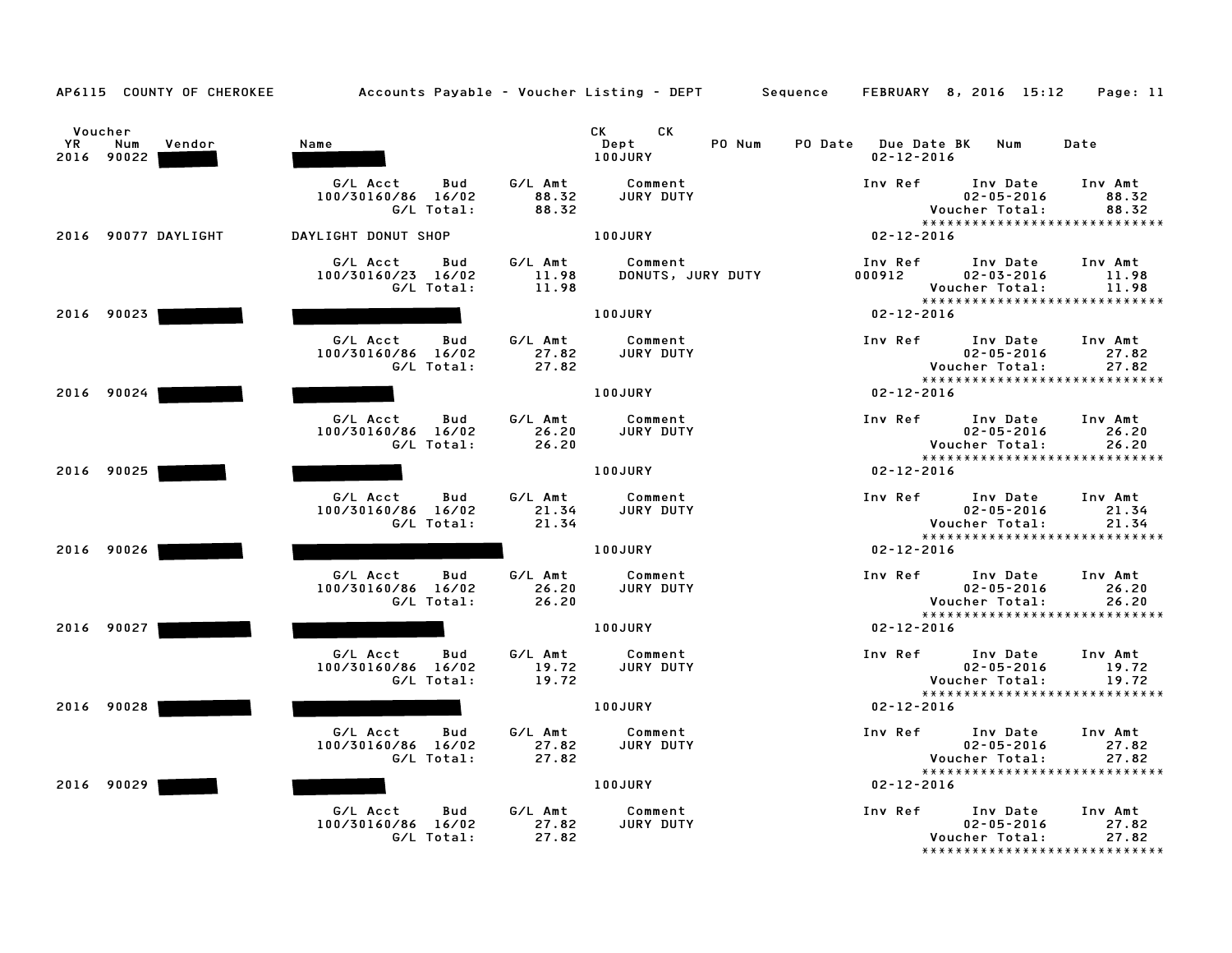|  | AP6115 |  |  | COUNTY OF CHEROKEE |
|--|--------|--|--|--------------------|
|--|--------|--|--|--------------------|

| YR | Voucher<br>Num<br>Vendor<br>2016 90022 | Name                                                   |                           | CK<br>CK to the control of the control of the control of the control of the control of the control of the control of<br>Control of the control of the control of the control of the control of the control of the control of the contr<br>Dept<br>PO Num<br>100JURY | PO Date Due Date BK<br>$02 - 12 - 2016$ | Date<br>Num                                                                                                   |
|----|----------------------------------------|--------------------------------------------------------|---------------------------|---------------------------------------------------------------------------------------------------------------------------------------------------------------------------------------------------------------------------------------------------------------------|-----------------------------------------|---------------------------------------------------------------------------------------------------------------|
|    |                                        | G/L Acct<br>Bud<br>100/30160/86 16/02<br>G/L Total:    | G/L Amt<br>88.32<br>88.32 | Comment<br><b>JURY DUTY</b>                                                                                                                                                                                                                                         | Inv Ref                                 | Inv Date<br>Inv Amt<br>$02 - 05 - 2016$<br>88.32<br>Voucher Total:<br>88.32<br>*****************************  |
|    | 2016 90077 DAYLIGHT                    | DAYLIGHT DONUT SHOP                                    |                           | 100JURY                                                                                                                                                                                                                                                             | $02 - 12 - 2016$                        |                                                                                                               |
|    |                                        | G/L Acct<br>Bud<br>100/30160/23 16/02<br>G/L Total:    | G/L Amt<br>11.98<br>11.98 | Comment<br>DONUTS, JURY DUTY                                                                                                                                                                                                                                        | Inv Ref<br>000912                       | Inv Date<br>Inv Amt<br>$02 - 03 - 2016$<br>11.98<br>Voucher Total:<br>11.98<br>*****************************  |
|    | 2016 90023                             |                                                        |                           | <b>100JURY</b>                                                                                                                                                                                                                                                      | $02 - 12 - 2016$                        |                                                                                                               |
|    |                                        | G/L Acct<br>Bud<br>100/30160/86 16/02<br>G/L Total:    | G/L Amt<br>27.82<br>27.82 | Comment<br>JURY DUTY                                                                                                                                                                                                                                                | Inv Ref                                 | Inv Date<br>Inv Amt<br>$02 - 05 - 2016$<br>27.82<br>27.82<br>Voucher Total:<br>*****************************  |
|    | 2016 90024                             |                                                        |                           | 100JURY                                                                                                                                                                                                                                                             | $02 - 12 - 2016$                        |                                                                                                               |
|    |                                        | G/L Acct<br>Bud<br>100/30160/86<br>16/02<br>G/L Total: | G/L Amt<br>26.20<br>26.20 | Comment<br><b>JURY DUTY</b>                                                                                                                                                                                                                                         | Inv Ref                                 | Inv Date<br>Inv Amt<br>$02 - 05 - 2016$<br>26.20<br>Voucher Total:<br>26.20<br>****************************** |
|    | 2016 90025                             |                                                        |                           | 100JURY                                                                                                                                                                                                                                                             | $02 - 12 - 2016$                        |                                                                                                               |
|    |                                        | G/L Acct<br>Bud<br>100/30160/86 16/02<br>G/L Total:    | G/L Amt<br>21.34<br>21.34 | Comment<br>JURY DUTY                                                                                                                                                                                                                                                | Inv Ref                                 | Inv Date<br>Inv Amt<br>$02 - 05 - 2016$<br>21.34<br>Voucher Total:<br>21.34                                   |
|    | 2016 90026                             |                                                        |                           | 100JURY                                                                                                                                                                                                                                                             | $02 - 12 - 2016$                        | ******************************                                                                                |
|    |                                        | G/L Acct<br>Bud<br>100/30160/86 16/02<br>G/L Total:    | G/L Amt<br>26.20<br>26.20 | Comment<br>JURY DUTY                                                                                                                                                                                                                                                | Inv Ref                                 | Inv Date<br>Inv Amt<br>$02 - 05 - 2016$<br>26.20<br>26.20<br>Voucher Total:<br>*****************************  |
|    | 2016 90027                             |                                                        |                           | 100JURY                                                                                                                                                                                                                                                             | $02 - 12 - 2016$                        |                                                                                                               |
|    |                                        | G/L Acct<br>Bud<br>100/30160/86 16/02<br>G/L Total:    | G/L Amt<br>19.72<br>19.72 | Comment<br>JURY DUTY                                                                                                                                                                                                                                                | Inv Ref                                 | Inv Date<br>Inv Amt<br>$02 - 05 - 2016$<br>19.72<br>Voucher Total:<br>19.72<br>*****************************  |
|    | 2016 90028                             |                                                        |                           | 100JURY                                                                                                                                                                                                                                                             | $02 - 12 - 2016$                        |                                                                                                               |
|    |                                        | G/L Acct<br>Bud<br>100/30160/86 16/02<br>G/L Total:    | G/L Amt<br>27.82<br>27.82 | Comment<br>JURY DUTY                                                                                                                                                                                                                                                | Inv Ref                                 | Inv Date<br>Inv Amt<br>$02 - 05 - 2016$<br>27.82<br>Voucher Total:<br>27.82<br>*****************************  |
|    | 2016 90029                             |                                                        |                           | 100JURY                                                                                                                                                                                                                                                             | $02 - 12 - 2016$                        |                                                                                                               |
|    |                                        | G/L Acct<br>Bud<br>100/30160/86 16/02<br>G/L Total:    | G/L Amt<br>27.82<br>27.82 | Comment<br>JURY DUTY                                                                                                                                                                                                                                                | Inv Ref                                 | Inv Date<br>Inv Amt<br>$02 - 05 - 2016$<br>27.82<br>27.82<br>Voucher Total:<br>*****************************  |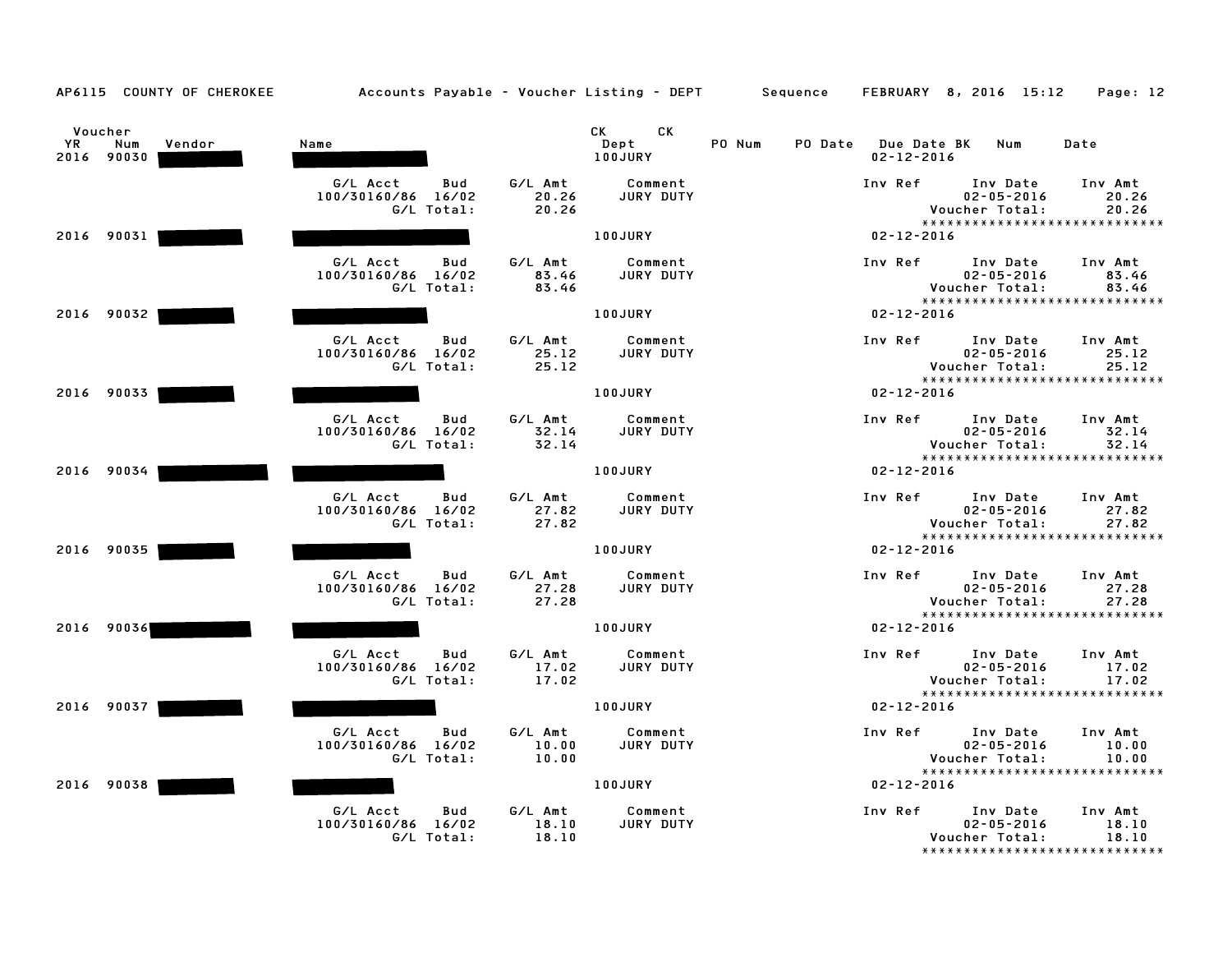| AP6115 COUNTY OF CHEROKEE                    | Accounts Payable - Voucher Listing - DEPT Sequence  |                           |                              |        |                                                   | FEBRUARY 8, 2016 15:12                                                          | Page: 12                  |
|----------------------------------------------|-----------------------------------------------------|---------------------------|------------------------------|--------|---------------------------------------------------|---------------------------------------------------------------------------------|---------------------------|
| Voucher<br>YR<br>Num<br>Vendor<br>2016 90030 | Name                                                |                           | CK<br>CK.<br>Dept<br>100JURY | PO Num | PO Date<br><b>Due Date BK</b><br>$02 - 12 - 2016$ | Num                                                                             | Date                      |
|                                              | G/L Acct<br>Bud<br>100/30160/86 16/02<br>G/L Total: | G/L Amt<br>20.26<br>20.26 | Comment<br>JURY DUTY         |        | Inv Ref                                           | Inv Date<br>$02 - 05 - 2016$<br>Voucher Total:<br>***************************** | Inv Amt<br>20.26<br>20.26 |
| 2016 90031                                   |                                                     |                           | <b>100JURY</b>               |        | $02 - 12 - 2016$                                  |                                                                                 |                           |
|                                              | G/L Acct<br>Bud<br>100/30160/86 16/02<br>G/L Total: | G/L Amt<br>83.46<br>83.46 | Comment<br>JURY DUTY         |        | Inv Ref                                           | Inv Date<br>$02 - 05 - 2016$<br>Voucher Total:<br>***************************** | Inv Amt<br>83.46<br>83.46 |
| 2016 90032                                   |                                                     |                           | 100JURY                      |        | $02 - 12 - 2016$                                  |                                                                                 |                           |
|                                              | G/L Acct<br>Bud<br>100/30160/86 16/02<br>G/L Total: | G/L Amt<br>25.12<br>25.12 | Comment<br>JURY DUTY         |        | Inv Ref                                           | Inv Date<br>$02 - 05 - 2016$<br>Voucher Total:<br>***************************** | Inv Amt<br>25.12<br>25.12 |
| 2016 90033                                   |                                                     |                           | 100JURY                      |        | $02 - 12 - 2016$                                  |                                                                                 |                           |
|                                              | G/L Acct<br>Bud<br>100/30160/86 16/02<br>G/L Total: | G/L Amt<br>32.14<br>32.14 | Comment<br>JURY DUTY         |        | Inv Ref                                           | Inv Date<br>$02 - 05 - 2016$<br>Voucher Total:<br>***************************** | Inv Amt<br>32.14<br>32.14 |
| 2016 90034                                   |                                                     |                           | 100JURY                      |        | $02 - 12 - 2016$                                  |                                                                                 |                           |
|                                              | G/L Acct<br>Bud<br>100/30160/86 16/02<br>G/L Total: | G/L Amt<br>27.82<br>27.82 | Comment<br>JURY DUTY         |        | Inv Ref                                           | Inv Date<br>$02 - 05 - 2016$<br>Voucher Total:                                  | Inv Amt<br>27.82<br>27.82 |
| 2016 90035                                   |                                                     |                           | 100JURY                      |        | $02 - 12 - 2016$                                  | *****************************                                                   |                           |
|                                              | G/L Acct<br>Bud<br>100/30160/86 16/02<br>G/L Total: | G/L Amt<br>27.28<br>27.28 | Comment<br>JURY DUTY         |        | Inv Ref                                           | Inv Date<br>$02 - 05 - 2016$<br>Voucher Total:                                  | Inv Amt<br>27.28<br>27.28 |
| 2016 90036                                   |                                                     |                           | 100JURY                      |        | $02 - 12 - 2016$                                  | *****************************                                                   |                           |
|                                              | G/L Acct<br>Bud<br>100/30160/86 16/02<br>G/L Total: | G/L Amt<br>17.02<br>17.02 | Comment<br>JURY DUTY         |        | Inv Ref                                           | Inv Date<br>$02 - 05 - 2016$<br>Voucher Total:                                  | Inv Amt<br>17.02<br>17.02 |
| 2016 90037                                   |                                                     |                           | 100JURY                      |        | $02 - 12 - 2016$                                  | *****************************                                                   |                           |
|                                              | G/L Acct<br>Bud<br>100/30160/86 16/02<br>G/L Total: | G/L Amt<br>10.00<br>10.00 | Comment<br>JURY DUTY         |        | Inv Ref                                           | Inv Date<br>$02 - 05 - 2016$<br>Voucher Total:                                  | Inv Amt<br>10.00<br>10.00 |
| 2016 90038                                   |                                                     |                           | 100JURY                      |        | $02 - 12 - 2016$                                  | *****************************                                                   |                           |
|                                              | G/L Acct<br>Bud<br>100/30160/86 16/02<br>G/L Total: | G/L Amt<br>18.10<br>18.10 | Comment<br>JURY DUTY         |        | Inv Ref                                           | Inv Date<br>$02 - 05 - 2016$<br>Voucher Total:<br>***************************** | Inv Amt<br>18.10<br>18.10 |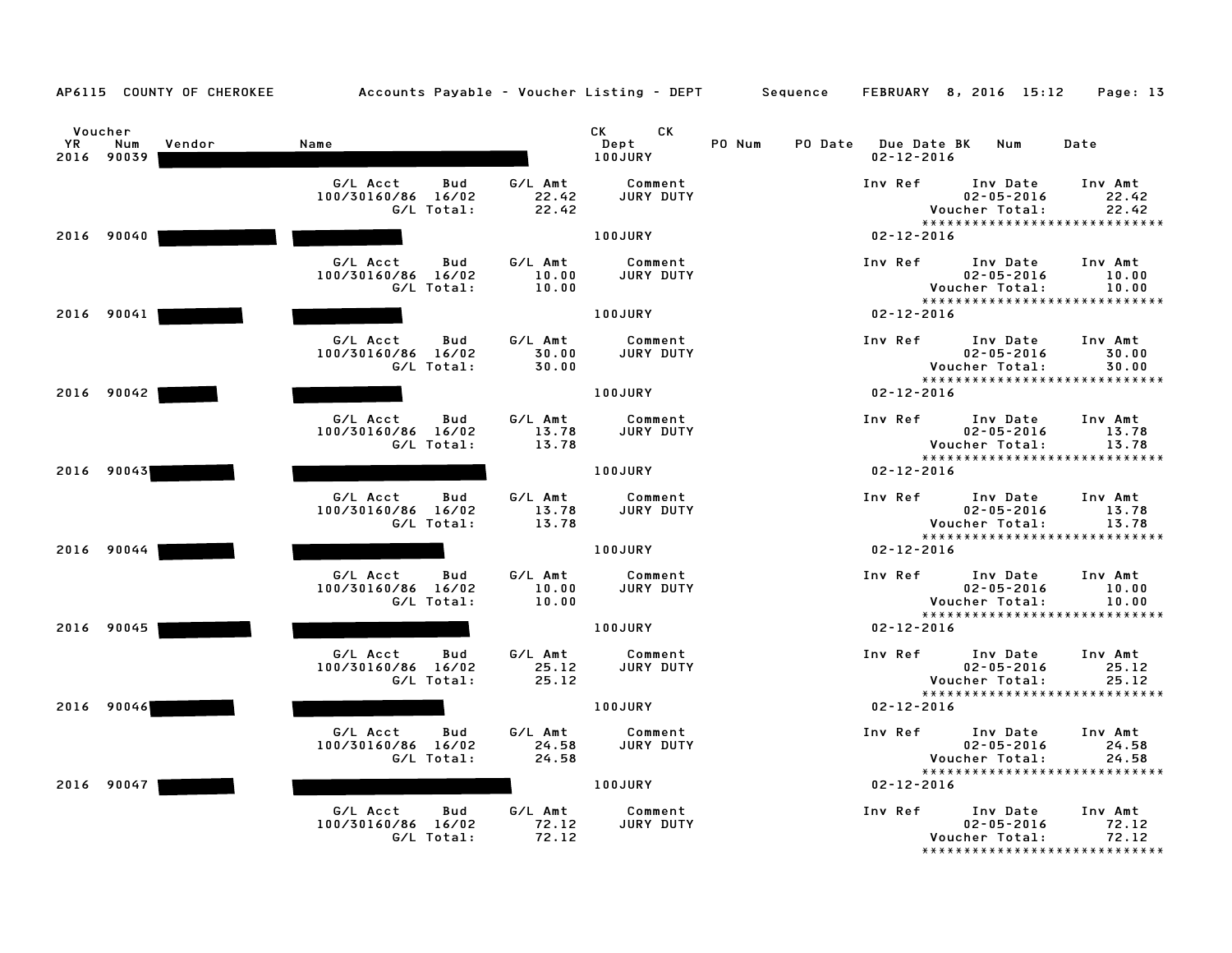| AP6115 COUNTY OF CHEROKEE                    | Accounts Payable – Voucher Listing – DEPT         Sequence |                           |                               |        |                  | FEBRUARY 8, 2016 15:12                                                          | Page: 13                  |
|----------------------------------------------|------------------------------------------------------------|---------------------------|-------------------------------|--------|------------------|---------------------------------------------------------------------------------|---------------------------|
| Voucher<br>YR<br>Num<br>Vendor<br>2016 90039 | Name                                                       |                           | CK.<br>CK.<br>Dept<br>100JURY | PO Num | $02 - 12 - 2016$ | PO Date Due Date BK Num                                                         | Date                      |
|                                              | G/L Acct<br>Bud<br>100/30160/86 16/02<br>G/L Total:        | G/L Amt<br>22.42<br>22.42 | Comment<br>JURY DUTY          |        | Inv Ref          | Inv Date<br>$02 - 05 - 2016$<br>Voucher Total:<br>***************************** | Inv Amt<br>22.42<br>22.42 |
| 2016 90040                                   |                                                            |                           | 100JURY                       |        | $02 - 12 - 2016$ |                                                                                 |                           |
|                                              | G/L Acct<br>Bud<br>100/30160/86 16/02<br>G/L Total:        | G/L Amt<br>10.00<br>10.00 | Comment<br>JURY DUTY          |        | Inv Ref          | Inv Date<br>$02 - 05 - 2016$<br>Voucher Total:<br>***************************** | Inv Amt<br>10.00<br>10.00 |
| 2016 90041                                   |                                                            |                           | 100JURY                       |        | $02 - 12 - 2016$ |                                                                                 |                           |
|                                              | G/L Acct<br>Bud<br>100/30160/86 16/02<br>G/L Total:        | G/L Amt<br>30.00<br>30.00 | Comment<br>JURY DUTY          |        | Inv Ref          | Inv Date<br>$02 - 05 - 2016$<br>Voucher Total:<br>***************************** | Inv Amt<br>30.00<br>30.00 |
| 2016 90042                                   |                                                            |                           | 100JURY                       |        | $02 - 12 - 2016$ |                                                                                 |                           |
|                                              | G/L Acct<br>Bud<br>100/30160/86 16/02<br>G/L Total:        | G/L Amt<br>13.78<br>13.78 | Comment<br>JURY DUTY          |        | Inv Ref          | Inv Date<br>$02 - 05 - 2016$<br>Voucher Total:<br>***************************** | Inv Amt<br>13.78<br>13.78 |
| 2016 90043                                   |                                                            |                           | 100JURY                       |        | $02 - 12 - 2016$ |                                                                                 |                           |
|                                              | G/L Acct<br>Bud<br>100/30160/86 16/02<br>G/L Total:        | G/L Amt<br>13.78<br>13.78 | Comment<br>JURY DUTY          |        | Inv Ref          | Inv Date<br>$02 - 05 - 2016$<br>Voucher Total:                                  | Inv Amt<br>13.78<br>13.78 |
| 2016 90044                                   |                                                            |                           | 100JURY                       |        | $02 - 12 - 2016$ | *****************************                                                   |                           |
|                                              | G/L Acct<br>Bud<br>100/30160/86 16/02<br>G/L Total:        | G/L Amt<br>10.00<br>10.00 | Comment<br>JURY DUTY          |        | Inv Ref          | Inv Date<br>$02 - 05 - 2016$<br>Voucher Total:<br>***************************** | Inv Amt<br>10.00<br>10.00 |
| 2016 90045                                   |                                                            |                           | 100JURY                       |        | $02 - 12 - 2016$ |                                                                                 |                           |
|                                              | G/L Acct<br>Bud<br>100/30160/86 16/02<br>G/L Total:        | G/L Amt<br>25.12<br>25.12 | Comment<br>JURY DUTY          |        | Inv Ref          | Inv Date<br>$02 - 05 - 2016$<br>Voucher Total:                                  | Inv Amt<br>25.12<br>25.12 |
| 2016 90046                                   |                                                            |                           | 100JURY                       |        | $02 - 12 - 2016$ | *****************************                                                   |                           |
|                                              | G/L Acct<br>Bud<br>100/30160/86 16/02<br>G/L Total:        | G/L Amt<br>24.58<br>24.58 | Comment<br>JURY DUTY          |        | Inv Ref          | Inv Date<br>$02 - 05 - 2016$<br>Voucher Total:                                  | Inv Amt<br>24.58<br>24.58 |
| 2016 90047                                   |                                                            |                           | 100JURY                       |        | $02 - 12 - 2016$ | *****************************                                                   |                           |
|                                              | G/L Acct<br>Bud<br>100/30160/86 16/02<br>G/L Total:        | G/L Amt<br>72.12<br>72.12 | Comment<br>JURY DUTY          |        | Inv Ref          | Inv Date<br>$02 - 05 - 2016$<br>Voucher Total:<br>***************************** | Inv Amt<br>72.12<br>72.12 |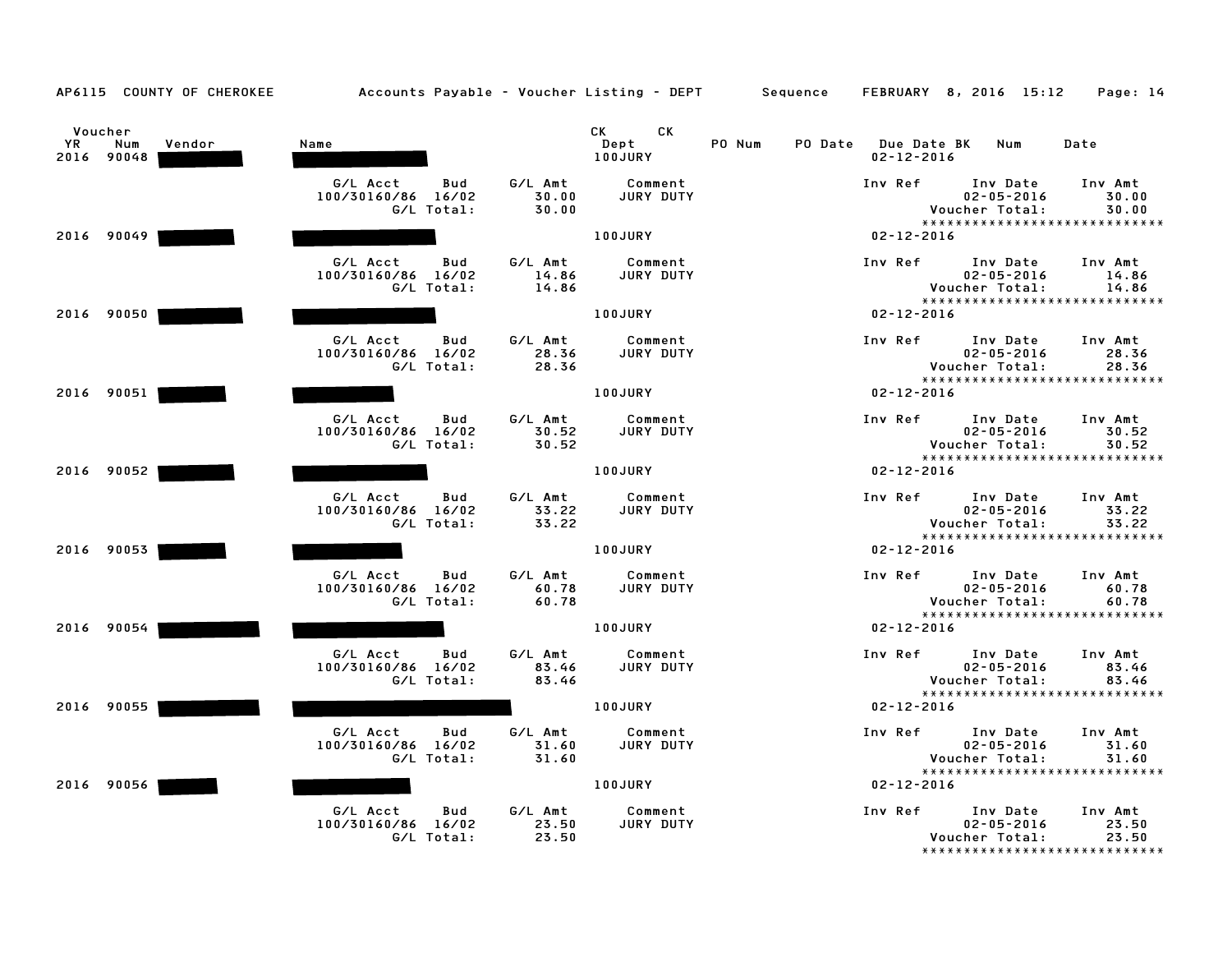| AP6115 COUNTY OF CHEROKEE                    | Accounts Payable – Voucher Listing – DEPT Sequence  |                           |                             |        |                                         | FEBRUARY 8, 2016 15:12                                                          | Page: 14                  |
|----------------------------------------------|-----------------------------------------------------|---------------------------|-----------------------------|--------|-----------------------------------------|---------------------------------------------------------------------------------|---------------------------|
| Voucher<br>YR<br>Num<br>Vendor<br>2016 90048 | Name                                                |                           | CK<br>CK<br>Dept<br>100JURY | PO Num | PO Date Due Date BK<br>$02 - 12 - 2016$ | Num                                                                             | Date                      |
|                                              | G/L Acct<br>Bud<br>100/30160/86 16/02<br>G/L Total: | G/L Amt<br>30.00<br>30.00 | Comment<br>JURY DUTY        |        | Inv Ref                                 | Inv Date<br>$02 - 05 - 2016$<br>Voucher Total:<br>***************************** | Inv Amt<br>30.00<br>30.00 |
| 2016 90049                                   |                                                     |                           | 100JURY                     |        | $02 - 12 - 2016$                        |                                                                                 |                           |
|                                              | G/L Acct<br>Bud<br>100/30160/86 16/02<br>G/L Total: | G/L Amt<br>14.86<br>14.86 | Comment<br><b>JURY DUTY</b> |        | Inv Ref                                 | Inv Date<br>$02 - 05 - 2016$<br>Voucher Total:<br>***************************** | Inv Amt<br>14.86<br>14.86 |
| 2016 90050                                   |                                                     |                           | 100JURY                     |        | $02 - 12 - 2016$                        |                                                                                 |                           |
|                                              | G/L Acct<br>Bud<br>100/30160/86 16/02<br>G/L Total: | G/L Amt<br>28.36<br>28.36 | Comment<br>JURY DUTY        |        | Inv Ref                                 | Inv Date<br>$02 - 05 - 2016$<br>Voucher Total:<br>***************************** | Inv Amt<br>28.36<br>28.36 |
| 2016 90051                                   |                                                     |                           | 100JURY                     |        | $02 - 12 - 2016$                        |                                                                                 |                           |
|                                              | G/L Acct<br>Bud<br>100/30160/86 16/02<br>G/L Total: | G/L Amt<br>30.52<br>30.52 | Comment<br><b>JURY DUTY</b> |        | Inv Ref                                 | Inv Date<br>$02 - 05 - 2016$<br>Voucher Total:<br>***************************** | Inv Amt<br>30.52<br>30.52 |
| 2016 90052                                   |                                                     |                           | 100JURY                     |        | $02 - 12 - 2016$                        |                                                                                 |                           |
|                                              | G/L Acct<br>Bud<br>100/30160/86 16/02<br>G/L Total: | G/L Amt<br>33.22<br>33.22 | Comment<br>JURY DUTY        |        | Inv Ref                                 | Inv Date<br>$02 - 05 - 2016$<br>Voucher Total:                                  | Inv Amt<br>33.22<br>33.22 |
| 2016 90053                                   |                                                     |                           | 100JURY                     |        | $02 - 12 - 2016$                        | *****************************                                                   |                           |
|                                              | G/L Acct<br>Bud<br>100/30160/86 16/02<br>G/L Total: | G/L Amt<br>60.78<br>60.78 | Comment<br>JURY DUTY        |        | Inv Ref                                 | Inv Date<br>$02 - 05 - 2016$<br>Voucher Total:                                  | Inv Amt<br>60.78<br>60.78 |
| 2016 90054                                   |                                                     |                           | 100JURY                     |        | $02 - 12 - 2016$                        | ******************************                                                  |                           |
|                                              | G/L Acct<br>Bud<br>100/30160/86 16/02<br>G/L Total: | G/L Amt<br>83.46<br>83.46 | Comment<br>JURY DUTY        |        | Inv Ref                                 | Inv Date<br>$02 - 05 - 2016$<br>Voucher Total:                                  | Inv Amt<br>83.46<br>83.46 |
| 2016 90055                                   |                                                     |                           | 100JURY                     |        | $02 - 12 - 2016$                        | *****************************                                                   |                           |
|                                              | G/L Acct<br>Bud<br>100/30160/86 16/02<br>G/L Total: | G/L Amt<br>31.60<br>31.60 | Comment<br>JURY DUTY        |        | Inv Ref                                 | Inv Date<br>$02 - 05 - 2016$<br>Voucher Total:                                  | Inv Amt<br>31.60<br>31.60 |
| 2016 90056                                   |                                                     |                           | 100JURY                     |        | $02 - 12 - 2016$                        | *****************************                                                   |                           |
|                                              | G/L Acct<br>Bud<br>100/30160/86 16/02<br>G/L Total: | G/L Amt<br>23.50<br>23.50 | Comment<br>JURY DUTY        |        | Inv Ref                                 | Inv Date<br>$02 - 05 - 2016$<br>Voucher Total:<br>***************************** | Inv Amt<br>23.50<br>23.50 |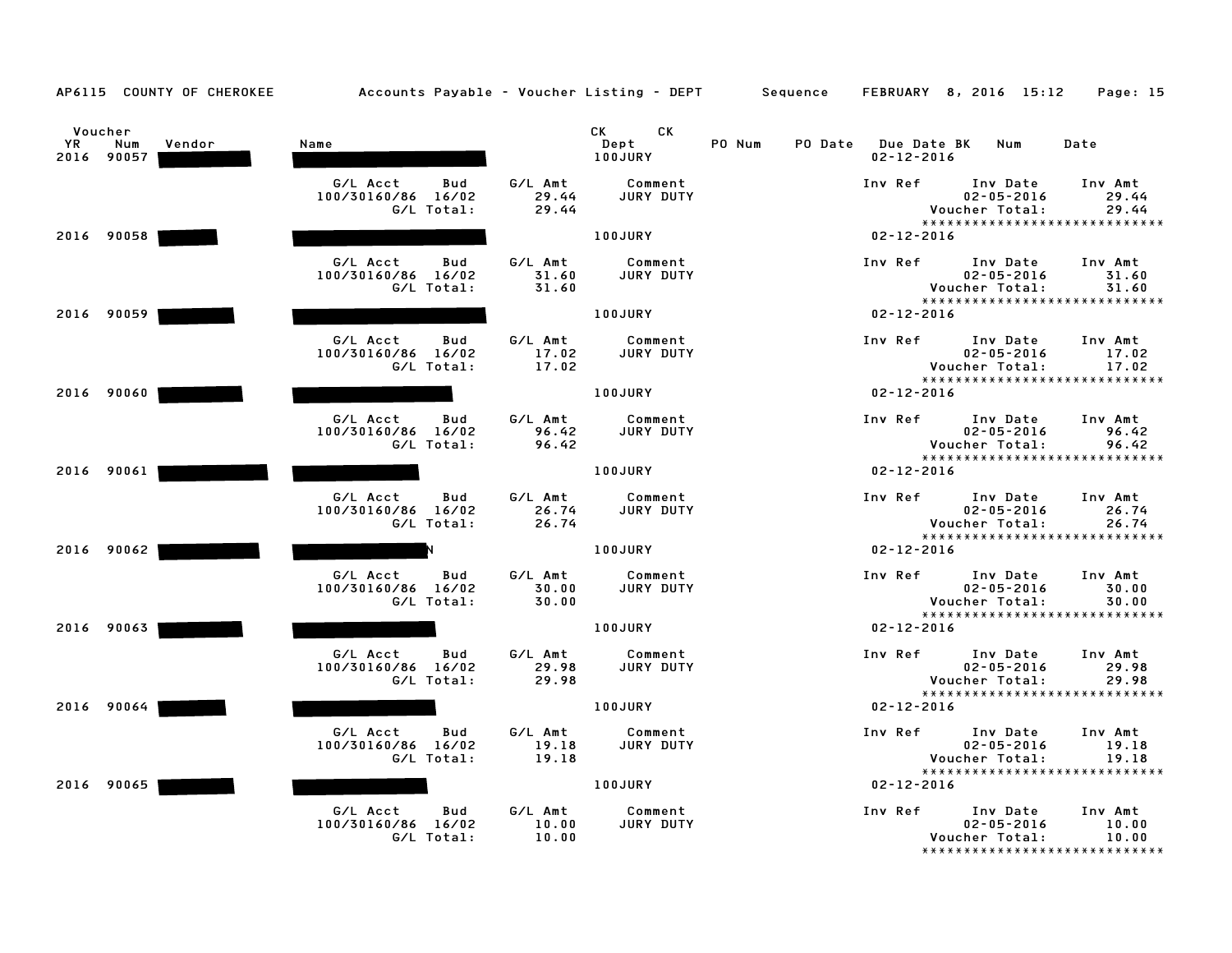|  | AP6115 |  |  | <b>COUNTY OF CHEROKEE</b> |
|--|--------|--|--|---------------------------|
|--|--------|--|--|---------------------------|

| YR. | Voucher<br>Num<br>2016 90057 | Vendor | Name                                                |                           | CK <sub>2</sub><br><b>CK</b><br>Dept<br>100JURY | PO Num | PO Date Due Date BK |         | $02 - 12 - 2016$ | Num                                            | Date                                                       |
|-----|------------------------------|--------|-----------------------------------------------------|---------------------------|-------------------------------------------------|--------|---------------------|---------|------------------|------------------------------------------------|------------------------------------------------------------|
|     |                              |        | G/L Acct<br>Bud<br>100/30160/86 16/02<br>G/L Total: | G/L Amt<br>29.44<br>29.44 | Comment<br><b>JURY DUTY</b>                     |        |                     | Inv Ref |                  | Inv Date<br>$02 - 05 - 2016$<br>Voucher Total: | Inv Amt<br>29.44<br>29.44                                  |
|     | 2016 90058                   |        |                                                     |                           | 100JURY                                         |        |                     |         | $02 - 12 - 2016$ |                                                | *****************************                              |
|     |                              |        |                                                     |                           |                                                 |        |                     |         |                  |                                                |                                                            |
|     |                              |        | G/L Acct<br>Bud<br>100/30160/86 16/02<br>G/L Total: | G/L Amt<br>31.60<br>31.60 | Comment<br>JURY DUTY                            |        |                     | Inv Ref |                  | Inv Date<br>$02 - 05 - 2016$<br>Voucher Total: | Inv Amt<br>31.60<br>31.60<br>***************************** |
|     | 2016 90059                   |        |                                                     |                           | 100JURY                                         |        |                     |         | $02 - 12 - 2016$ |                                                |                                                            |
|     |                              |        | G/L Acct<br>Bud<br>100/30160/86 16/02<br>G/L Total: | G/L Amt<br>17.02<br>17.02 | Comment<br>JURY DUTY                            |        |                     | Inv Ref |                  | Inv Date<br>$02 - 05 - 2016$<br>Voucher Total: | Inv Amt<br>17.02<br>17.02<br>***************************** |
|     | 2016 90060                   |        |                                                     |                           | 100JURY                                         |        |                     |         | $02 - 12 - 2016$ |                                                |                                                            |
|     |                              |        | G/L Acct<br>Bud<br>100/30160/86 16/02<br>G/L Total: | G/L Amt<br>96.42<br>96.42 | Comment<br>JURY DUTY                            |        |                     | Inv Ref |                  | Inv Date<br>$02 - 05 - 2016$<br>Voucher Total: | Inv Amt<br>96.42<br>96.42                                  |
|     | 2016 90061                   |        |                                                     |                           | 100JURY                                         |        |                     |         | $02 - 12 - 2016$ |                                                | *****************************                              |
|     |                              |        | G/L Acct<br>Bud<br>100/30160/86 16/02<br>G/L Total: | G/L Amt<br>26.74<br>26.74 | Comment<br>JURY DUTY                            |        |                     | Inv Ref |                  | Inv Date<br>$02 - 05 - 2016$<br>Voucher Total: | Inv Amt<br>26.74<br>26.74                                  |
|     | 2016 90062                   |        |                                                     |                           | <b>100JURY</b>                                  |        |                     |         | $02 - 12 - 2016$ |                                                | *****************************                              |
|     |                              |        | G/L Acct<br>Bud<br>100/30160/86 16/02<br>G/L Total: | G/L Amt<br>30.00<br>30.00 | Comment<br>JURY DUTY                            |        |                     | Inv Ref |                  | Inv Date<br>$02 - 05 - 2016$<br>Voucher Total: | Inv Amt<br>30.00<br>30.00<br>***************************** |
|     | 2016 90063                   |        |                                                     |                           | 100JURY                                         |        |                     |         | $02 - 12 - 2016$ |                                                |                                                            |
|     |                              |        | G/L Acct<br>Bud<br>100/30160/86 16/02<br>G/L Total: | G/L Amt<br>29.98<br>29.98 | Comment<br>JURY DUTY                            |        |                     | Inv Ref |                  | Inv Date<br>$02 - 05 - 2016$<br>Voucher Total: | Inv Amt<br>29.98<br>29.98<br>***************************** |
|     | 2016 90064                   |        |                                                     |                           | <b>100JURY</b>                                  |        |                     |         | $02 - 12 - 2016$ |                                                |                                                            |
|     |                              |        | G/L Acct<br>Bud<br>100/30160/86 16/02<br>G/L Total: | G/L Amt<br>19.18<br>19.18 | Comment<br>JURY DUTY                            |        |                     | Inv Ref |                  | Inv Date<br>$02 - 05 - 2016$<br>Voucher Total: | Inv Amt<br>19.18<br>19.18<br>***************************** |
|     | 2016 90065                   |        |                                                     |                           | <b>100JURY</b>                                  |        |                     |         | $02 - 12 - 2016$ |                                                |                                                            |
|     |                              |        | G/L Acct<br>Bud<br>100/30160/86 16/02<br>G/L Total: | G/L Amt<br>10.00<br>10.00 | Comment<br>JURY DUTY                            |        |                     | Inv Ref |                  | Inv Date<br>$02 - 05 - 2016$<br>Voucher Total: | Inv Amt<br>10.00<br>10.00<br>****************************  |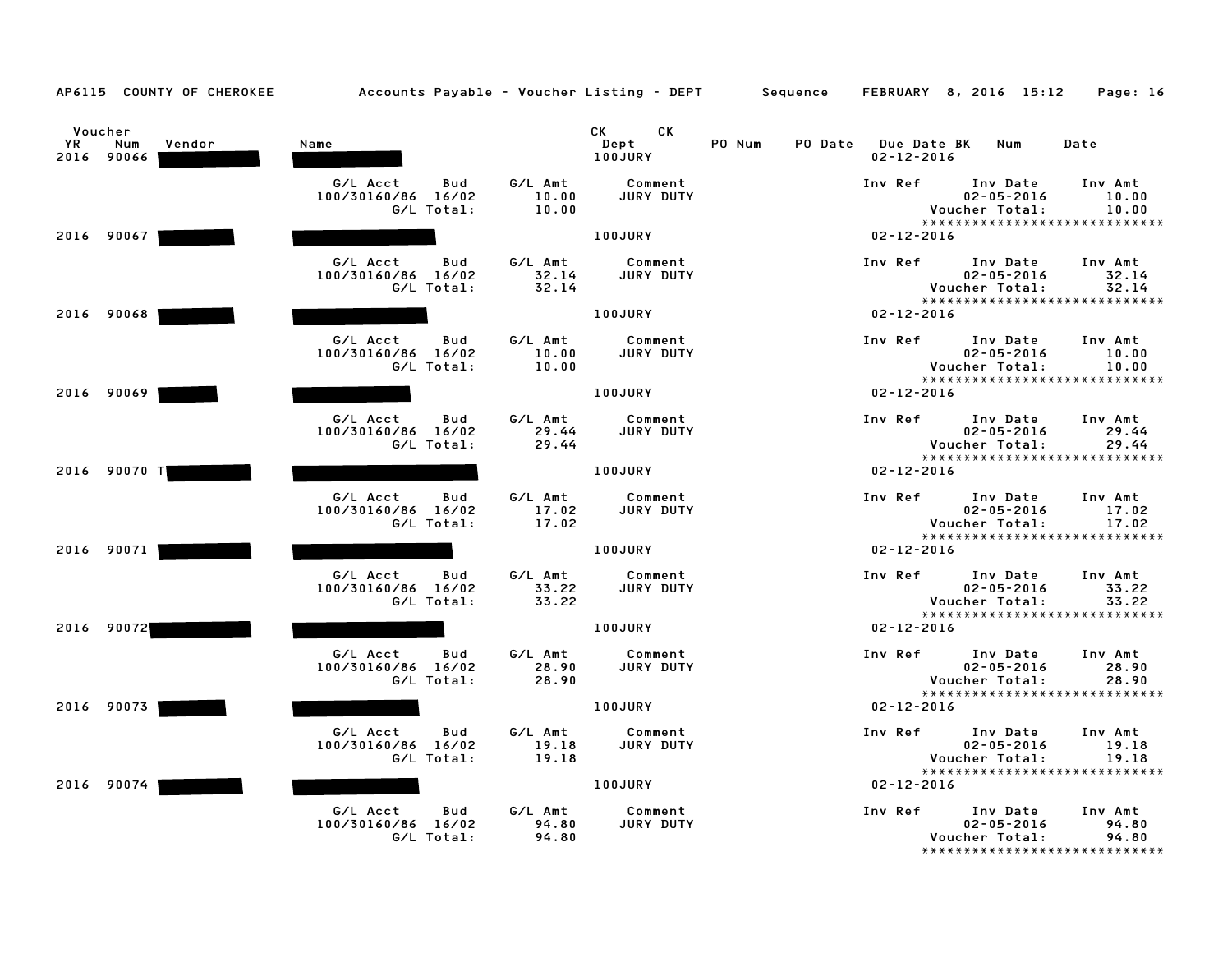| AP6115 COUNTY OF CHEROKEE                           | Accounts Payable – Voucher Listing – DEPT       Sequence |                           |                                      |        |                                         | FEBRUARY 8, 2016 15:12                         | Page: 16                                                   |
|-----------------------------------------------------|----------------------------------------------------------|---------------------------|--------------------------------------|--------|-----------------------------------------|------------------------------------------------|------------------------------------------------------------|
| Voucher<br><b>YR</b><br>Num<br>Vendor<br>2016 90066 | Name                                                     |                           | СK<br>CK .<br>Dept<br><b>100JURY</b> | PO Num | PO Date Due Date BK<br>$02 - 12 - 2016$ | Num                                            | Date                                                       |
|                                                     | G/L Acct<br>Bud<br>100/30160/86 16/02<br>G/L Total:      | G/L Amt<br>10.00<br>10.00 | Comment<br><b>JURY DUTY</b>          |        | Inv Ref                                 | Inv Date<br>$02 - 05 - 2016$<br>Voucher Total: | Inv Amt<br>10.00<br>10.00<br>***************************** |
| 2016 90067                                          |                                                          |                           | 100JURY                              |        | $02 - 12 - 2016$                        |                                                |                                                            |
|                                                     | G/L Acct<br>Bud<br>100/30160/86 16/02<br>G/L Total:      | G/L Amt<br>32.14<br>32.14 | Comment<br>JURY DUTY                 |        | Inv Ref                                 | Inv Date<br>$02 - 05 - 2016$<br>Voucher Total: | Inv Amt<br>32.14<br>32.14<br>***************************** |
| 2016 90068                                          |                                                          |                           | 100JURY                              |        | $02 - 12 - 2016$                        |                                                |                                                            |
|                                                     | G/L Acct<br>Bud<br>100/30160/86 16/02<br>G/L Total:      | G/L Amt<br>10.00<br>10.00 | Comment<br>JURY DUTY                 |        | Inv Ref                                 | Inv Date<br>$02 - 05 - 2016$<br>Voucher Total: | Inv Amt<br>10.00<br>10.00<br>***************************** |
| 2016 90069                                          |                                                          |                           | 100JURY                              |        | $02 - 12 - 2016$                        |                                                |                                                            |
|                                                     | G/L Acct<br>Bud<br>100/30160/86 16/02<br>G/L Total:      | G/L Amt<br>29.44<br>29.44 | Comment<br>JURY DUTY                 |        | Inv Ref                                 | Inv Date<br>$02 - 05 - 2016$<br>Voucher Total: | Inv Amt<br>29.44<br>29.44<br>***************************** |
| 2016 90070 T                                        |                                                          |                           | 100JURY                              |        | $02 - 12 - 2016$                        |                                                |                                                            |
|                                                     | G/L Acct<br>Bud<br>100/30160/86 16/02<br>G/L Total:      | G/L Amt<br>17.02<br>17.02 | Comment<br>JURY DUTY                 |        | Inv Ref                                 | Inv Date<br>$02 - 05 - 2016$<br>Voucher Total: | Inv Amt<br>17.02<br>17.02<br>***************************** |
| 2016 90071                                          |                                                          |                           | 100JURY                              |        | $02 - 12 - 2016$                        |                                                |                                                            |
|                                                     | G/L Acct<br>Bud<br>100/30160/86 16/02<br>G/L Total:      | G/L Amt<br>33.22<br>33.22 | Comment<br>JURY DUTY                 |        | Inv Ref                                 | Inv Date<br>$02 - 05 - 2016$<br>Voucher Total: | Inv Amt<br>33.22<br>33.22<br>***************************** |
| 2016 90072                                          |                                                          |                           | 100JURY                              |        | $02 - 12 - 2016$                        |                                                |                                                            |
|                                                     | G/L Acct<br>Bud<br>100/30160/86 16/02<br>G/L Total:      | G/L Amt<br>28.90<br>28.90 | Comment<br>JURY DUTY                 |        | Inv Ref                                 | Inv Date<br>$02 - 05 - 2016$<br>Voucher Total: | Inv Amt<br>28.90<br>28.90                                  |
| 2016 90073                                          |                                                          |                           | 100JURY                              |        | $02 - 12 - 2016$                        |                                                | *****************************                              |
|                                                     | G/L Acct<br>Bud<br>100/30160/86 16/02<br>G/L Total:      | G/L Amt<br>19.18<br>19.18 | Comment<br>JURY DUTY                 |        | Inv Ref                                 | Inv Date<br>$02 - 05 - 2016$<br>Voucher Total: | Inv Amt<br>19.18<br>19.18<br>***************************** |
| 2016 90074                                          |                                                          |                           | 100JURY                              |        | $02 - 12 - 2016$                        |                                                |                                                            |
|                                                     | G/L Acct<br>Bud<br>100/30160/86 16/02<br>G/L Total:      | G/L Amt<br>94.80<br>94.80 | Comment<br>JURY DUTY                 |        | Inv Ref                                 | Inv Date<br>$02 - 05 - 2016$<br>Voucher Total: | Inv Amt<br>94.80<br>94.80                                  |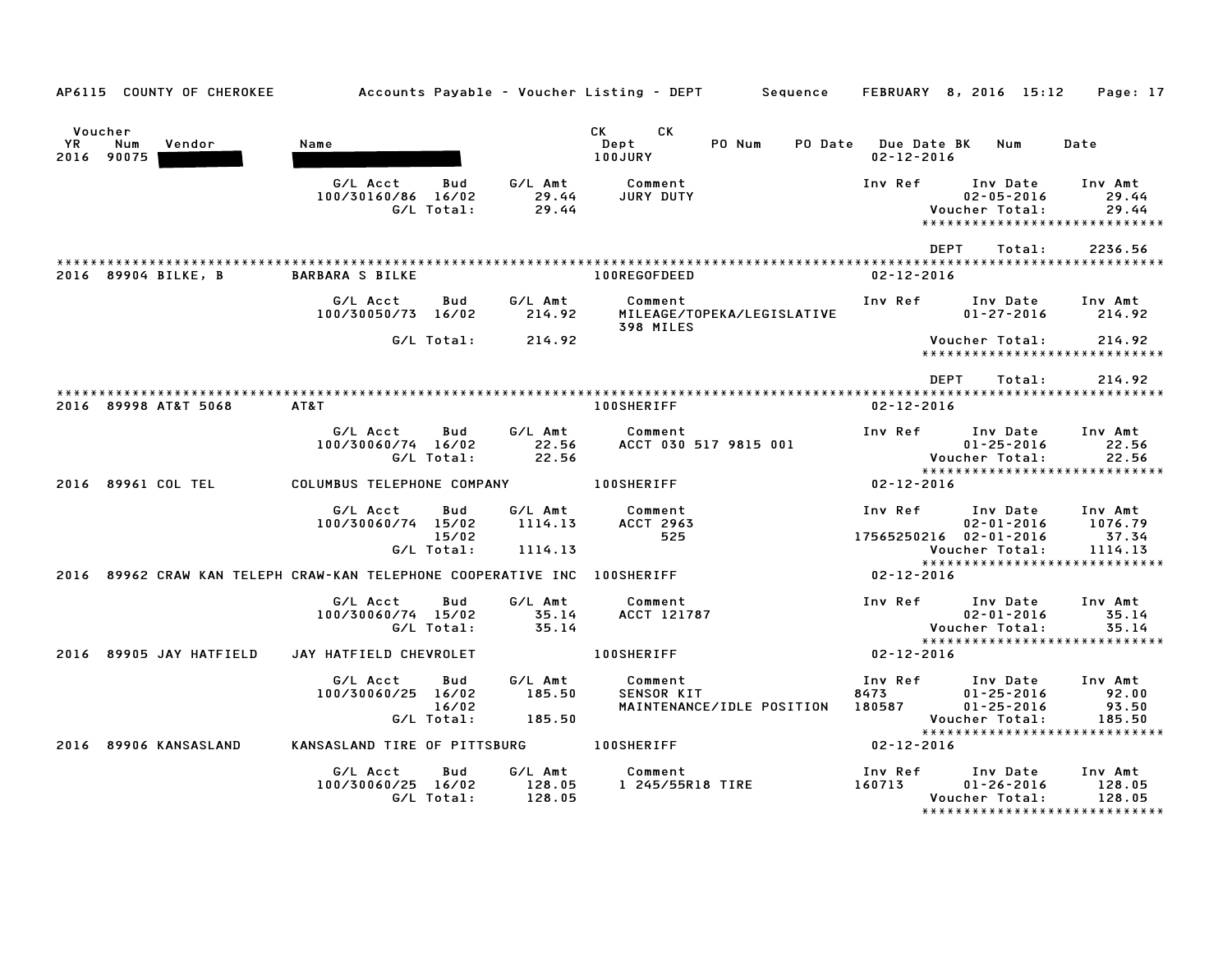| AP6115 COUNTY OF CHEROKEE                                                |                                         |                            |                             |                                    |                            |                             | Accounts Payable – Voucher Listing – DEPT         Sequence     FEBRUARY   8, 2016   15:12     Page: 17 |                                     |
|--------------------------------------------------------------------------|-----------------------------------------|----------------------------|-----------------------------|------------------------------------|----------------------------|-----------------------------|--------------------------------------------------------------------------------------------------------|-------------------------------------|
| Voucher<br>YR<br>Num<br>Vendor<br>2016 90075                             | Name                                    |                            |                             | CK CK<br>Dept<br>100JURY           | PO Num                     | <b>PO Date</b> Due Date BK  | Num<br>$02 - 12 - 2016$                                                                                | Date                                |
|                                                                          | G/L Acct<br>100/30160/86 16/02          | Bud<br>G/L Total:          | 29.44<br>29.44              | G/L Amt Comment<br>JURY DUTY       |                            | Inv Ref                     | Inv Date<br>$02 - 05 - 2016$<br>Voucher Total:<br>*****************************                        | Inv Amt<br>29.44<br>29.44           |
|                                                                          |                                         |                            |                             |                                    |                            |                             | DEPT<br>Total:                                                                                         | 2236.56                             |
| 2016 89904 BILKE, B                                                      | <b>BARBARA S BILKE</b>                  |                            |                             | 100REGOFDEED                       |                            |                             | $02 - 12 - 2016$                                                                                       |                                     |
|                                                                          | G/L Acct<br>100/30050/73 16/02          | <b>Bud</b>                 | G/L Amt<br>214.92           | Comment<br>398 MILES               | MILEAGE/TOPEKA/LEGISLATIVE | Inv Ref                     | Inv Date<br>$01 - 27 - 2016$                                                                           | Inv Amt<br>214.92                   |
|                                                                          |                                         | G/L Total:                 | 214.92                      |                                    |                            |                             | Voucher Total:<br>*****************************                                                        | 214.92                              |
|                                                                          |                                         |                            |                             |                                    |                            |                             | <b>DEPT</b><br>Total:                                                                                  | 214.92                              |
| 2016 89998 AT&T 5068                                                     | AT&T                                    |                            |                             | <b>100SHERIFF</b>                  |                            |                             | $02 - 12 - 2016$                                                                                       |                                     |
|                                                                          | G/L Acct<br>100/30060/74 16/02          | Bud<br>G/L Total:          | G/L Amt<br>22.56<br>22.56   | Comment                            | ACCT 030 517 9815 001      | Inv Ref                     | Inv Date<br>$01 - 25 - 2016$<br>Voucher Total:<br>*****************************                        | Inv Amt<br>22.56<br>22.56           |
| 2016 89961 COL TEL                                                       | COLUMBUS TELEPHONE COMPANY 100SHERIFF   |                            |                             |                                    |                            |                             | 02-12-2016                                                                                             |                                     |
|                                                                          | G/L Acct<br>100/30060/74 15/02          | Bud<br>15/02               | G/L Amt<br>1114.13          | Comment<br><b>ACCT 2963</b><br>525 |                            | Inv Ref                     | Inv Date<br>$02 - 01 - 2016$<br>17565250216 02-01-2016                                                 | Inv Amt<br>1076.79<br>37.34         |
|                                                                          |                                         | G/L Total:                 | 1114.13                     |                                    |                            |                             | Voucher Total:<br>*****************************                                                        | 1114.13                             |
| 2016 89962 CRAW KAN TELEPH CRAW-KAN TELEPHONE COOPERATIVE INC 100SHERIFF |                                         |                            |                             |                                    |                            |                             | 02-12-2016                                                                                             |                                     |
|                                                                          | G/L Acct<br>100/30060/74 15/02          | Bud<br>G/L Total:          | G/L Amt<br>35.14<br>35.14   | Comment<br>ACCT 121787             |                            |                             | Inv Ref Inv Date<br>$02 - 01 - 2016$<br>Voucher Total:                                                 | Inv Amt<br>35.14<br>35.14           |
| 2016 89905 JAY HATFIELD                                                  | JAY HATFIELD CHEVROLET                  |                            |                             | <b>100SHERIFF</b>                  |                            | $02 - 12 - 2016$            | *****************************                                                                          |                                     |
|                                                                          | G/L Acct<br>100/30060/25 16/02          | Bud<br>16/02<br>G/L Total: | G/L Amt<br>185.50<br>185.50 | Comment<br><b>SENSOR KIT</b>       | MAINTENANCE/IDLE POSITION  | Inv Ref<br>8473 3<br>180587 | Inv Date<br>$01 - 25 - 2016$<br>$01 - 25 - 2016$<br>Voucher Total:<br>*****************************    | Inv Amt<br>92.00<br>93.50<br>185.50 |
| 2016 89906 KANSASLAND                                                    | KANSASLAND TIRE OF PITTSBURG 100SHERIFF |                            |                             |                                    |                            | $02 - 12 - 2016$            |                                                                                                        |                                     |
|                                                                          | G/L Acct<br>100/30060/25 16/02          | Bud<br>G/L Total:          | G/L Amt<br>128.05<br>128.05 | Comment<br>1 245/55R18 TIRE        |                            | Inv Ref<br>160713           | Inv Date<br>$01 - 26 - 2016$<br>Voucher Total:<br>*****************************                        | Inv Amt<br>128.05<br>128.05         |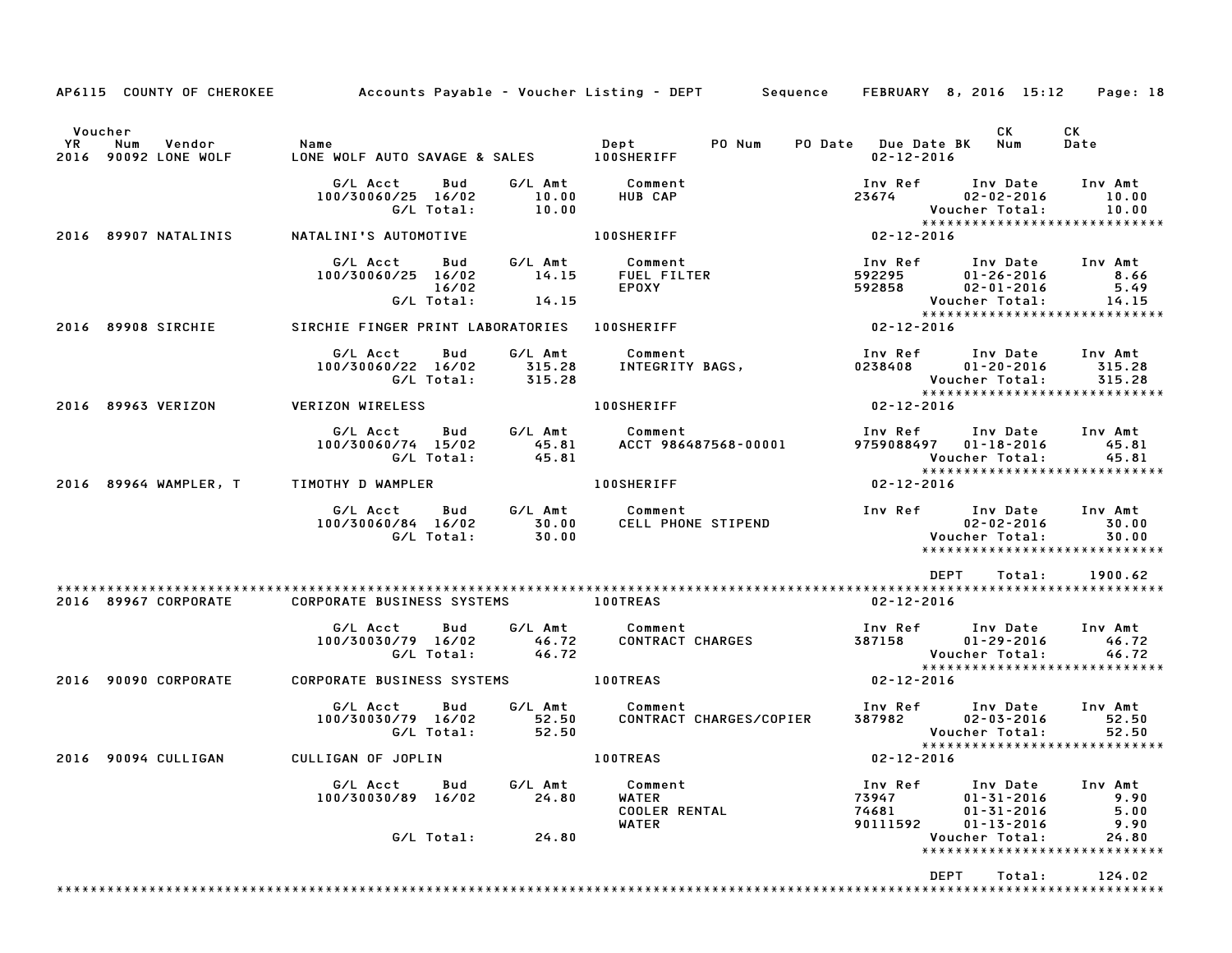|                      |                                                                                                                                                                                                                                     |                                                                                                | AP6115 COUNTY OF CHEROKEE Accounts Payable - Voucher Listing - DEPT Sequence FEBRUARY 8, 2016 15:12 Page: 18                                                                                                                                    |
|----------------------|-------------------------------------------------------------------------------------------------------------------------------------------------------------------------------------------------------------------------------------|------------------------------------------------------------------------------------------------|-------------------------------------------------------------------------------------------------------------------------------------------------------------------------------------------------------------------------------------------------|
| Voucher              | YR Num Vendor – Name – Name – Dept – PONum<br>2016 90092 LONE_WOLF – LONE_WOLF_AUTO_SAVAGE_&_SALES – 100SHERIFF                                                                                                                     |                                                                                                | CK<br>CK<br>PO Date Due Date BK Num<br>Date<br>02-12-2016                                                                                                                                                                                       |
|                      | G/L Acct Bud G/L Amt Comment                                                                                                                                                                                                        | 100/30060/25 16/02 10.00 HUB CAP<br>G/L Total: 10.00                                           | Inv Ref Inv Date Inv Amt<br>23674 02-02-2016 10.00<br>External: 10.00<br>External: 10.00<br>External: 10.00                                                                                                                                     |
| 2016 89907 NATALINIS | المادة المستويات المستويات المستويات المستويات المستويات المستويات المستويات المستويات المستويات ال<br>100SHERIFF المستويات المستويات المستويات المستويات المستويات المستويات المستويات المستويات المستويات المستويات<br>مستويات ال |                                                                                                | $02 - 12 - 2016$                                                                                                                                                                                                                                |
|                      |                                                                                                                                                                                                                                     |                                                                                                | 6/L Act bud 6/L Amt Comment Inv Ref Inv Date Inv Amt<br>100/30060/25 16/02 14.15 FUEL FILTER 592295 01-26-2016 8.66<br>16/02 6/L Total: 14.15 FUEL PILTER 592858 02-01-2016 5.49<br>SIRCHIE FINGER PRINT LABORATORIES 100SHERIFF 02-            |
| 2016 89908 SIRCHIE   |                                                                                                                                                                                                                                     |                                                                                                |                                                                                                                                                                                                                                                 |
|                      |                                                                                                                                                                                                                                     | ous boll Amt Comment<br>100/30060/22 16/02 315.28 INTEGRITY BAGS,<br>100/30060/22 16/02 315.28 | Inv Ref       Inv Date     Inv Amt<br>0238408         01-20-2016        315.28<br>Voucher Total: 315.28<br>****************************                                                                                                         |
| 2016 89963 VERIZON   | <b>VERIZON WIRELESS</b>                                                                                                                                                                                                             | <b>100SHERIFF</b>                                                                              | $02 - 12 - 2016$                                                                                                                                                                                                                                |
|                      | G/L Total: 45.81                                                                                                                                                                                                                    |                                                                                                | G/L Acct Bud G/L Amt Comment 1nv Ref Inv Date Inv Amt 100/30060/74 15/02 45.81 ACCT 986487568-00001 9759088497 01-18-2016 45.81<br>Voucher Total: 45.81<br>****************************                                                         |
|                      | 2016 89964 WAMPLER, T TIMOTHY D WAMPLER THE RESIDENCE RESIDENCE                                                                                                                                                                     |                                                                                                | $02 - 12 - 2016$                                                                                                                                                                                                                                |
|                      |                                                                                                                                                                                                                                     |                                                                                                | G/L Acct Bud G/L Amt Comment 100/30060/84 16/02 50.00<br>100/30060/84 16/02 30.00 CELL PHONE STIPEND 100/30060/84 16/02 30.00<br>6/L Total: 30.00 6/L Total: 30.00<br>*****************************                                             |
|                      |                                                                                                                                                                                                                                     |                                                                                                | DEPT Total: 1900.62                                                                                                                                                                                                                             |
|                      |                                                                                                                                                                                                                                     |                                                                                                | 02-12-2016                                                                                                                                                                                                                                      |
|                      |                                                                                                                                                                                                                                     |                                                                                                | G/L Acct Bud G/L Amt Comment Inv Ref Inv Date Inv Amt<br>100/30030/79 16/02 46.72 CONTRACT CHARGES 387158 01–29–2016 46.72<br>G/L Total: 46.72 - And Access 287158 Voucher Total: 46.72<br>Voucher Total: 46.72<br>**************************** |
| 2016 90090 CORPORATE | CORPORATE BUSINESS SYSTEMS 100TREAS                                                                                                                                                                                                 |                                                                                                | $02 - 12 - 2016$                                                                                                                                                                                                                                |
|                      |                                                                                                                                                                                                                                     |                                                                                                | G/L Acct Bud G/L Amt Comment Inv Ref Inv Date Inv Amt<br>100/30030/79 16/02 52.50 CONTRACT CHARGES/COPIER 387982 02-03-2016 52.50<br>G/L Total: 52.50 6/L Total: 52.50 6/L Total: 52.50                                                         |
| 2016 90094 CULLIGAN  | CULLIGAN OF JOPLIN                                                                                                                                                                                                                  | <b>100TREAS</b>                                                                                | $02 - 12 - 2016$                                                                                                                                                                                                                                |
|                      | Bud G/L Amt<br>G/L Acct<br>100/30030/89 16/02                                                                                                                                                                                       | Comment<br><b>WATER</b><br>24.80<br><b>COOLER RENTAL</b><br><b>WATER</b>                       | Inv Amt<br>Inv Ref<br>Inv Date<br>73947<br>$01 - 31 - 2016$<br>9.90<br>74681<br>$01 - 31 - 2016$<br>5.00<br>$01 - 13 - 2016$<br>9.90<br>90111592                                                                                                |
|                      | G/L Total:                                                                                                                                                                                                                          | 24.80                                                                                          | Voucher Total:<br>24.80<br>*****************************                                                                                                                                                                                        |
|                      |                                                                                                                                                                                                                                     |                                                                                                | DEPT<br>124.02<br>Total:                                                                                                                                                                                                                        |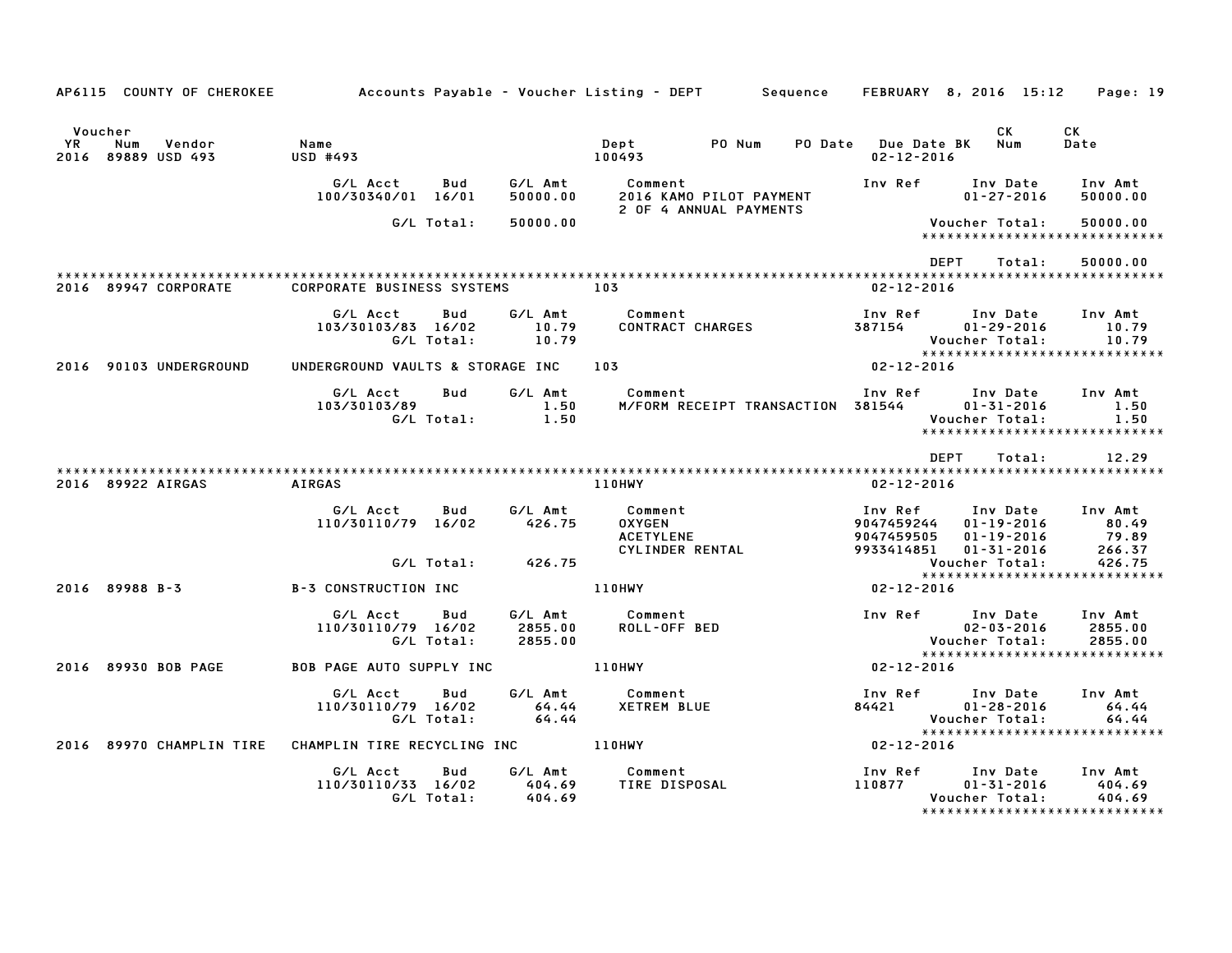|                                                              |                                                     |                           | AP6115 COUNTY OF CHEROKEE 6 Accounts Payable - Voucher Listing - DEPT 5 Sequence FEBRUARY 8, 2016 15:12 Page: 19 |                                         |                                                                                         |                               |
|--------------------------------------------------------------|-----------------------------------------------------|---------------------------|------------------------------------------------------------------------------------------------------------------|-----------------------------------------|-----------------------------------------------------------------------------------------|-------------------------------|
|                                                              |                                                     |                           |                                                                                                                  |                                         |                                                                                         |                               |
| Voucher<br>YR.<br>Num<br>Vendor<br>2016 89889 USD 493        | Name<br>USD #493                                    |                           | PO Num<br>Dept<br>100493                                                                                         | PO Date Due Date BK<br>$02 - 12 - 2016$ | <b>CK</b><br>Num                                                                        | CK<br>Date                    |
|                                                              | G/L Acct<br>Bud<br>100/30340/01 16/01               | G⁄L Amt                   | Comment<br>50000.00 2016 KAMO PILOT PAYMENT<br>2 OF 4 ANNUAL PAYMENTS                                            |                                         | Inv Ref Inv Date Inv Amt<br>$01 - 27 - 2016$                                            | 50000.00                      |
|                                                              | G/L Total:                                          | 50000.00                  |                                                                                                                  |                                         | Voucher Total:<br>******************************                                        | 50000.00                      |
|                                                              |                                                     |                           |                                                                                                                  |                                         | DEPT<br>Total:                                                                          | 50000.00                      |
| 2016 89947 CORPORATE                                         | <b>CORPORATE BUSINESS SYSTEMS</b>                   | 103                       |                                                                                                                  | $02 - 12 - 2016$                        |                                                                                         |                               |
|                                                              | G/L Acct<br>Bud<br>103/30103/83 16/02<br>G/L Total: | $\frac{10.79}{10.79}$     | G/L Amt Comment<br>CONTRACT CHARGES                                                                              |                                         | Inv Ref Inv Date Inv Amt<br>387154 01-29-2016<br>Voucher Total:                         | 10.79<br>10.79                |
| 2016 90103 UNDERGROUND                                       | UNDERGROUND VAULTS & STORAGE INC 103                |                           |                                                                                                                  | $02 - 12 - 2016$                        |                                                                                         |                               |
|                                                              | G/L Acct<br>Bud<br>103/30103/89<br>G/L Total:       | 1.50<br>$\overline{1.50}$ | G/L Amt Comment<br>M/FORM RECEIPT TRANSACTION 381544 01-31-2016                                                  |                                         | Inv Ref Inv Date Inv Amt<br>Voucher Total:                                              | 1.50<br>1.50                  |
|                                                              |                                                     |                           |                                                                                                                  |                                         | <b>DEPT</b><br>Total:                                                                   | 12.29                         |
| 2016 89922 AIRGAS                                            | AIRGAS                                              |                           | 110HWY                                                                                                           | $02 - 12 - 2016$                        |                                                                                         |                               |
|                                                              | G/L Acct<br>Bud<br>110/30110/79 16/02               | 426.75                    | G/L Amt Comment                                                                                                  | 9047459505                              | Inv Date Inv Amt<br>9047459244 01-19-2016 80.49<br>01-19-2016<br>9933414851 01-31-2016  | 79.89<br>266.37               |
|                                                              | G/L Total: 426.75                                   |                           |                                                                                                                  |                                         | <b>VOUCNEL Inrat.</b><br>****************************                                   |                               |
| 2016 89988 B-3                                               | <b>B-3 CONSTRUCTION INC</b>                         | 110HWY                    |                                                                                                                  | $02 - 12 - 2016$                        |                                                                                         |                               |
|                                                              | Bud<br>G/L Acct<br>110/30110/79 16/02<br>G/L Total: | 2855.00<br>2855.00        | G/L Amt Comment<br>ROLL-OFF BED                                                                                  |                                         | Inv Ref Inv Date<br>02-03-2016<br>Vaugher Total<br>Voucher Total:                       | Inv Amt<br>2855.00<br>2855.00 |
| 2016 89930 BOB PAGE                                          | BOB PAGE AUTO SUPPLY INC 110HWY                     |                           |                                                                                                                  | $02 - 12 - 2016$                        |                                                                                         |                               |
|                                                              | G/L Acct<br>Bud<br>110/30110/79 16/02<br>G/L Total: | 64.44<br>64.44            | G/L Amt          Comment<br>64.44       XETREM BLUE                                                              | 84421                                   | Inv Ref      Inv Date<br>01-28-2016<br>Voucher Total:<br>****************************** | Inv Amt<br>64.44<br>64.44     |
| 2016 89970 CHAMPLIN TIRE CHAMPLIN TIRE RECYCLING INC 4110HWY |                                                     |                           |                                                                                                                  | $02 - 12 - 2016$                        |                                                                                         |                               |
|                                                              | G/L Acct<br>Bud<br>110/30110/33 16/02<br>G/L Total: | 404.69<br>404.69          | G/L Amt Comment<br>And EQ TIRE DISPOSAL                                                                          | 110877                                  | Inv Ref Inv Date<br>01-31-2016<br>Voucher Total:<br>*****************************       | Inv Amt<br>404.69<br>404.69   |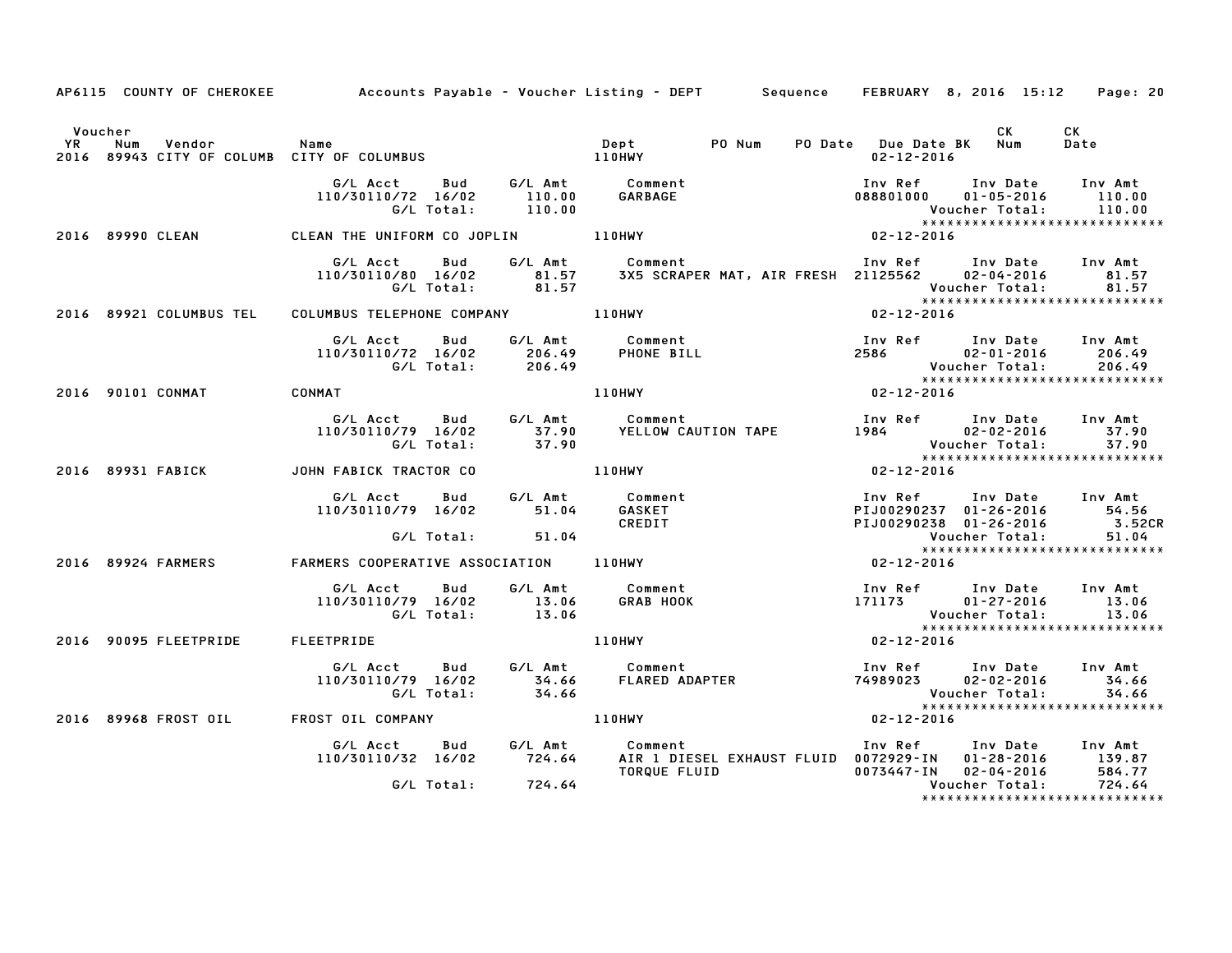|         |                   |                                                              | AP6115 COUNTY OF CHEROKEE Accounts Payable - Voucher Listing - DEPT Sequence FEBRUARY 8, 2016 15:12 Page: 20                                                                                                                            |                                                                                |                      |                                                                                                                                  |
|---------|-------------------|--------------------------------------------------------------|-----------------------------------------------------------------------------------------------------------------------------------------------------------------------------------------------------------------------------------------|--------------------------------------------------------------------------------|----------------------|----------------------------------------------------------------------------------------------------------------------------------|
| Voucher |                   |                                                              |                                                                                                                                                                                                                                         | PO Date Due Date BK Num<br>02-12-2016                                          | <b>CK</b>            | CK<br>Date                                                                                                                       |
|         |                   |                                                              | 6/L Total: 110.00<br>2016 2016 2017 Total: 110.00<br>2016 2019 CLEAN THE UNIFORM CO JOPLIN 110HWY 110HWY 110HWY 202-12-2016                                                                                                             | Inv Ref       Inv Date      Inv Amt<br>088801000      01-05-2016        110.00 |                      |                                                                                                                                  |
|         |                   |                                                              |                                                                                                                                                                                                                                         |                                                                                |                      |                                                                                                                                  |
|         |                   |                                                              |                                                                                                                                                                                                                                         |                                                                                |                      |                                                                                                                                  |
|         |                   | 2016 89921 COLUMBUS TEL COLUMBUS TELEPHONE COMPANY 40 110HWY |                                                                                                                                                                                                                                         |                                                                                |                      |                                                                                                                                  |
|         |                   |                                                              | 6/LAcct Bud G/LAmt Comment Inversion Inversion of the Summer of the Summer of the Summer of the Summer of the Summer Summer of the Summer of the Summer of the Summer of the Summer of the Summer of the Summer of the Summer           |                                                                                |                      |                                                                                                                                  |
|         |                   | 2016 90101 CONMAT CONMAT                                     |                                                                                                                                                                                                                                         |                                                                                |                      |                                                                                                                                  |
|         |                   |                                                              |                                                                                                                                                                                                                                         |                                                                                |                      |                                                                                                                                  |
|         | 2016 89931 FABICK | JOHN FABICK TRACTOR CO                                       | 110HWY 02-12-2016                                                                                                                                                                                                                       |                                                                                |                      |                                                                                                                                  |
|         |                   |                                                              | G/L Acct Bud G/L Amt Comment<br>110/30110/79 16/02 51.04 GASKET<br>G/L Total: 51.04 CREDIT<br>2016 89924 FARMERS FARMERS COOPERATIVE ASSOCIATION 110HWY                                                                                 |                                                                                |                      | 1nv Ref        Inv Date      Inv Amt<br>PIJ00290237   01–26–2016            54.56<br>PIJ00290238   01–26–2016             3.52CR |
|         |                   |                                                              |                                                                                                                                                                                                                                         |                                                                                | Voucher Total: 51.04 |                                                                                                                                  |
|         |                   |                                                              |                                                                                                                                                                                                                                         | $02 - 12 - 2016$                                                               |                      |                                                                                                                                  |
|         |                   |                                                              | G/L Acct Bud G/L Amt Comment Inv Ref Inv Date Inv Amt<br>110/30110/79 16/02 13.06 GRAB HOOK 171173 01-27-2016 13.06<br>G/L Total: 13.06 13.06 Voucher Total: 13.06<br>2016 90095 FLEETPRIDE FLEETPRIDE ILEETPRIDE 110HWY 110HWY 110HWY  |                                                                                |                      |                                                                                                                                  |
|         |                   |                                                              |                                                                                                                                                                                                                                         |                                                                                |                      |                                                                                                                                  |
|         |                   |                                                              | G/L Acct Bud G/L Amt Comment Inv Ref Inv Date Inv Amt<br>110/30110/79 16/02 34.66 FLARED ADAPTER 74989023 02–02–2016 34.66<br>G/L Total: 34.66 54.66 FLARED ADAPTER 74989023 Voucher Total: 34.66<br>********************************** |                                                                                |                      |                                                                                                                                  |
|         |                   |                                                              | Vouc<br>*****<br>2016 -12-2016 Media Asystem Market Market Market Market Market Market Market Market Market Market Market Marke<br>2016–12-2018 Media Market Market Market Market Market Market Market Market Market Market Market Mar  |                                                                                |                      |                                                                                                                                  |
|         |                   |                                                              | G/L Acct Bud G/L Amt Comment Inv Ref Inv Date Inv Amt<br>110/30110/32 16/02 724.64 AIR 1 DIESEL EXHAUST FLUID 0072929-IN 01-28-2016 139.87<br>6/L Total: 724.64 TORQUE FLUID 0073447-IN 02-04-2016 584.77<br>724.64 Voucher Total: 724. |                                                                                |                      |                                                                                                                                  |
|         |                   |                                                              |                                                                                                                                                                                                                                         |                                                                                |                      | *****************************                                                                                                    |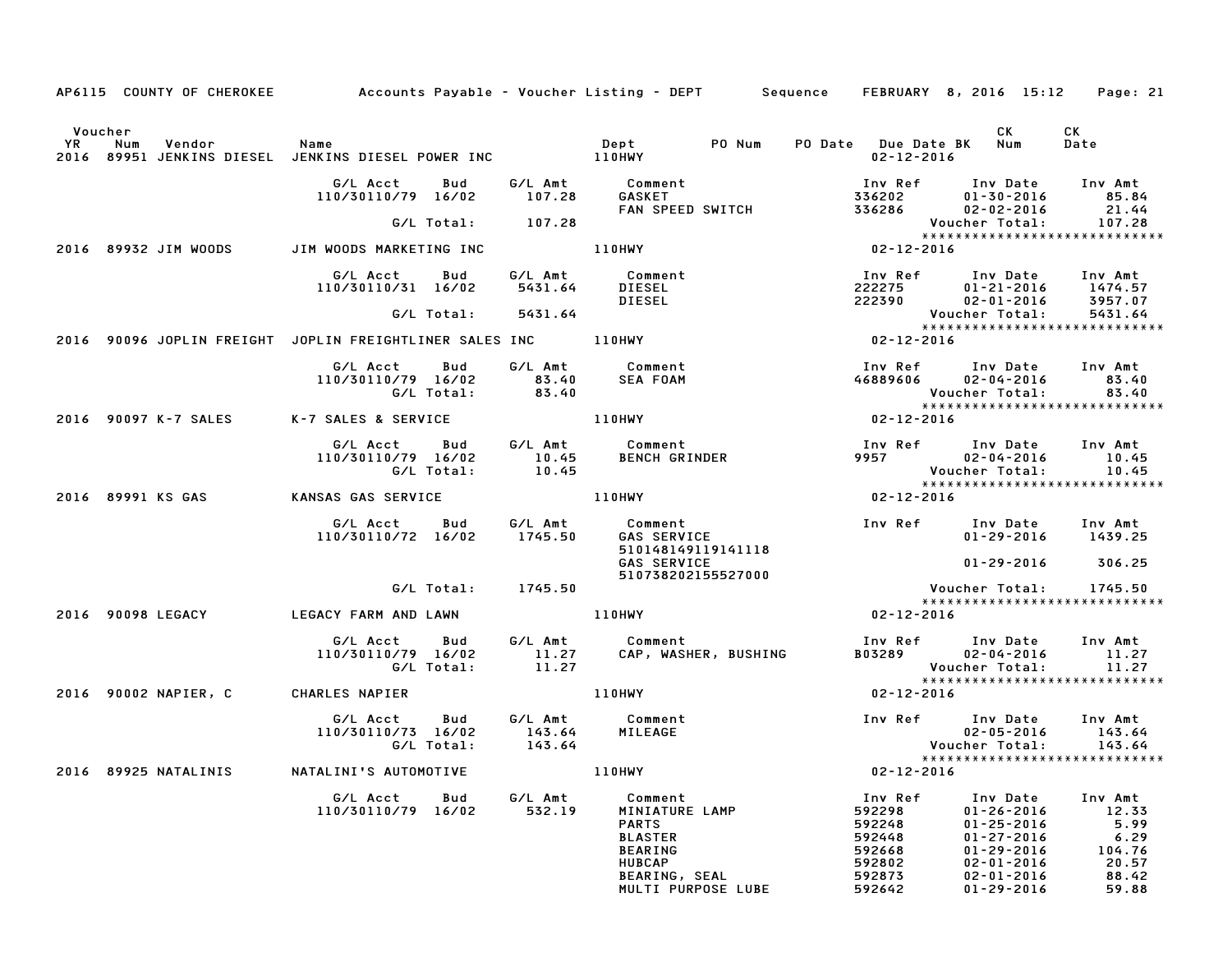|         | AP6115 COUNTY OF CHEROKEE Accounts Payable – Voucher Listing – DEPT Sequence FEBRUARY 8, 2016 15:12 |                                                                            |              |                    |                                                                                                                                       |  |                                                                               |                                                                                                                                      | Page: 21                                                              |
|---------|-----------------------------------------------------------------------------------------------------|----------------------------------------------------------------------------|--------------|--------------------|---------------------------------------------------------------------------------------------------------------------------------------|--|-------------------------------------------------------------------------------|--------------------------------------------------------------------------------------------------------------------------------------|-----------------------------------------------------------------------|
| Voucher |                                                                                                     |                                                                            |              |                    |                                                                                                                                       |  | PO Date Due Date BK Num<br>02-12-2016                                         | CK                                                                                                                                   | CK<br>Date                                                            |
|         |                                                                                                     | G/L Acct Bud<br>110/30110/79 16/02 107.28                                  |              | G/L Total: 107.28  | G/L Amt Comment<br>GASKET <b>AREA</b><br>GASKET<br>FAN SPEED SWITCH                                                                   |  |                                                                               | 1nv Ref        Inv Date      Inv Amt<br>336202           01–30–2016            85.84<br>336286           02–02–2016            21.44 | 107.28                                                                |
|         | 2016 89932 JIM WOODS                                                                                | JIM WOODS MARKETING INC 110HWY                                             |              |                    |                                                                                                                                       |  |                                                                               | Voucher Total:<br>****************<br>02-12-2016<br>*****************************                                                    |                                                                       |
|         |                                                                                                     | G/L Acct Bud<br>110/30110/31 16/02                                         |              |                    | G/L Amt Comment<br>5431.64 DIESEL<br>DIESEL                                                                                           |  |                                                                               | Inv Ref Inv Date Inv Amt<br>222275 01-21-2016 1474.57<br>222390 02-01-2016 3957.07                                                   |                                                                       |
|         |                                                                                                     |                                                                            |              | G/L Total: 5431.64 |                                                                                                                                       |  |                                                                               | <b>Voucher Total:</b><br>*****************************                                                                               | 5431.64                                                               |
|         | 2016 90096 JOPLIN FREIGHT JOPLIN FREIGHTLINER SALES INC _________________________                   |                                                                            |              |                    |                                                                                                                                       |  | Vouc<br>*****<br>02-12-2016                                                   |                                                                                                                                      |                                                                       |
|         |                                                                                                     | 110/30110/79 16/02 83.40<br>G/L Total: 83.40                               |              |                    | G/L Acct Bud G/L Amt Comment<br>SEA FOAM                                                                                              |  |                                                                               | Inv Ref       Inv Date     Inv Amt<br>46889606      02–04–2016        83.40<br>Voucher Total:                                        | 83.40                                                                 |
|         | 2016 90097 K-7 SALES K-7 SALES & SERVICE 110HWY                                                     |                                                                            |              |                    |                                                                                                                                       |  | $02 - 12 - 2016$                                                              |                                                                                                                                      |                                                                       |
|         |                                                                                                     |                                                                            |              |                    | G/L Acct Bud G/L Amt Comment<br>110/30110/79 16/02 10.45 BENCH GRINDER<br>G/L Total: 10.45                                            |  |                                                                               | Inv Ref Inv Date Inv Amt<br>9957 $02 - 04 - 2016$ 10.45<br>Voucher Total:<br>*****************************                           | 10.45                                                                 |
|         | 2016 89991 KS GAS                                                                                   | <b>KANSAS GAS SERVICE</b>                                                  |              |                    | <b>110HWY</b>                                                                                                                         |  | $02 - 12 - 2016$                                                              |                                                                                                                                      |                                                                       |
|         |                                                                                                     | G/L Acct  Bud  G/L Amt  Comment<br>110/30110/72 16/02  1745.50  GAS  SERVI |              |                    | 510148149119141118<br><b>GAS SERVICE</b>                                                                                              |  |                                                                               | 01-29-2016 1439.25<br>$01 - 29 - 2016$ 306.25                                                                                        |                                                                       |
|         |                                                                                                     |                                                                            |              | G/L Total: 1745.50 | 510738202155527000                                                                                                                    |  |                                                                               | Voucher Total: 1745.50                                                                                                               |                                                                       |
|         | 2016 90098 LEGACY                                                                                   | LEGACY FARM AND LAWN                                                       |              |                    | 110HWY                                                                                                                                |  | $02 - 12 - 2016$                                                              | *****************************                                                                                                        |                                                                       |
|         |                                                                                                     | 110/30110/79 16/02                                                         | G/L Total:   |                    | G/L Acct Bud G/L Amt Comment<br>11.27 CAP, WASHER, BUSHING<br>11.27 CAP, WASHER, BUSHING                                              |  |                                                                               | Inv Ref Inv Date Inv Amt<br>$B03289$ $02-04-2016$ 11.27<br>Voucher Total:                                                            | 11.27                                                                 |
|         | 2016 90002 NAPIER, C                                                                                | <b>CHARLES NAPIER</b>                                                      |              |                    | <b>110HWY</b>                                                                                                                         |  | $02 - 12 - 2016$                                                              | ******************************                                                                                                       |                                                                       |
|         |                                                                                                     |                                                                            |              |                    |                                                                                                                                       |  |                                                                               | Inv Ref Inv Date Inv Amt<br>02-05-2016 143.64<br><b>Voucher Total:</b><br>*****************************                              | 143.64                                                                |
|         | 2016 89925 NATALINIS                                                                                | NATALINI'S AUTOMOTIVE                                                      |              | <b>110HWY</b>      |                                                                                                                                       |  | $02 - 12 - 2016$                                                              |                                                                                                                                      |                                                                       |
|         |                                                                                                     | G/L Acct<br>110/30110/79                                                   | Bud<br>16/02 | G/L Amt<br>532.19  | Comment<br>MINIATURE LAMP<br><b>PARTS</b><br><b>BLASTER</b><br><b>BEARING</b><br><b>HUBCAP</b><br>BEARING, SEAL<br>MULTI PURPOSE LUBE |  | Inv Ref<br>592298<br>592248<br>592448<br>592668<br>592802<br>592873<br>592642 | Inv Date<br>$01 - 26 - 2016$<br>$01 - 25 - 2016$<br>$01 - 27 - 2016$<br>01-29-2016<br>$02 - 01 - 2016$<br>02-01-2016<br>01-29-2016   | Inv Amt<br>12.33<br>5.99<br>6.29<br>104.76<br>20.57<br>88.42<br>59.88 |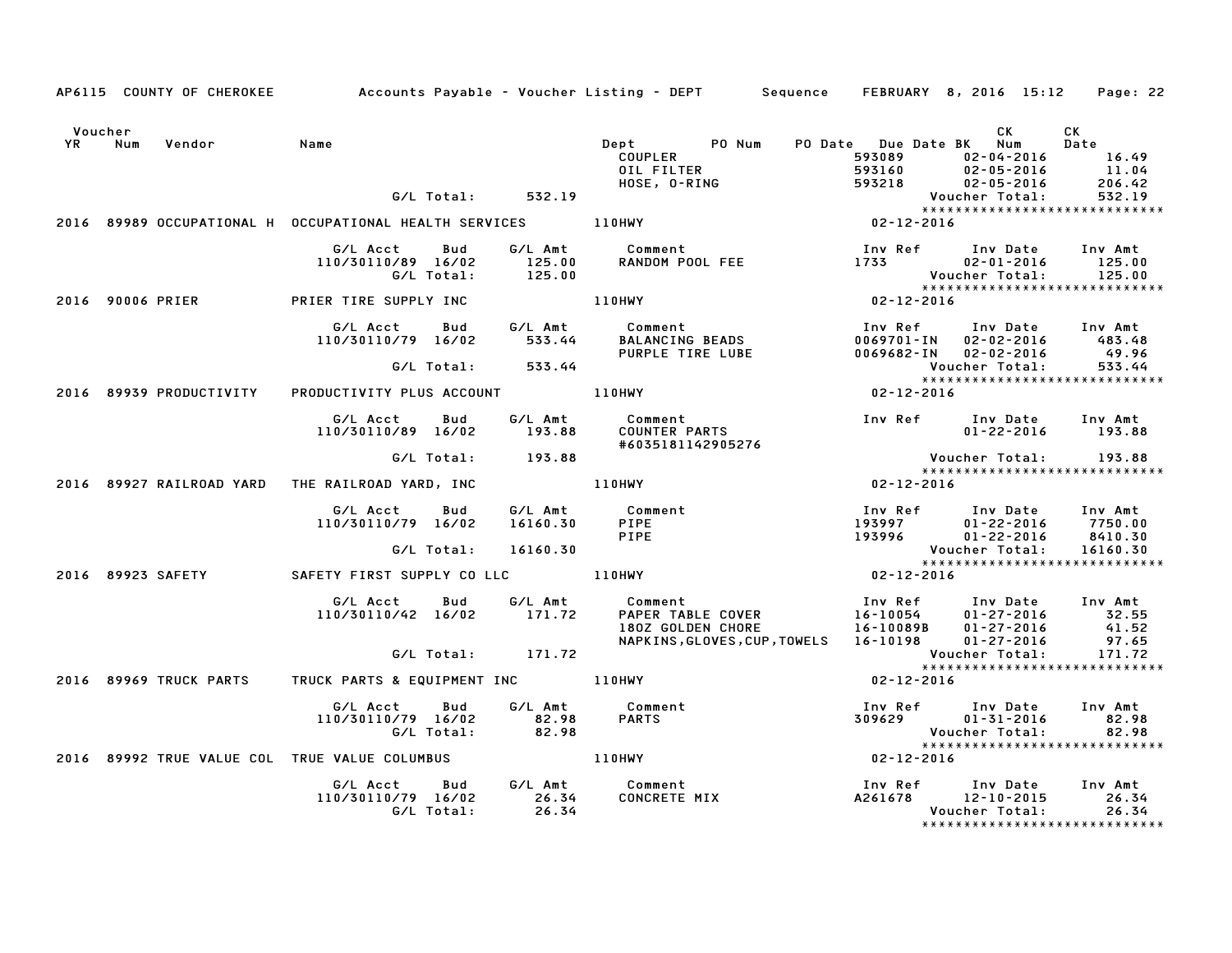|                   |                         |                                                                         |                           | AP6115 COUNTY OF CHEROKEE Accounts Payable - Voucher Listing - DEPT Sequence FEBRUARY 8, 2016 15:12 Page: 22                                                                     |                                                                 |                                                                                                                                            |                                                 |
|-------------------|-------------------------|-------------------------------------------------------------------------|---------------------------|----------------------------------------------------------------------------------------------------------------------------------------------------------------------------------|-----------------------------------------------------------------|--------------------------------------------------------------------------------------------------------------------------------------------|-------------------------------------------------|
| Voucher<br>YR Num | Vendor                  | Name                                                                    |                           | Dept PO Num<br><b>COUPLER<br/>OIL FILTER<br/>HOSE, O-RING</b>                                                                                                                    | PO Date Due Date BK Num<br>593089<br>593160<br>593160<br>593218 | CK<br>$02 - 04 - 2016$<br>$02 - 05 - 2016$<br>$02 - 05 - 2016$                                                                             | CK<br><b>Date</b><br>$16.49$<br>11.04<br>206.42 |
|                   |                         | G/L Total: 532.19                                                       |                           |                                                                                                                                                                                  |                                                                 | Voucher Total:                                                                                                                             | 532.19                                          |
|                   |                         |                                                                         |                           |                                                                                                                                                                                  |                                                                 |                                                                                                                                            |                                                 |
|                   |                         | G/L Acct Bud<br>110/30110/89 16/02                                      |                           | G/L Amt Comment 100 EEE 1733 125.00 RANDOM POOL FEE 1733 02-01-2016 125.00                                                                                                       |                                                                 |                                                                                                                                            |                                                 |
|                   |                         | 2016 90006 PRIER PRIER TIRE SUPPLY INC 110HWY                           |                           |                                                                                                                                                                                  |                                                                 |                                                                                                                                            |                                                 |
|                   |                         | G/L Acct Bud<br>110/30110/79 16/02 533.44<br>G/L Total: 533.44          |                           | G/L Amt         Comment<br>533.44      BALANCING BEADS<br>PURPLE TIRE LUBE                                                                                                       |                                                                 | Inv Ref      Inv Date     Inv Amt<br>0069701-IN 02-02-2016 483.48<br>0069682-IN 02-02-2016 49.96<br>Voucher Total: 533.44                  |                                                 |
|                   | 2016 89939 PRODUCTIVITY | PRODUCTIVITY PLUS ACCOUNT 110HWY                                        |                           |                                                                                                                                                                                  | $02 - 12 - 2016$                                                | Voucher Total: 533.44<br>****************************                                                                                      |                                                 |
|                   |                         | G/L Acct<br>Bud<br>110/30110/89 16/02                                   | 193.88                    | #6035181142905276                                                                                                                                                                |                                                                 | 01-22-2016 193.88                                                                                                                          |                                                 |
|                   |                         | G/L Total: 193.88                                                       |                           |                                                                                                                                                                                  |                                                                 | Voucher Total: 193.88                                                                                                                      |                                                 |
|                   |                         | 2016 89927 RAILROAD YARD THE RAILROAD YARD, INC                         |                           | 110HWY                                                                                                                                                                           | $02 - 12 - 2016$                                                | *****************************                                                                                                              |                                                 |
|                   |                         | G/L Acct   Bud<br>110/30110/79 16/02<br>G/L Total:                      | 16160.30 PIPE<br>16160.30 | G/L Amt Comment<br>PIPE                                                                                                                                                          |                                                                 | Inv Ref Inv Date Inv Amt<br>Voucher Total:                                                                                                 | 16160.30                                        |
|                   |                         |                                                                         |                           | 2016 89923 SAFETY SAFETY FIRST SUPPLY CO LLC 110HWY                                                                                                                              | $02 - 12 - 2016$                                                | *****************************                                                                                                              |                                                 |
|                   |                         | G/L Acct<br>Bud<br>110/30110/42 16/02 171.72<br>G/L Total: 171.72       |                           | Comment<br>PAPER TABLE COVER<br>16-10054 01-27-2016 32.55<br>180Z GOLDEN CHORE 16-10089B 01-27-2016 41.52<br>G/L Amt Comment<br>NAPKINS, GLOVES, CUP, TOWELS 16-10198 01-27-2016 |                                                                 |                                                                                                                                            | 97.65                                           |
|                   |                         |                                                                         |                           |                                                                                                                                                                                  |                                                                 | Voucher Total: 171.72<br>****************************                                                                                      |                                                 |
|                   |                         | 2016 89969 TRUCK PARTS     TRUCK PARTS & EQUIPMENT INC           110HWY |                           |                                                                                                                                                                                  | 02-12-2016                                                      |                                                                                                                                            |                                                 |
|                   |                         | G/L Acct Bud<br>110/30110/79 16/02 82.98<br>G/L Total: 82.98            |                           | G/L Amt Comment<br><b>PARTS</b>                                                                                                                                                  |                                                                 | Inv Ref       Inv Date     Inv Amt<br>309629           01-31-2016            82.98<br>Voucher Total: 82.98<br>**************************** |                                                 |
|                   |                         | 2016 89992 TRUE VALUE COL TRUE VALUE COLUMBUS   110HWY                  |                           |                                                                                                                                                                                  | $02 - 12 - 2016$                                                |                                                                                                                                            |                                                 |
|                   |                         | G/L Acct Bud G/L Amt Comment<br>110/30110/79 16/02 26.34<br>G/L Total:  | 26.34                     | Comment<br>CONCRETE MIX                                                                                                                                                          |                                                                 | Inv Ref Inv Date Inv Amt<br>A261678 12-10-2015 26.34<br>Voucher Total: 26.34                                                               |                                                 |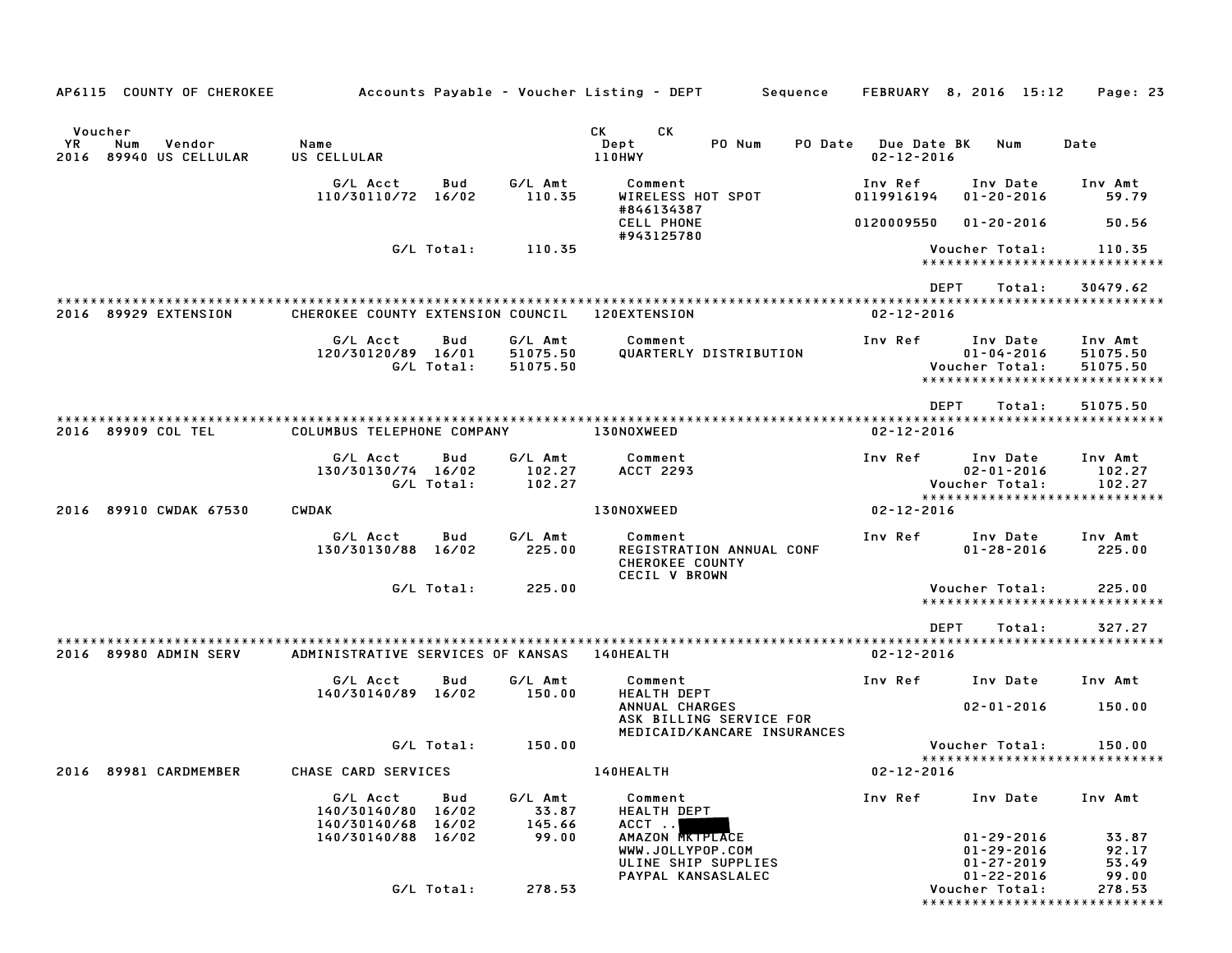| AP6115 COUNTY OF CHEROKEE                                    |                                   |                   |                                 | Accounts Payable – Voucher Listing – DEPT<br>Sequence                            |                                        | FEBRUARY 8, 2016 15:12                                                 | Page: 23                                                         |
|--------------------------------------------------------------|-----------------------------------|-------------------|---------------------------------|----------------------------------------------------------------------------------|----------------------------------------|------------------------------------------------------------------------|------------------------------------------------------------------|
|                                                              |                                   |                   |                                 |                                                                                  |                                        |                                                                        |                                                                  |
| Voucher<br>YR.<br>Num<br>Vendor<br>89940 US CELLULAR<br>2016 | Name<br>US CELLULAR               |                   |                                 | СK<br>CК<br>Dept<br>PO Num<br>PO Date<br>110HWY                                  | <b>Due Date BK</b><br>$02 - 12 - 2016$ | Num                                                                    | Date                                                             |
|                                                              | G/L Acct<br>110/30110/72 16/02    | Bud               | G/L Amt<br>110.35               | Comment<br>WIRELESS HOT SPOT<br>#846134387                                       | Inv Ref<br>0119916194                  | Inv Date<br>$01 - 20 - 2016$                                           | Inv Amt<br>59.79                                                 |
|                                                              |                                   |                   |                                 | <b>CELL PHONE</b><br>#943125780                                                  | 0120009550                             | $01 - 20 - 2016$                                                       | 50.56                                                            |
|                                                              |                                   | G/L Total:        | 110.35                          |                                                                                  |                                        | Voucher Total:                                                         | 110.35<br>******************************                         |
|                                                              |                                   |                   |                                 |                                                                                  | <b>DEPT</b>                            | Total:                                                                 | 30479.62                                                         |
| 2016 89929 EXTENSION                                         | CHEROKEE COUNTY EXTENSION COUNCIL |                   |                                 | 120EXTENSION                                                                     | $02 - 12 - 2016$                       |                                                                        |                                                                  |
|                                                              | G/L Acct<br>120/30120/89 16/01    | Bud<br>G/L Total: | G/L Amt<br>51075.50<br>51075.50 | Comment<br>QUARTERLY DISTRIBUTION                                                | Inv Ref                                | Inv Date<br>$01 - 04 - 2016$<br>Voucher Total:                         | Inv Amt<br>51075.50<br>51075.50<br>***************************** |
|                                                              |                                   |                   |                                 |                                                                                  | <b>DEPT</b>                            | Total:                                                                 | 51075.50                                                         |
| 2016 89909 COL TEL                                           | COLUMBUS TELEPHONE COMPANY        |                   |                                 | 130NOXWEED                                                                       | $02 - 12 - 2016$                       |                                                                        | *************************************                            |
|                                                              | G/L Acct<br>130/30130/74 16/02    | Bud<br>G/L Total: | G/L Amt<br>102.27<br>102.27     | Comment<br><b>ACCT 2293</b>                                                      | Inv Ref                                | Inv Date<br>$02 - 01 - 2016$<br>Voucher Total:                         | Inv Amt<br>102.27<br>102.27<br>*****************************     |
| 89910 CWDAK 67530<br>2016                                    | <b>CWDAK</b>                      |                   |                                 | 130NOXWEED                                                                       | $02 - 12 - 2016$                       |                                                                        |                                                                  |
|                                                              | G/L Acct<br>130/30130/88 16/02    | Bud               | G/L Amt<br>225.00               | Comment<br>REGISTRATION ANNUAL CONF<br><b>CHEROKEE COUNTY</b><br>CECIL V BROWN   | Inv Ref                                | Inv Date<br>$01 - 28 - 2016$                                           | Inv Amt<br>225.00                                                |
|                                                              |                                   | G/L Total:        | 225.00                          |                                                                                  |                                        | Voucher Total:                                                         | 225.00<br>*****************************                          |
|                                                              |                                   |                   |                                 |                                                                                  | <b>DEPT</b>                            | Total:                                                                 | 327.27                                                           |
| 2016 89980 ADMIN SERV                                        | ADMINISTRATIVE SERVICES OF KANSAS |                   |                                 | <b>140HEALTH</b>                                                                 | $02 - 12 - 2016$                       |                                                                        |                                                                  |
|                                                              | G/L Acct<br>140/30140/89 16/02    | Bud               | G/L Amt<br>150.00               | Comment<br><b>HEALTH DEPT</b>                                                    | Inv Ref                                | Inv Date                                                               | Inv Amt                                                          |
|                                                              |                                   |                   |                                 | ANNUAL CHARGES<br>ASK BILLING SERVICE FOR<br>MEDICAID/KANCARE INSURANCES         |                                        | $02 - 01 - 2016$                                                       | 150.00                                                           |
|                                                              |                                   | G/L Total:        | 150.00                          |                                                                                  |                                        | Voucher Total:                                                         | 150.00<br>*****************************                          |
| 2016 89981 CARDMEMBER                                        | CHASE CARD SERVICES               |                   |                                 | 140HEALTH                                                                        | $02 - 12 - 2016$                       |                                                                        |                                                                  |
|                                                              | G/L Acct<br>140/30140/80 16/02    | Bud<br>16/02      | G/L Amt<br>33.87<br>145.66      | Comment<br><b>HEALTH DEPT</b><br>ACCT                                            | Inv Ref                                | Inv Date                                                               | Inv Amt                                                          |
|                                                              | 140/30140/68<br>140/30140/88      | 16/02             | 99.00                           | AMAZON MATPLACE<br>WWW.JOLLYPOP.COM<br>ULINE SHIP SUPPLIES<br>PAYPAL KANSASLALEC |                                        | $01 - 29 - 2016$<br>$01 - 29 - 2016$<br>$01 - 27 - 2019$<br>01-22-2016 | 33.87<br>92.17<br>53.49<br>99.00                                 |
|                                                              |                                   | G/L Total:        | 278.53                          |                                                                                  |                                        | Voucher Total:                                                         | 278.53<br>******************************                         |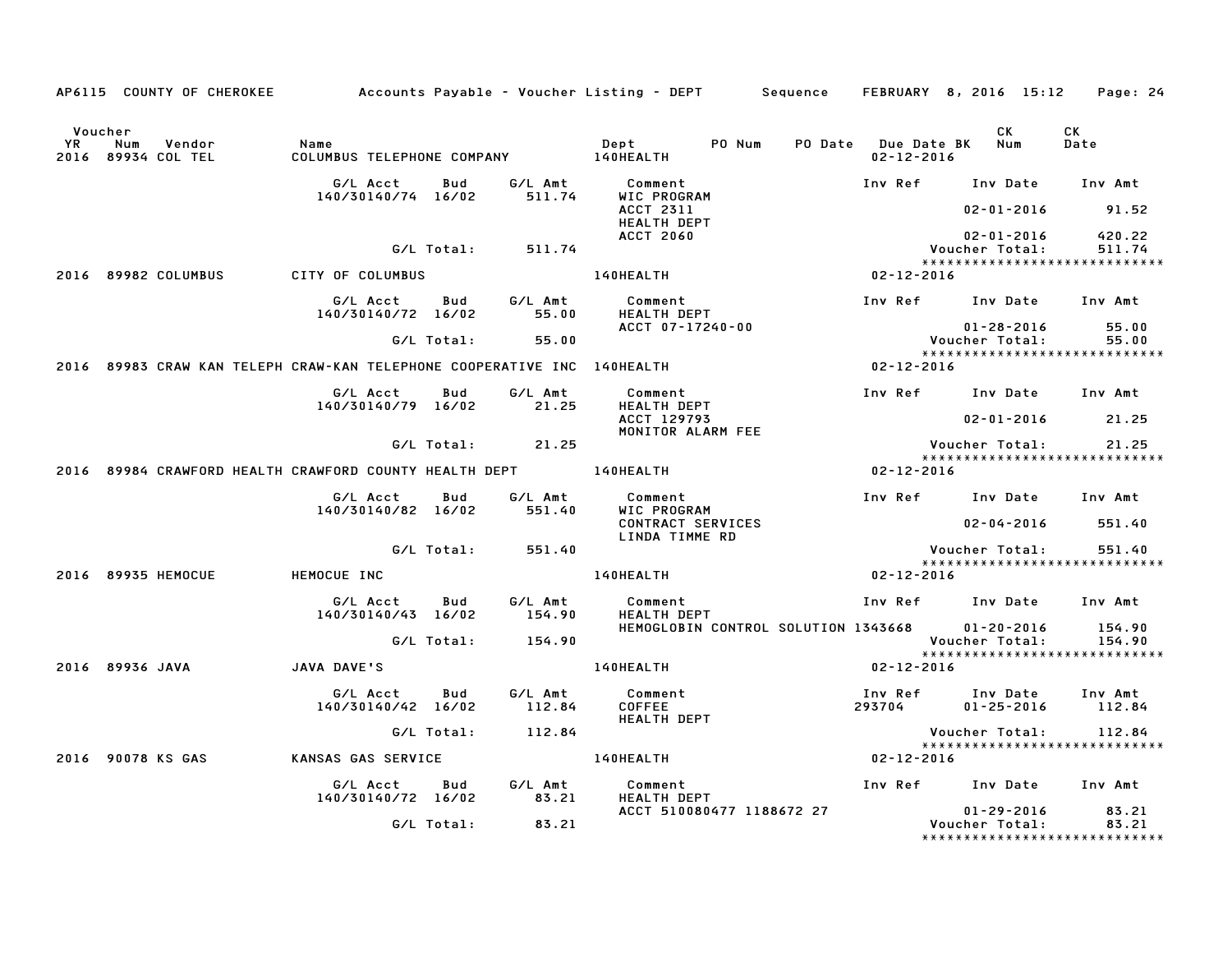|    |                                                                         |                                              |            |                   | AP6115 COUNTY OF CHEROKEE Accounts Payable - Voucher Listing - DEPT Sequence FEBRUARY 8, 2016 15:12 Page: 24 |                                             |                                                                     |                  |
|----|-------------------------------------------------------------------------|----------------------------------------------|------------|-------------------|--------------------------------------------------------------------------------------------------------------|---------------------------------------------|---------------------------------------------------------------------|------------------|
| YR | Voucher<br>Num<br>Vendor<br>2016 89934 COL TEL                          | Name<br>COLUMBUS TELEPHONE COMPANY 140HEALTH |            |                   | Dept PONum                                                                                                   | PO Date Due Date BK Num<br>$02 - 12 - 2016$ | CK                                                                  | CK<br>Date       |
|    |                                                                         | G/L Acct                                     | Bud        | G/L Amt           | Comment                                                                                                      |                                             | Inv Ref Inv Date Inv Amt                                            |                  |
|    |                                                                         | 140/30140/74 16/02                           |            | 511.74            | WIC PROGRAM<br>ACCT 2311<br><b>HEALTH DEPT</b>                                                               |                                             | $02 - 01 - 2016$                                                    | 91.52            |
|    |                                                                         |                                              | G/L Total: | 511.74            | <b>ACCT 2060</b>                                                                                             |                                             | $02 - 01 - 2016$<br>Voucher Total:                                  | 420.22<br>511.74 |
|    | 2016 89982 COLUMBUS                                                     | CITY OF COLUMBUS                             |            |                   | <b>140HEALTH</b>                                                                                             | $02 - 12 - 2016$                            | *****************************                                       |                  |
|    |                                                                         |                                              |            |                   |                                                                                                              |                                             |                                                                     |                  |
|    |                                                                         | G/L Acct<br>140/30140/72 16/02               | Bud        | G/L Amt<br>55.00  | Comment<br>HEALTH DEPT<br>ACCT 07-17240-00                                                                   |                                             | Inv Ref Inv Date Inv Amt<br>$01 - 28 - 2016$                        | 55.00            |
|    |                                                                         |                                              | G/L Total: | 55.00             |                                                                                                              |                                             | Voucher Total:                                                      | 55.00            |
|    | 2016 89983 CRAW KAN TELEPH CRAW-KAN TELEPHONE COOPERATIVE INC 140HEALTH |                                              |            |                   |                                                                                                              | $02 - 12 - 2016$                            | *****************************                                       |                  |
|    |                                                                         | G/L Acct                                     | Bud        | G/L Amt           | Comment                                                                                                      |                                             | Inv Ref      Inv Date     Inv Amt                                   |                  |
|    |                                                                         | 140/30140/79 16/02                           |            | 21.25             | HEALTH DEPT<br>ACCT 129793                                                                                   |                                             | $02 - 01 - 2016$ 21.25                                              |                  |
|    |                                                                         |                                              | G/L Total: | 21.25             | MONITOR ALARM FEE                                                                                            |                                             | Voucher Total:                                                      | 21.25            |
|    | 2016 89984 CRAWFORD HEALTH CRAWFORD COUNTY HEALTH DEPT 140HEALTH        |                                              |            |                   |                                                                                                              | 02-12-2016                                  | *****************************                                       |                  |
|    |                                                                         |                                              |            |                   |                                                                                                              |                                             |                                                                     |                  |
|    |                                                                         | G/L Acct<br>140/30140/82 16/02               | Bud        | G/L Amt<br>551.40 | Comment<br>WIC PROGRAM<br>CONTRACT SERVICES                                                                  |                                             | Inv Ref      Inv Date     Inv Amt<br>$02 - 04 - 2016$               | 551.40           |
|    |                                                                         |                                              |            |                   | LINDA TIMME RD                                                                                               |                                             |                                                                     |                  |
|    |                                                                         |                                              | G/L Total: | 551.40            |                                                                                                              |                                             | Voucher Total:<br>*****************************                     | 551.40           |
|    | 2016 89935 HEMOCUE                                                      | HEMOCUE INC                                  |            |                   | 140HEALTH                                                                                                    | $02 - 12 - 2016$                            |                                                                     |                  |
|    |                                                                         | G/L Acct<br>140/30140/43 16/02               | Bud        | G/L Amt<br>154.90 | Comment<br><b>HEALTH DEPT</b>                                                                                |                                             | Inv Ref Inv Date Inv Amt                                            |                  |
|    |                                                                         |                                              | G/L Total: | 154.90            | HEMOGLOBIN CONTROL SOLUTION 1343668 01-20-2016                                                               |                                             | Voucher Total:<br>*****************************                     | 154.90<br>154.90 |
|    | 2016 89936 JAVA                                                         | JAVA DAVE'S                                  |            |                   | <b>140HEALTH</b>                                                                                             | $02 - 12 - 2016$                            |                                                                     |                  |
|    |                                                                         | G/L Acct<br>140/30140/42 16/02               | Bud        | G/L Amt<br>112.84 | Comment<br>COFFEE<br><b>HEALTH DEPT</b>                                                                      | 293704                                      | Inv Ref      Inv Date     Inv Amt<br>01-25-2016                     | 112.84           |
|    |                                                                         |                                              | G/L Total: | 112.84            |                                                                                                              |                                             | Voucher Total:                                                      | 112.84           |
|    | 2016 90078 KS GAS                                                       | KANSAS GAS SERVICE                           |            |                   | 140HEALTH                                                                                                    | 02-12-2016                                  | *****************************                                       |                  |
|    |                                                                         | G/L Acct                                     | <b>Bud</b> | G/L Amt           | Comment                                                                                                      |                                             | Inv Ref Inv Date                                                    | Inv Amt          |
|    |                                                                         | 140/30140/72 16/02                           |            | 83.21             | HEALTH DEPT                                                                                                  |                                             |                                                                     |                  |
|    |                                                                         |                                              | G/L Total: | 83.21             | ACCT 510080477 1188672 27                                                                                    |                                             | $01 - 29 - 2016$<br>Voucher Total:<br>***************************** | 83.21<br>83.21   |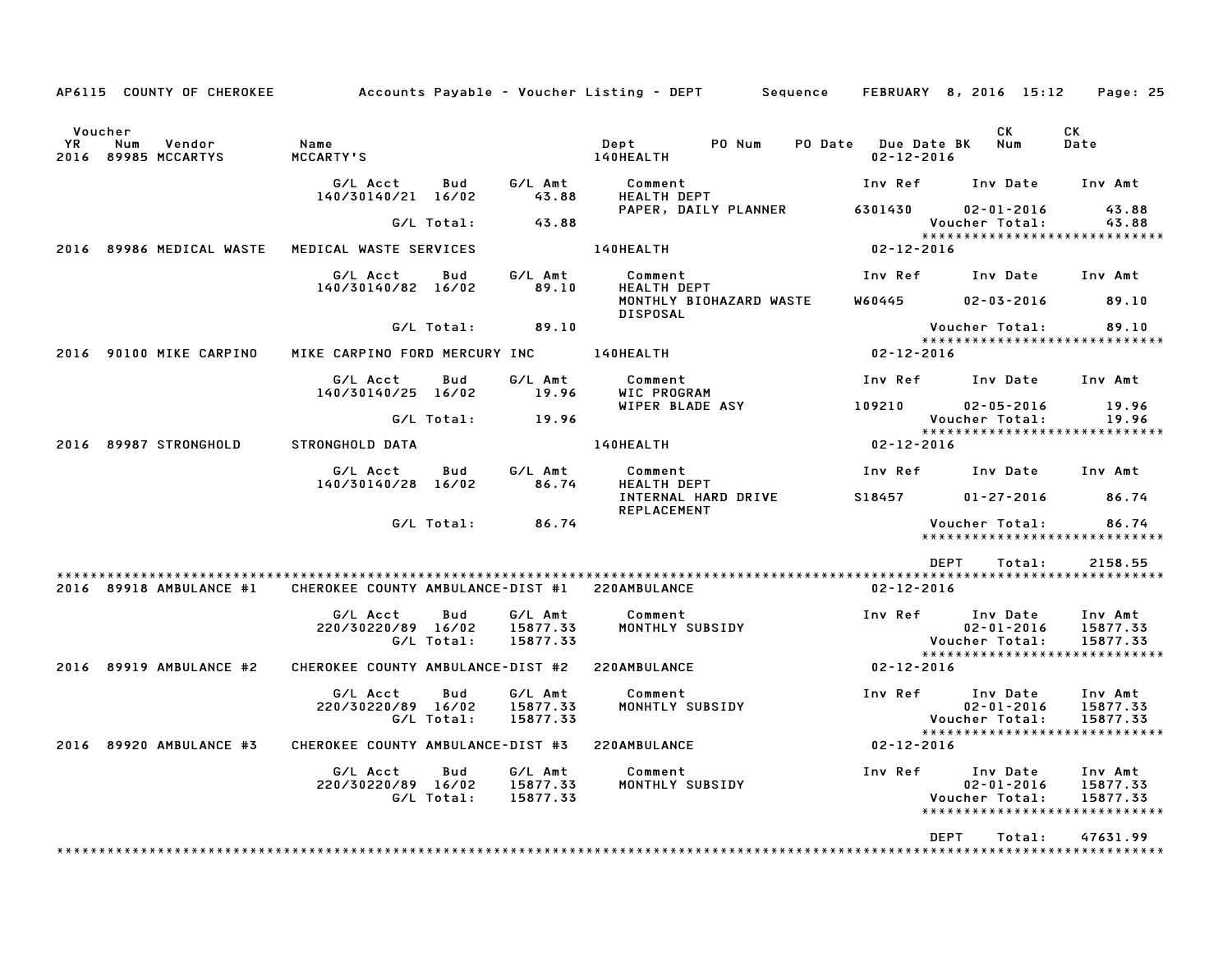| AP6115 COUNTY OF CHEROKEE                                |                                   |                   |                                 | Accounts Payable – Voucher Listing – DEPT<br>Sequence           |                                        | FEBRUARY 8, 2016 15:12                                                          | Page: 25                            |
|----------------------------------------------------------|-----------------------------------|-------------------|---------------------------------|-----------------------------------------------------------------|----------------------------------------|---------------------------------------------------------------------------------|-------------------------------------|
| Voucher<br>ΥR<br>Num<br>Vendor<br>2016<br>89985 MCCARTYS | Name<br><b>MCCARTY'S</b>          |                   |                                 | Dept<br>PO Num<br>PO Date<br>140HEALTH                          | <b>Due Date BK</b><br>$02 - 12 - 2016$ | CK.<br>Num                                                                      | СK<br>Date                          |
|                                                          | G/L Acct<br>140/30140/21 16/02    | Bud               | G/L Amt<br>43.88                | Comment<br><b>HEALTH DEPT</b>                                   | Inv Ref                                | Inv Date                                                                        | Inv Amt                             |
|                                                          |                                   | G/L Total:        | 43.88                           | PAPER, DAILY PLANNER                                            | 6301430                                | $02 - 01 - 2016$<br>Voucher Total:                                              | 43.88<br>43.88                      |
| 2016 89986 MEDICAL WASTE                                 | MEDICAL WASTE SERVICES            |                   |                                 | 140HEALTH                                                       | $02 - 12 - 2016$                       | *****************************                                                   |                                     |
|                                                          | G/L Acct<br>140/30140/82 16/02    | Bud               | G/L Amt<br>89.10                | Comment<br><b>HEALTH DEPT</b><br>MONTHLY BIOHAZARD WASTE        | Inv Ref<br>W60445                      | Inv Date<br>$02 - 03 - 2016$                                                    | Inv Amt<br>89.10                    |
|                                                          |                                   | G/L Total:        | 89.10                           | <b>DISPOSAL</b>                                                 |                                        | Voucher Total:                                                                  | 89.10                               |
| 90100 MIKE CARPINO<br>2016                               | MIKE CARPINO FORD MERCURY INC     |                   |                                 | 140HEALTH                                                       | $02 - 12 - 2016$                       | *****************************                                                   |                                     |
|                                                          | G/L Acct                          | Bud               | G/L Amt                         | Comment                                                         | Inv Ref                                | Inv Date                                                                        | Inv Amt                             |
|                                                          | 140/30140/25 16/02                | G/L Total:        | 19.96<br>19.96                  | WIC PROGRAM<br>WIPER BLADE ASY                                  | 109210                                 | $02 - 05 - 2016$<br>Voucher Total:                                              | 19.96<br>19.96                      |
| 89987 STRONGHOLD<br>2016                                 | <b>STRONGHOLD DATA</b>            |                   |                                 | 140HEALTH                                                       | $02 - 12 - 2016$                       | ******************************                                                  |                                     |
|                                                          | G/L Acct                          | Bud               | G/L Amt                         | Comment                                                         | Inv Ref                                | Inv Date                                                                        | Inv Amt                             |
|                                                          | 140/30140/28                      | 16/02             | 86.74                           | <b>HEALTH DEPT</b><br>INTERNAL HARD DRIVE<br><b>REPLACEMENT</b> | S18457                                 | $01 - 27 - 2016$                                                                | 86.74                               |
|                                                          |                                   | G/L Total:        | 86.74                           |                                                                 |                                        | Voucher Total:<br>*****************************                                 | 86.74                               |
|                                                          |                                   |                   |                                 |                                                                 |                                        | <b>DEPT</b><br>Total:                                                           | 2158.55                             |
| 2016 89918 AMBULANCE #1                                  | CHEROKEE COUNTY AMBULANCE-DIST #1 |                   |                                 | 220AMBULANCE                                                    | $02 - 12 - 2016$                       |                                                                                 |                                     |
|                                                          | G/L Acct<br>220/30220/89 16/02    | Bud<br>G/L Total: | G/L Amt<br>15877.33<br>15877.33 | Comment<br>MONTHLY SUBSIDY                                      | Inv Ref                                | Inv Date<br>$02 - 01 - 2016$<br>Voucher Total:                                  | Inv Amt<br>15877.33<br>15877.33     |
| 2016 89919 AMBULANCE #2                                  | CHEROKEE COUNTY AMBULANCE-DIST #2 |                   |                                 | 220AMBULANCE                                                    | $02 - 12 - 2016$                       | *****************************                                                   |                                     |
|                                                          | G/L Acct<br>220/30220/89 16/02    | Bud<br>G/L Total: | G/L Amt<br>15877.33<br>15877.33 | Comment<br>MONHTLY SUBSIDY                                      | Inv Ref                                | Inv Date<br>$02 - 01 - 2016$<br>Voucher Total:                                  | Inv Amt<br>15877.33<br>15877.33     |
| 2016 89920 AMBULANCE #3                                  | CHEROKEE COUNTY AMBULANCE-DIST #3 |                   |                                 | 220AMBULANCE                                                    | $02 - 12 - 2016$                       | *****************************                                                   |                                     |
|                                                          | G/L Acct<br>220/30220/89 16/02    | Bud<br>G/L Total: | G/L Amt<br>15877.33<br>15877.33 | Comment<br>MONTHLY SUBSIDY                                      | Inv Ref                                | Inv Date<br>$02 - 01 - 2016$<br>Voucher Total:<br>***************************** | Inv Amt<br>15877.33<br>15877.33     |
|                                                          |                                   |                   |                                 |                                                                 |                                        | <b>DEPT</b><br>Total:                                                           | 47631.99<br>* * * * * * * * * * * * |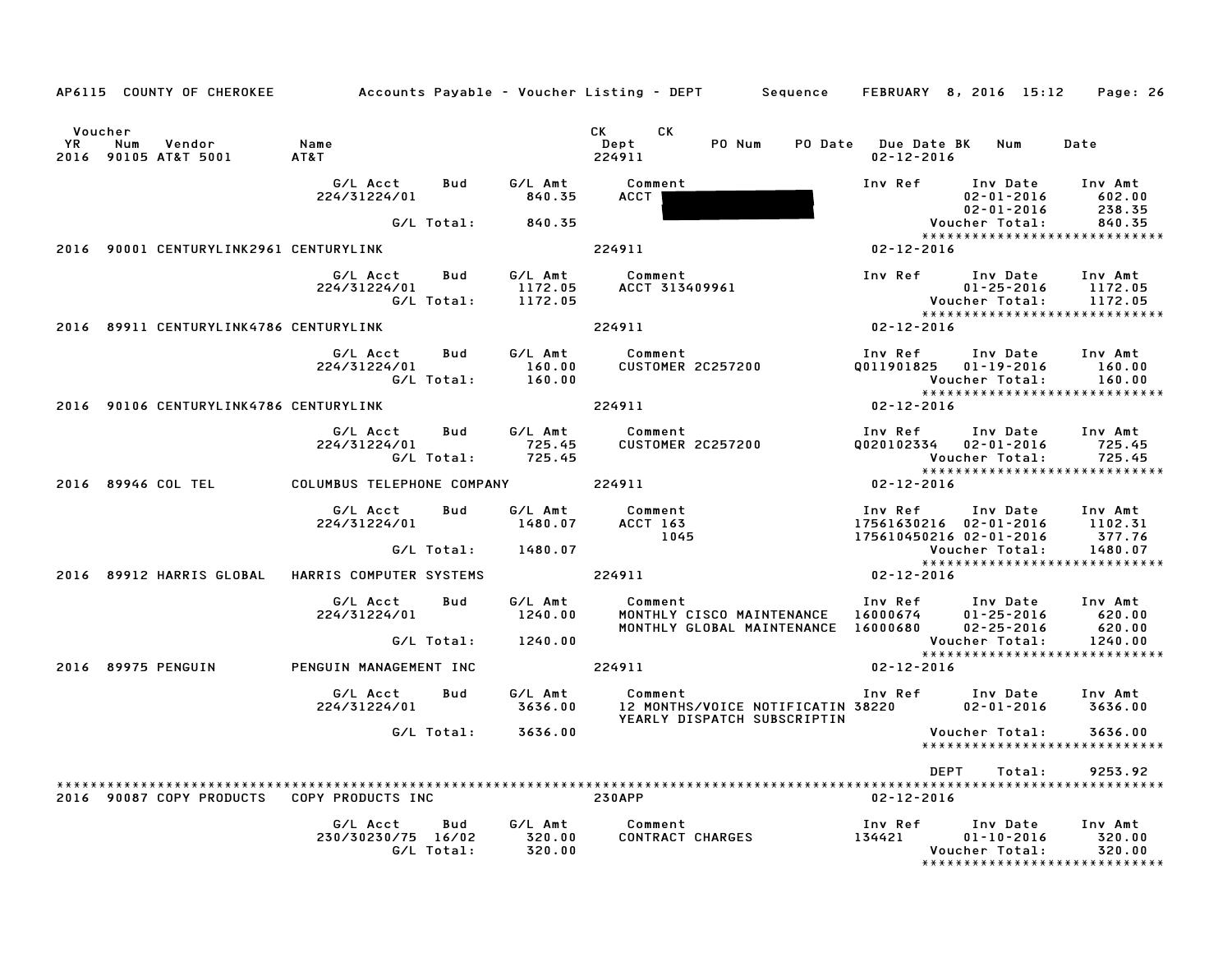|           |                                                  | AP6115 COUNTY OF CHEROKEE Accounts Payable - Voucher Listing - DEPT Sequence FEBRUARY 8, 2016 15:12 Page: 26 |             |                                                                                                                                                                                                                                                                   |                                                                                                                                                                                                                                     |                                                                           |         |
|-----------|--------------------------------------------------|--------------------------------------------------------------------------------------------------------------|-------------|-------------------------------------------------------------------------------------------------------------------------------------------------------------------------------------------------------------------------------------------------------------------|-------------------------------------------------------------------------------------------------------------------------------------------------------------------------------------------------------------------------------------|---------------------------------------------------------------------------|---------|
| <b>YR</b> | Voucher<br>Vendor<br>Num<br>2016 90105 AT&T 5001 | Name<br>AT&T                                                                                                 |             | CK the control of the control of the control of the control of the control of the control of the control of the control of the control of the control of the control of the control of the control of the control of the contr<br>CK.<br>PO Num<br>Dept<br>224911 | PO Date Due Date BK Num<br>$02 - 12 - 2016$                                                                                                                                                                                         |                                                                           | Date    |
|           |                                                  | G/L Acct<br><b>Bud</b><br>224/31224/01                                                                       | 840.35      | G/L Amt Comment<br><b>ACCT</b>                                                                                                                                                                                                                                    |                                                                                                                                                                                                                                     | Inv Ref Inv Date Inv Amt<br>$02 - 01 - 2016$ 602.00                       | 238.35  |
|           |                                                  | G/L Total: 840.35                                                                                            |             |                                                                                                                                                                                                                                                                   | 02-01-2016<br>02-01-2016<br>.vs::::                                                                                                                                                                                                 |                                                                           | 840.35  |
|           | 2016 90001 CENTURYLINK2961 CENTURYLINK           |                                                                                                              |             | 224911                                                                                                                                                                                                                                                            | $02 - 12 - 2016$                                                                                                                                                                                                                    | *****************************                                             |         |
|           |                                                  | Bud<br>G/L Acct                                                                                              |             |                                                                                                                                                                                                                                                                   |                                                                                                                                                                                                                                     |                                                                           | Inv Amt |
|           |                                                  | 224/31224/01                                                                                                 |             |                                                                                                                                                                                                                                                                   |                                                                                                                                                                                                                                     |                                                                           | 1172.05 |
|           |                                                  | G/L Total: 1172.05                                                                                           |             |                                                                                                                                                                                                                                                                   |                                                                                                                                                                                                                                     |                                                                           |         |
|           | 2016 89911 CENTURYLINK4786 CENTURYLINK           |                                                                                                              |             | 224911                                                                                                                                                                                                                                                            | $02 - 12 - 2016$                                                                                                                                                                                                                    |                                                                           |         |
|           |                                                  |                                                                                                              |             | G/L Acct      Bud      G/L Amt        Comment                                                                                                                                                                                                                     |                                                                                                                                                                                                                                     | Inv Ref Inv Date Inv Amt                                                  |         |
|           |                                                  | 224/31224/01                                                                                                 | 160.00      | Comment<br>CUSTOMER 2C257200                                                                                                                                                                                                                                      |                                                                                                                                                                                                                                     | Q011901825  01-19-2016  160.00                                            |         |
|           |                                                  | $G/L$ Total: $160.00$                                                                                        |             |                                                                                                                                                                                                                                                                   |                                                                                                                                                                                                                                     | Voucher Total: 160.00                                                     |         |
|           |                                                  |                                                                                                              |             |                                                                                                                                                                                                                                                                   |                                                                                                                                                                                                                                     | *****************************                                             |         |
|           | 2016 90106 CENTURYLINK4786 CENTURYLINK           |                                                                                                              |             | 224911                                                                                                                                                                                                                                                            | $02 - 12 - 2016$                                                                                                                                                                                                                    |                                                                           |         |
|           |                                                  | G/L Acct                                                                                                     |             |                                                                                                                                                                                                                                                                   | المستوات المستورج المستورج المستورج المستورج المستورج المستورج المستورج المستورج المستورج المستورج المستورج ا<br>المستورج المستورج المستورج المستورج المستورج المستورج المستورج المستورج المستورج المستورج المستورج المستورج ال<br> |                                                                           |         |
|           |                                                  | 224/31224/01                                                                                                 |             | Bud G/L Amt Comment<br>725.45 CUSTOMER                                                                                                                                                                                                                            |                                                                                                                                                                                                                                     | 0020102334  02-01-2016  725.45                                            |         |
|           |                                                  |                                                                                                              |             |                                                                                                                                                                                                                                                                   | Voucher Total: 725.45<br>****************************                                                                                                                                                                               |                                                                           |         |
|           |                                                  | 2016 89946 COL TEL COLUMBUS TELEPHONE COMPANY 224911                                                         |             |                                                                                                                                                                                                                                                                   | $02 - 12 - 2016$                                                                                                                                                                                                                    |                                                                           |         |
|           |                                                  | G/L Acct Bud                                                                                                 | G/L Amt     | Comment                                                                                                                                                                                                                                                           |                                                                                                                                                                                                                                     |                                                                           |         |
|           |                                                  | 224/31224/01 1480.07                                                                                         |             | Comment<br>ACCT 163<br>1045<br><b>ACCT 163</b>                                                                                                                                                                                                                    |                                                                                                                                                                                                                                     | Inv Ref      Inv Date    Inv Amt<br>17561630216   02–01–2016      1102.31 |         |
|           |                                                  |                                                                                                              |             |                                                                                                                                                                                                                                                                   |                                                                                                                                                                                                                                     |                                                                           |         |
|           |                                                  | G/L Total: 1480.07                                                                                           |             |                                                                                                                                                                                                                                                                   | 175610450216 02-01-2016 377.76<br>Voucher Total: 1480.07                                                                                                                                                                            |                                                                           |         |
|           |                                                  |                                                                                                              |             | 224911                                                                                                                                                                                                                                                            |                                                                                                                                                                                                                                     |                                                                           |         |
|           |                                                  | 2016 89912 HARRIS GLOBAL HARRIS COMPUTER SYSTEMS                                                             |             |                                                                                                                                                                                                                                                                   | $02 - 12 - 2016$                                                                                                                                                                                                                    |                                                                           |         |
|           |                                                  | G/L Acct<br>Bud                                                                                              |             | G/L Amt Comment                                                                                                                                                                                                                                                   |                                                                                                                                                                                                                                     |                                                                           |         |
|           |                                                  | 224/31224/01                                                                                                 | 1240.00     |                                                                                                                                                                                                                                                                   | Comment                           Inv Ref      Inv Date    Inv Amt<br>MONTHLY CISCO MAINTENANCE    16000674       01-25-2016        620.00<br>MONTHLY GLOBAL MAINTENANCE   16000680       02-25-2016         620.00                 |                                                                           |         |
|           |                                                  |                                                                                                              |             |                                                                                                                                                                                                                                                                   |                                                                                                                                                                                                                                     |                                                                           |         |
|           |                                                  | G/L Total: 1240.00                                                                                           |             |                                                                                                                                                                                                                                                                   |                                                                                                                                                                                                                                     | Voucher Total: 1240.00<br>****************************                    |         |
|           | 2016 89975 PENGUIN                               | PENGUIN MANAGEMENT INC                                                                                       |             | 224911                                                                                                                                                                                                                                                            | $02 - 12 - 2016$                                                                                                                                                                                                                    |                                                                           |         |
|           |                                                  |                                                                                                              |             |                                                                                                                                                                                                                                                                   |                                                                                                                                                                                                                                     |                                                                           |         |
|           |                                                  |                                                                                                              |             | 6/L Acct Bud 6/L Amt Comment Inv Ref Inv Date Inv Amt<br>224/31224/01 3636.00 12 MONTHS/VOICE NOTIFICATIN 38220 02-01-2016 3636.00                                                                                                                                |                                                                                                                                                                                                                                     |                                                                           |         |
|           |                                                  |                                                                                                              |             | YEARLY DISPATCH SUBSCRIPTIN                                                                                                                                                                                                                                       |                                                                                                                                                                                                                                     |                                                                           |         |
|           |                                                  | G/L Total: 3636.00                                                                                           |             |                                                                                                                                                                                                                                                                   |                                                                                                                                                                                                                                     | Voucher Total:                                                            | 3636.00 |
|           |                                                  |                                                                                                              |             |                                                                                                                                                                                                                                                                   | DEPT                                                                                                                                                                                                                                | Total:                                                                    | 9253.92 |
|           |                                                  |                                                                                                              |             |                                                                                                                                                                                                                                                                   | 02-12-2016                                                                                                                                                                                                                          |                                                                           |         |
|           |                                                  | G/L Acct                                                                                                     | Bud G/L Amt | Comment                                                                                                                                                                                                                                                           |                                                                                                                                                                                                                                     |                                                                           |         |
|           |                                                  | 230/30230/75 16/02 320.00                                                                                    |             |                                                                                                                                                                                                                                                                   |                                                                                                                                                                                                                                     |                                                                           |         |
|           |                                                  | G/L Total: 320.00                                                                                            |             |                                                                                                                                                                                                                                                                   |                                                                                                                                                                                                                                     |                                                                           |         |
|           |                                                  |                                                                                                              |             |                                                                                                                                                                                                                                                                   |                                                                                                                                                                                                                                     | Voucher Total:<br>*****************************                           | 320.00  |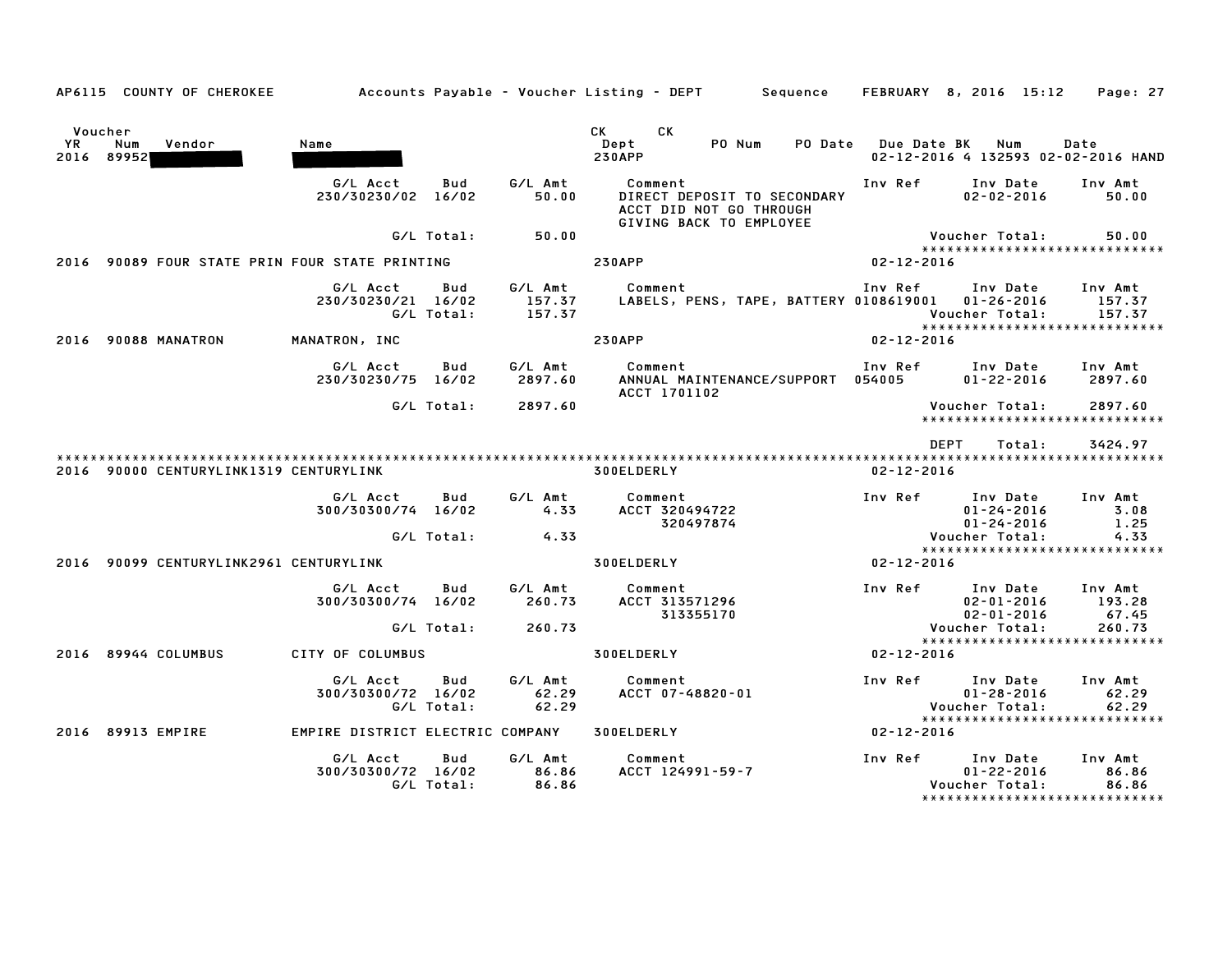|               | AP6115 COUNTY OF CHEROKEE              |                                                |                                    | Accounts Payable – Voucher Listing – DEPT         Sequence                                   |                    | FEBRUARY 8, 2016 15:12                                                          | Page: 27                    |
|---------------|----------------------------------------|------------------------------------------------|------------------------------------|----------------------------------------------------------------------------------------------|--------------------|---------------------------------------------------------------------------------|-----------------------------|
| Voucher<br>YR | Num<br>Vendor<br>2016 89952            | Name                                           |                                    | <b>CK</b><br>СK<br>Dept<br>PO Num<br>PO Date<br><b>230APP</b>                                | <b>Due Date BK</b> | Num<br>02-12-2016 4 132593 02-02-2016 HAND                                      | Date                        |
|               |                                        | G/L Acct<br>230/30230/02 16/02                 | G/L Amt<br>Bud<br>50.00            | Comment<br>DIRECT DEPOSIT TO SECONDARY<br>ACCT DID NOT GO THROUGH<br>GIVING BACK TO EMPLOYEE | Inv Ref            | Inv Date<br>$02 - 02 - 2016$                                                    | Inv Amt<br>50.00            |
|               |                                        | G/L Total:                                     | 50.00                              |                                                                                              |                    | Voucher Total:                                                                  | 50.00                       |
|               |                                        | 2016 90089 FOUR STATE PRIN FOUR STATE PRINTING |                                    | <b>230APP</b>                                                                                | $02 - 12 - 2016$   | *****************************                                                   |                             |
|               |                                        | G/L Acct<br>230/30230/21 16/02<br>G/L Total:   | G/L Amt<br>Bud<br>157.37<br>157.37 | Comment<br>LABELS, PENS, TAPE, BATTERY 0108619001  01-26-2016                                | Inv Ref            | Inv Date<br>Voucher Total:<br>*****************************                     | Inv Amt<br>157.37<br>157.37 |
| 2016          | 90088 MANATRON                         | MANATRON, INC                                  |                                    | <b>230APP</b>                                                                                | $02 - 12 - 2016$   |                                                                                 |                             |
|               |                                        | G/L Acct<br>230/30230/75 16/02                 | G/L Amt<br>Bud<br>2897.60          | Comment<br>ANNUAL MAINTENANCE/SUPPORT 054005<br><b>ACCT 1701102</b>                          | Inv Ref            | Inv Date<br>$01 - 22 - 2016$                                                    | Inv Amt<br>2897.60          |
|               |                                        | G/L Total:                                     | 2897.60                            |                                                                                              |                    | Voucher Total:<br>*****************************                                 | 2897.60                     |
|               |                                        |                                                |                                    |                                                                                              | <b>DEPT</b>        | Total:                                                                          | 3424.97                     |
|               | 2016 90000 CENTURYLINK1319 CENTURYLINK |                                                |                                    | 300ELDERLY                                                                                   | $02 - 12 - 2016$   |                                                                                 |                             |
|               |                                        | G/L Acct<br>300/30300/74 16/02                 | Bud<br>G/L Amt<br>4.33             | Comment<br>ACCT 320494722<br>320497874                                                       | Inv Ref            | Inv Date<br>$01 - 24 - 2016$<br>$01 - 24 - 2016$                                | Inv Amt<br>3.08<br>1.25     |
|               |                                        | G/L Total:                                     | 4.33                               |                                                                                              |                    | Voucher Total:<br>*****************************                                 | 4.33                        |
| 2016          | 90099 CENTURYLINK2961 CENTURYLINK      |                                                |                                    | 300ELDERLY                                                                                   | $02 - 12 - 2016$   |                                                                                 |                             |
|               |                                        | G/L Acct<br>300/30300/74 16/02                 | G/L Amt<br>Bud<br>260.73           | Comment<br>ACCT 313571296<br>313355170                                                       | Inv Ref            | Inv Date<br>$02 - 01 - 2016$<br>$02 - 01 - 2016$                                | Inv Amt<br>193.28<br>67.45  |
|               |                                        | G/L Total:                                     | 260.73                             |                                                                                              |                    | Voucher Total:                                                                  | 260.73                      |
|               | 2016 89944 COLUMBUS                    | CITY OF COLUMBUS                               |                                    | 300ELDERLY                                                                                   | $02 - 12 - 2016$   | *****************************                                                   |                             |
|               |                                        | G/L Acct<br>300/30300/72 16/02<br>G/L Total:   | G/L Amt<br>Bud<br>62.29<br>62.29   | Comment<br>ACCT 07-48820-01                                                                  | Inv Ref            | Inv Date<br>$01 - 28 - 2016$<br>Voucher Total:<br>***************************** | Inv Amt<br>62.29<br>62.29   |
|               | 2016 89913 EMPIRE                      | EMPIRE DISTRICT ELECTRIC COMPANY               |                                    | 300ELDERLY                                                                                   | $02 - 12 - 2016$   |                                                                                 |                             |
|               |                                        | G/L Acct<br>300/30300/72 16/02<br>G/L Total:   | G/L Amt<br>Bud<br>86.86<br>86.86   | Comment<br>ACCT 124991-59-7                                                                  | Inv Ref            | Inv Date<br>$01 - 22 - 2016$<br>Voucher Total:<br>***************************** | Inv Amt<br>86.86<br>86.86   |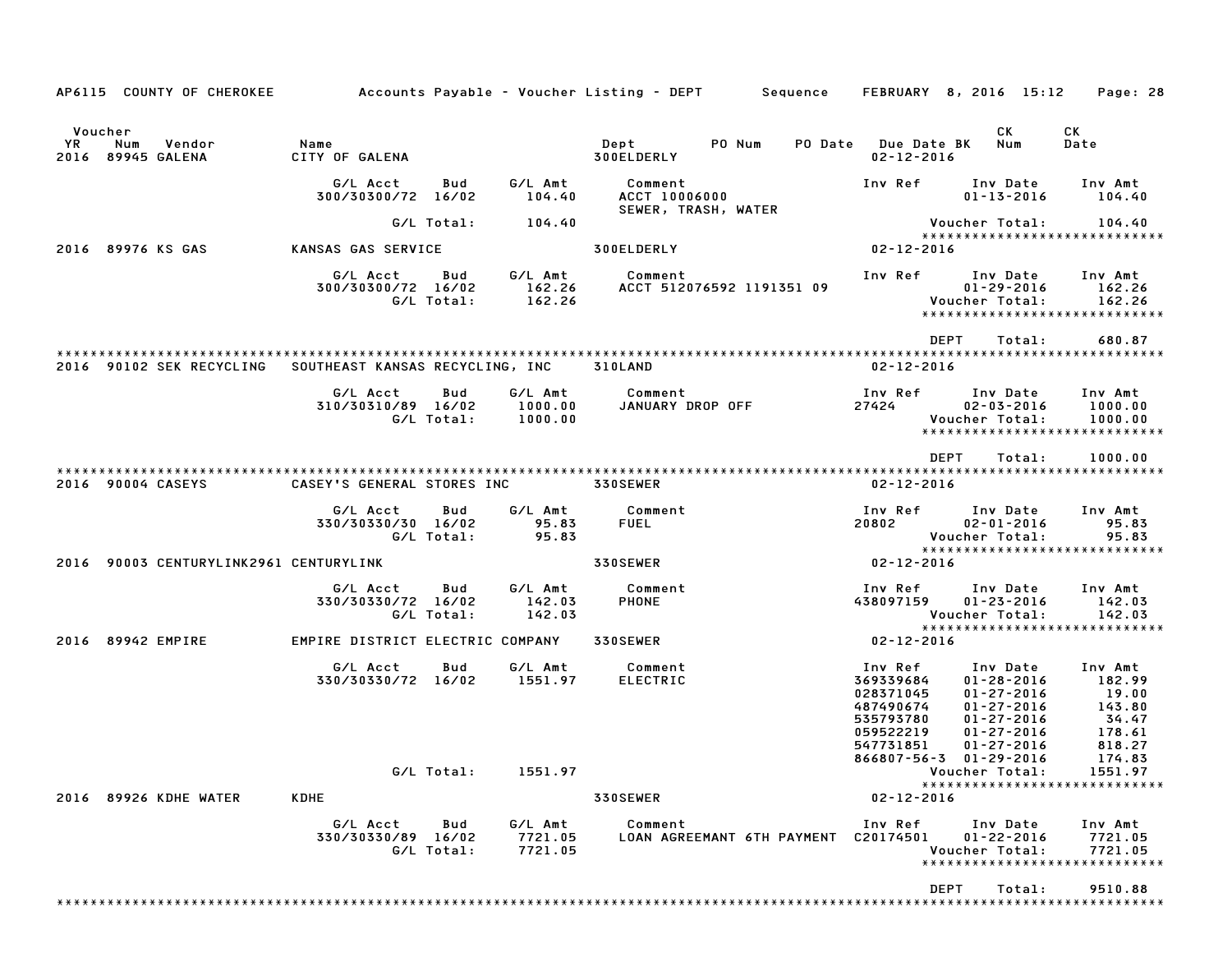|                                                            |                                                  |            |                               | AP6115 COUNTY OF CHEROKEE Accounts Payable - Voucher Listing - DEPT Sequence FEBRUARY 8, 2016 15:12 |                                                                            |                                                                                                                                         | Page: 28                                                |
|------------------------------------------------------------|--------------------------------------------------|------------|-------------------------------|-----------------------------------------------------------------------------------------------------|----------------------------------------------------------------------------|-----------------------------------------------------------------------------------------------------------------------------------------|---------------------------------------------------------|
| Voucher<br><b>YR</b><br>Num<br>Vendor<br>2016 89945 GALENA | Name<br>CITY OF GALENA                           |            |                               | Dept PO Num<br><b>300ELDERLY</b>                                                                    | PO Date Due Date BK<br>$02 - 12 - 2016$                                    | CK<br>Num                                                                                                                               | CK<br>Date                                              |
|                                                            | G/L Acct<br>300/30300/72 16/02                   | Bud        | G/L Amt<br>104.40             | Comment<br>ACCT 10006000<br>SEWER, TRASH, WATER                                                     | Inv Ref                                                                    | Inv Date Inv Amt<br>$01 - 13 - 2016$                                                                                                    | 104.40                                                  |
| 2016 89976 KS GAS                                          | KANSAS GAS SERVICE                               | G/L Total: | 104.40                        | <b>300ELDERLY</b>                                                                                   | $02 - 12 - 2016$                                                           | Voucher Total:<br>*****************************                                                                                         | 104.40                                                  |
|                                                            | G/L Acct Bud<br>300/30300/72 16/02<br>G/L Total: |            |                               | G/L Amt Comment<br>162.26 ACCT 512076592 1191351 09<br>162.26                                       |                                                                            | Inv Ref      Inv Date     Inv Amt<br>$01 - 29 - 2016$<br>Voucher Total:<br>*****************************                                | 162.26<br>162.26                                        |
|                                                            |                                                  |            |                               |                                                                                                     |                                                                            | DEPT<br>Total:                                                                                                                          | 680.87                                                  |
| 2016 90102 SEK RECYCLING                                   | SOUTHEAST KANSAS RECYCLING, INC 310LAND          |            |                               |                                                                                                     | 02-12-2016                                                                 |                                                                                                                                         |                                                         |
|                                                            | G/L Acct<br>310/30310/89 16/02<br>G/L Total:     | Bud        | 1000.00<br>1000.00            | G/L Amt Comment<br>JANUARY DROP OFF                                                                 | Inv Ref<br>27424                                                           | Inv Date<br>$02 - 03 - 2016$<br>Voucher Total:<br>******************************                                                        | Inv Amt<br>1000.00<br>1000.00                           |
| 2016 90004 CASEYS                                          | CASEY'S GENERAL STORES INC                       |            |                               | <b>330SEWER</b>                                                                                     | 02-12-2016                                                                 | <b>DEPT</b><br>Total:                                                                                                                   | 1000.00                                                 |
|                                                            | G/L Acct<br>330/30330/30 16/02<br>G/L Total:     | Bud        | G/L Amt<br>95.83<br>95.83     | Comment<br><b>FUEL</b>                                                                              | Inv Ref<br>20802                                                           | Inv Date<br>$02 - 01 - 2016$<br>Voucher Total:<br>*****************************                                                         | Inv Amt<br>95.83<br>95.83                               |
| 2016 90003 CENTURYLINK2961 CENTURYLINK                     |                                                  |            |                               | <b>330SEWER</b>                                                                                     | $02 - 12 - 2016$                                                           |                                                                                                                                         |                                                         |
|                                                            | G/L Acct<br>330/30330/72 16/02<br>G/L Total:     | Bud        | G/L Amt<br>142.03<br>142.03   | Comment<br>PHONE                                                                                    | 438097159                                                                  | Inv Ref      Inv Date<br>$01 - 23 - 2016$<br>Voucher Total:                                                                             | Inv Amt<br>142.03<br>142.03                             |
| 2016 89942 EMPIRE                                          | EMPIRE DISTRICT ELECTRIC COMPANY 330SEWER        |            |                               |                                                                                                     | $02 - 12 - 2016$                                                           | *****************************                                                                                                           |                                                         |
|                                                            | G/L Acct<br>330/30330/72 16/02 1551.97           | Bud        | G/L Amt                       | Comment<br>ELECTRIC                                                                                 | 369339684<br>028371045<br>487490674<br>535793780<br>059522219<br>547731851 | Inv Ref      Inv Date<br>01-28-2016<br>$01 - 27 - 2016$<br>$01 - 27 - 2016$<br>$01 - 27 - 2016$<br>$01 - 27 - 2016$<br>$01 - 27 - 2016$ | Inv Amt<br>182.99<br>19.00<br>143.80<br>34.47<br>178.61 |
|                                                            | G/L Total:                                       |            | 1551.97                       |                                                                                                     |                                                                            | 866807-56-3 01-29-2016<br>Voucher Total:<br>*****************************                                                               | 818.27<br>174.83<br>1551.97                             |
| 2016 89926 KDHE WATER                                      | <b>KDHE</b>                                      |            |                               | 330SEWER                                                                                            | $02 - 12 - 2016$                                                           |                                                                                                                                         |                                                         |
|                                                            | G/L Acct<br>330/30330/89 16/02<br>G/L Total:     | Bud        | G/L Amt<br>7721.05<br>7721.05 | Comment<br>LOAN AGREEMANT 6TH PAYMENT C20174501                                                     | Inv Ref                                                                    | Inv Date<br>$01 - 22 - 2016$<br>Voucher Total:<br>******************************                                                        | Inv Amt<br>7721.05<br>7721.05                           |
|                                                            |                                                  |            |                               |                                                                                                     |                                                                            | <b>DEPT</b><br>Total:                                                                                                                   | 9510.88                                                 |